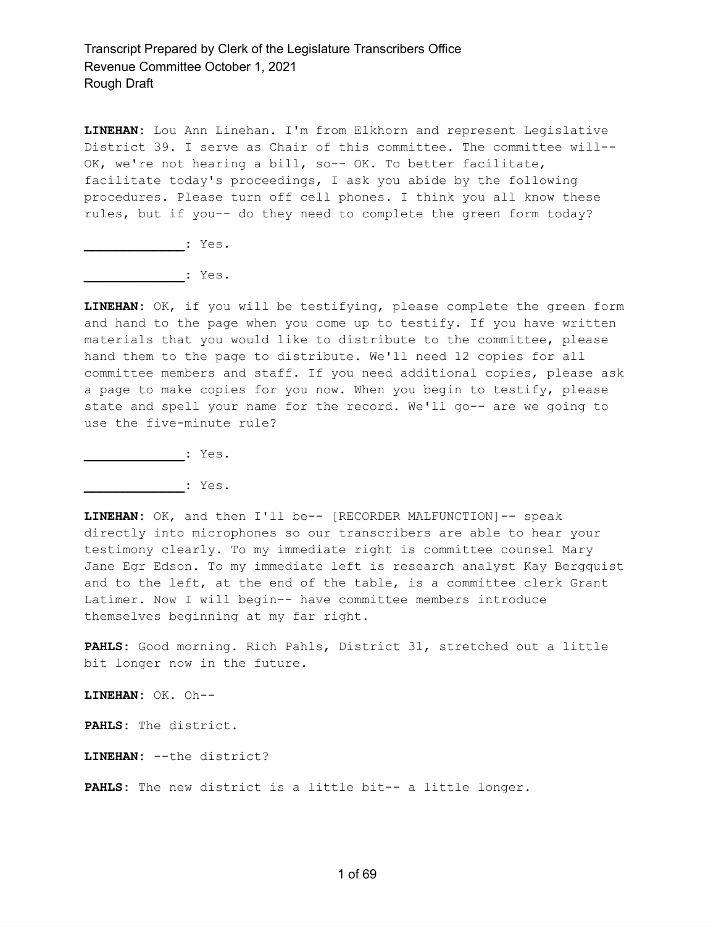**LINEHAN:** Lou Ann Linehan. I'm from Elkhorn and represent Legislative District 39. I serve as Chair of this committee. The committee will-- OK, we're not hearing a bill, so-- OK. To better facilitate, facilitate today's proceedings, I ask you abide by the following procedures. Please turn off cell phones. I think you all know these rules, but if you-- do they need to complete the green form today?

**\_\_\_\_\_\_\_\_\_\_\_\_\_:** Yes.

**\_\_\_\_\_\_\_\_\_\_\_\_\_:** Yes.

**LINEHAN:** OK, if you will be testifying, please complete the green form and hand to the page when you come up to testify. If you have written materials that you would like to distribute to the committee, please hand them to the page to distribute. We'll need 12 copies for all committee members and staff. If you need additional copies, please ask a page to make copies for you now. When you begin to testify, please state and spell your name for the record. We'll go-- are we going to use the five-minute rule?

**\_\_\_\_\_\_\_\_\_\_\_\_\_:** Yes.

**\_\_\_\_\_\_\_\_\_\_\_\_\_:** Yes.

**LINEHAN:** OK, and then I'll be-- [RECORDER MALFUNCTION]-- speak directly into microphones so our transcribers are able to hear your testimony clearly. To my immediate right is committee counsel Mary Jane Egr Edson. To my immediate left is research analyst Kay Bergquist and to the left, at the end of the table, is a committee clerk Grant Latimer. Now I will begin-- have committee members introduce themselves beginning at my far right.

**PAHLS:** Good morning. Rich Pahls, District 31, stretched out a little bit longer now in the future.

**LINEHAN:** OK. Oh--

**PAHLS:** The district.

**LINEHAN:** --the district?

**PAHLS:** The new district is a little bit-- a little longer.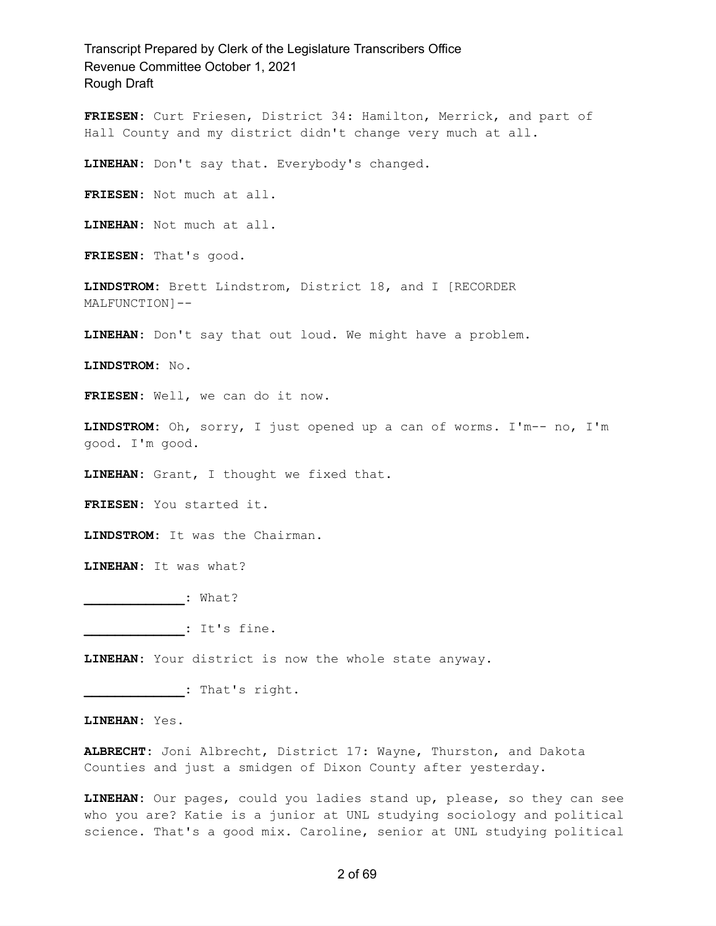**FRIESEN:** Curt Friesen, District 34: Hamilton, Merrick, and part of Hall County and my district didn't change very much at all.

**LINEHAN:** Don't say that. Everybody's changed.

**FRIESEN:** Not much at all.

**LINEHAN:** Not much at all.

**FRIESEN:** That's good.

**LINDSTROM:** Brett Lindstrom, District 18, and I [RECORDER MALFUNCTION]--

**LINEHAN:** Don't say that out loud. We might have a problem.

**LINDSTROM:** No.

**FRIESEN:** Well, we can do it now.

**LINDSTROM:** Oh, sorry, I just opened up a can of worms. I'm-- no, I'm good. I'm good.

**LINEHAN:** Grant, I thought we fixed that.

**FRIESEN:** You started it.

**LINDSTROM:** It was the Chairman.

**LINEHAN:** It was what?

**\_\_\_\_\_\_\_\_\_\_\_\_\_:** What?

**\_\_\_\_\_\_\_\_\_\_\_\_\_:** It's fine.

**LINEHAN:** Your district is now the whole state anyway.

**\_\_\_\_\_\_\_\_\_\_\_\_\_:** That's right.

**LINEHAN:** Yes.

**ALBRECHT:** Joni Albrecht, District 17: Wayne, Thurston, and Dakota Counties and just a smidgen of Dixon County after yesterday.

**LINEHAN:** Our pages, could you ladies stand up, please, so they can see who you are? Katie is a junior at UNL studying sociology and political science. That's a good mix. Caroline, senior at UNL studying political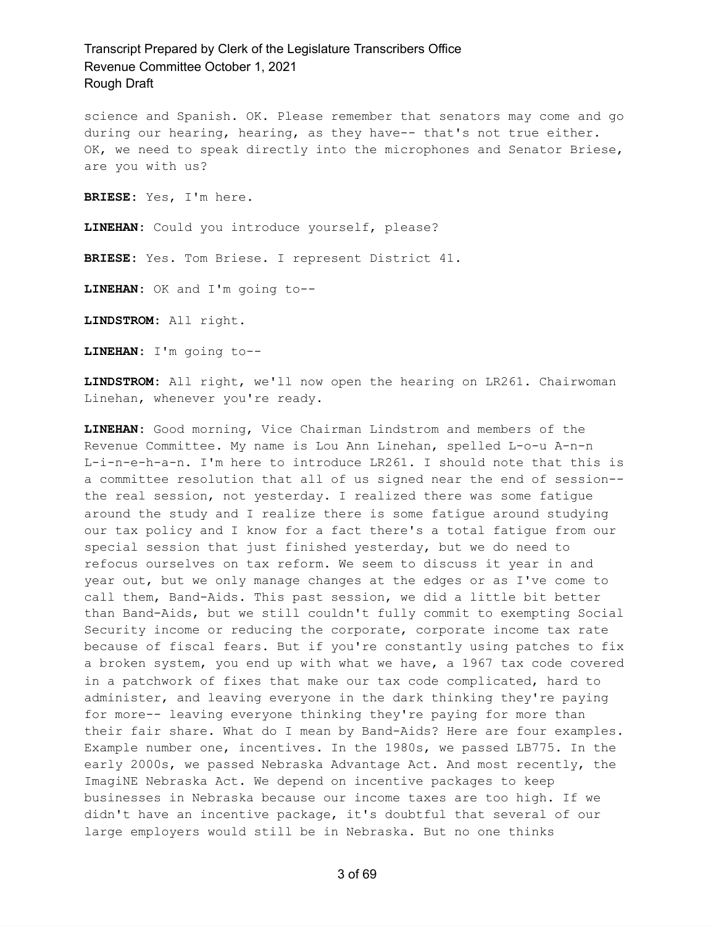science and Spanish. OK. Please remember that senators may come and go during our hearing, hearing, as they have-- that's not true either. OK, we need to speak directly into the microphones and Senator Briese, are you with us?

**BRIESE:** Yes, I'm here.

**LINEHAN:** Could you introduce yourself, please?

**BRIESE:** Yes. Tom Briese. I represent District 41.

**LINEHAN:** OK and I'm going to--

**LINDSTROM:** All right.

**LINEHAN:** I'm going to--

**LINDSTROM:** All right, we'll now open the hearing on LR261. Chairwoman Linehan, whenever you're ready.

**LINEHAN:** Good morning, Vice Chairman Lindstrom and members of the Revenue Committee. My name is Lou Ann Linehan, spelled L-o-u A-n-n L-i-n-e-h-a-n. I'm here to introduce LR261. I should note that this is a committee resolution that all of us signed near the end of session- the real session, not yesterday. I realized there was some fatigue around the study and I realize there is some fatigue around studying our tax policy and I know for a fact there's a total fatigue from our special session that just finished yesterday, but we do need to refocus ourselves on tax reform. We seem to discuss it year in and year out, but we only manage changes at the edges or as I've come to call them, Band-Aids. This past session, we did a little bit better than Band-Aids, but we still couldn't fully commit to exempting Social Security income or reducing the corporate, corporate income tax rate because of fiscal fears. But if you're constantly using patches to fix a broken system, you end up with what we have, a 1967 tax code covered in a patchwork of fixes that make our tax code complicated, hard to administer, and leaving everyone in the dark thinking they're paying for more-- leaving everyone thinking they're paying for more than their fair share. What do I mean by Band-Aids? Here are four examples. Example number one, incentives. In the 1980s, we passed LB775. In the early 2000s, we passed Nebraska Advantage Act. And most recently, the ImagiNE Nebraska Act. We depend on incentive packages to keep businesses in Nebraska because our income taxes are too high. If we didn't have an incentive package, it's doubtful that several of our large employers would still be in Nebraska. But no one thinks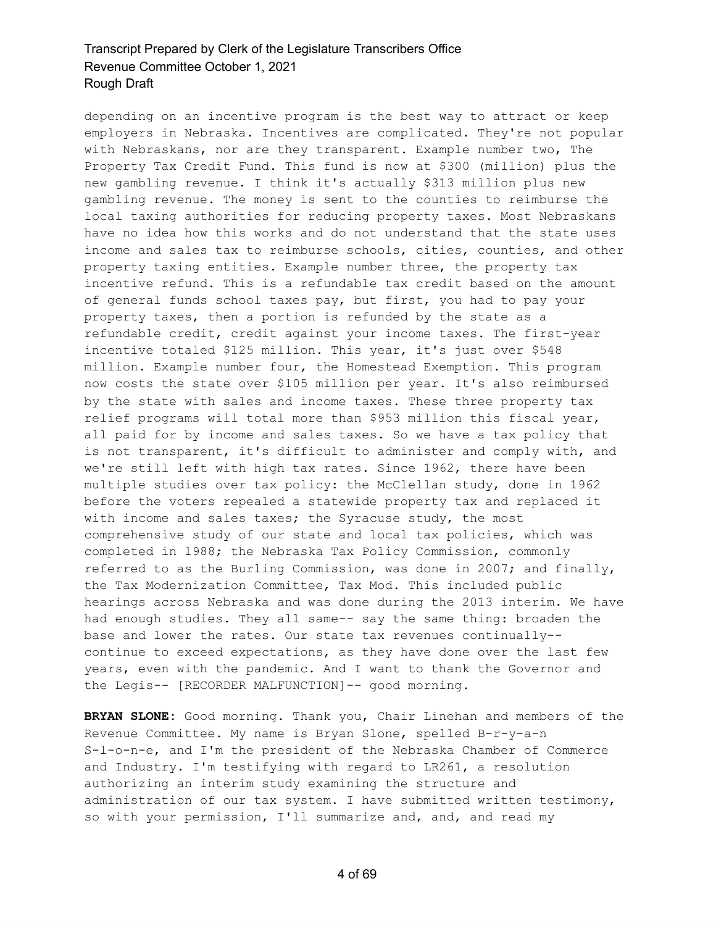depending on an incentive program is the best way to attract or keep employers in Nebraska. Incentives are complicated. They're not popular with Nebraskans, nor are they transparent. Example number two, The Property Tax Credit Fund. This fund is now at \$300 (million) plus the new gambling revenue. I think it's actually \$313 million plus new gambling revenue. The money is sent to the counties to reimburse the local taxing authorities for reducing property taxes. Most Nebraskans have no idea how this works and do not understand that the state uses income and sales tax to reimburse schools, cities, counties, and other property taxing entities. Example number three, the property tax incentive refund. This is a refundable tax credit based on the amount of general funds school taxes pay, but first, you had to pay your property taxes, then a portion is refunded by the state as a refundable credit, credit against your income taxes. The first-year incentive totaled \$125 million. This year, it's just over \$548 million. Example number four, the Homestead Exemption. This program now costs the state over \$105 million per year. It's also reimbursed by the state with sales and income taxes. These three property tax relief programs will total more than \$953 million this fiscal year, all paid for by income and sales taxes. So we have a tax policy that is not transparent, it's difficult to administer and comply with, and we're still left with high tax rates. Since 1962, there have been multiple studies over tax policy: the McClellan study, done in 1962 before the voters repealed a statewide property tax and replaced it with income and sales taxes; the Syracuse study, the most comprehensive study of our state and local tax policies, which was completed in 1988; the Nebraska Tax Policy Commission, commonly referred to as the Burling Commission, was done in 2007; and finally, the Tax Modernization Committee, Tax Mod. This included public hearings across Nebraska and was done during the 2013 interim. We have had enough studies. They all same-- say the same thing: broaden the base and lower the rates. Our state tax revenues continually- continue to exceed expectations, as they have done over the last few years, even with the pandemic. And I want to thank the Governor and the Legis-- [RECORDER MALFUNCTION]-- good morning.

**BRYAN SLONE:** Good morning. Thank you, Chair Linehan and members of the Revenue Committee. My name is Bryan Slone, spelled B-r-y-a-n S-l-o-n-e, and I'm the president of the Nebraska Chamber of Commerce and Industry. I'm testifying with regard to LR261, a resolution authorizing an interim study examining the structure and administration of our tax system. I have submitted written testimony, so with your permission, I'll summarize and, and, and read my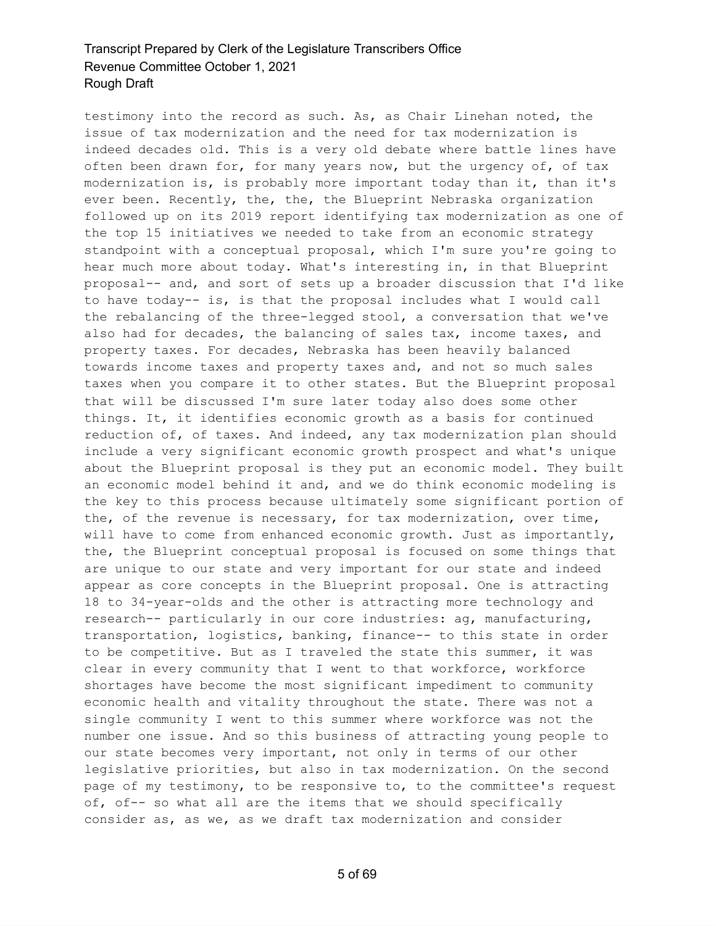testimony into the record as such. As, as Chair Linehan noted, the issue of tax modernization and the need for tax modernization is indeed decades old. This is a very old debate where battle lines have often been drawn for, for many years now, but the urgency of, of tax modernization is, is probably more important today than it, than it's ever been. Recently, the, the, the Blueprint Nebraska organization followed up on its 2019 report identifying tax modernization as one of the top 15 initiatives we needed to take from an economic strategy standpoint with a conceptual proposal, which I'm sure you're going to hear much more about today. What's interesting in, in that Blueprint proposal-- and, and sort of sets up a broader discussion that I'd like to have today-- is, is that the proposal includes what I would call the rebalancing of the three-legged stool, a conversation that we've also had for decades, the balancing of sales tax, income taxes, and property taxes. For decades, Nebraska has been heavily balanced towards income taxes and property taxes and, and not so much sales taxes when you compare it to other states. But the Blueprint proposal that will be discussed I'm sure later today also does some other things. It, it identifies economic growth as a basis for continued reduction of, of taxes. And indeed, any tax modernization plan should include a very significant economic growth prospect and what's unique about the Blueprint proposal is they put an economic model. They built an economic model behind it and, and we do think economic modeling is the key to this process because ultimately some significant portion of the, of the revenue is necessary, for tax modernization, over time, will have to come from enhanced economic growth. Just as importantly, the, the Blueprint conceptual proposal is focused on some things that are unique to our state and very important for our state and indeed appear as core concepts in the Blueprint proposal. One is attracting 18 to 34-year-olds and the other is attracting more technology and research-- particularly in our core industries: ag, manufacturing, transportation, logistics, banking, finance-- to this state in order to be competitive. But as I traveled the state this summer, it was clear in every community that I went to that workforce, workforce shortages have become the most significant impediment to community economic health and vitality throughout the state. There was not a single community I went to this summer where workforce was not the number one issue. And so this business of attracting young people to our state becomes very important, not only in terms of our other legislative priorities, but also in tax modernization. On the second page of my testimony, to be responsive to, to the committee's request of, of-- so what all are the items that we should specifically consider as, as we, as we draft tax modernization and consider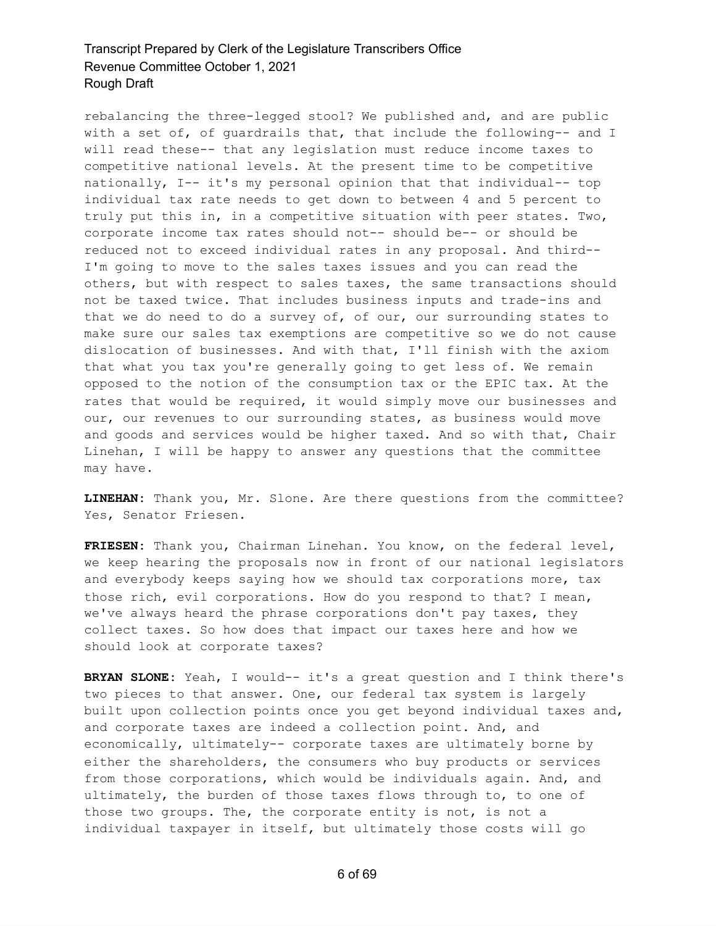rebalancing the three-legged stool? We published and, and are public with a set of, of guardrails that, that include the following-- and I will read these-- that any legislation must reduce income taxes to competitive national levels. At the present time to be competitive nationally, I-- it's my personal opinion that that individual-- top individual tax rate needs to get down to between 4 and 5 percent to truly put this in, in a competitive situation with peer states. Two, corporate income tax rates should not-- should be-- or should be reduced not to exceed individual rates in any proposal. And third-- I'm going to move to the sales taxes issues and you can read the others, but with respect to sales taxes, the same transactions should not be taxed twice. That includes business inputs and trade-ins and that we do need to do a survey of, of our, our surrounding states to make sure our sales tax exemptions are competitive so we do not cause dislocation of businesses. And with that, I'll finish with the axiom that what you tax you're generally going to get less of. We remain opposed to the notion of the consumption tax or the EPIC tax. At the rates that would be required, it would simply move our businesses and our, our revenues to our surrounding states, as business would move and goods and services would be higher taxed. And so with that, Chair Linehan, I will be happy to answer any questions that the committee may have.

**LINEHAN:** Thank you, Mr. Slone. Are there questions from the committee? Yes, Senator Friesen.

**FRIESEN:** Thank you, Chairman Linehan. You know, on the federal level, we keep hearing the proposals now in front of our national legislators and everybody keeps saying how we should tax corporations more, tax those rich, evil corporations. How do you respond to that? I mean, we've always heard the phrase corporations don't pay taxes, they collect taxes. So how does that impact our taxes here and how we should look at corporate taxes?

**BRYAN SLONE:** Yeah, I would-- it's a great question and I think there's two pieces to that answer. One, our federal tax system is largely built upon collection points once you get beyond individual taxes and, and corporate taxes are indeed a collection point. And, and economically, ultimately-- corporate taxes are ultimately borne by either the shareholders, the consumers who buy products or services from those corporations, which would be individuals again. And, and ultimately, the burden of those taxes flows through to, to one of those two groups. The, the corporate entity is not, is not a individual taxpayer in itself, but ultimately those costs will go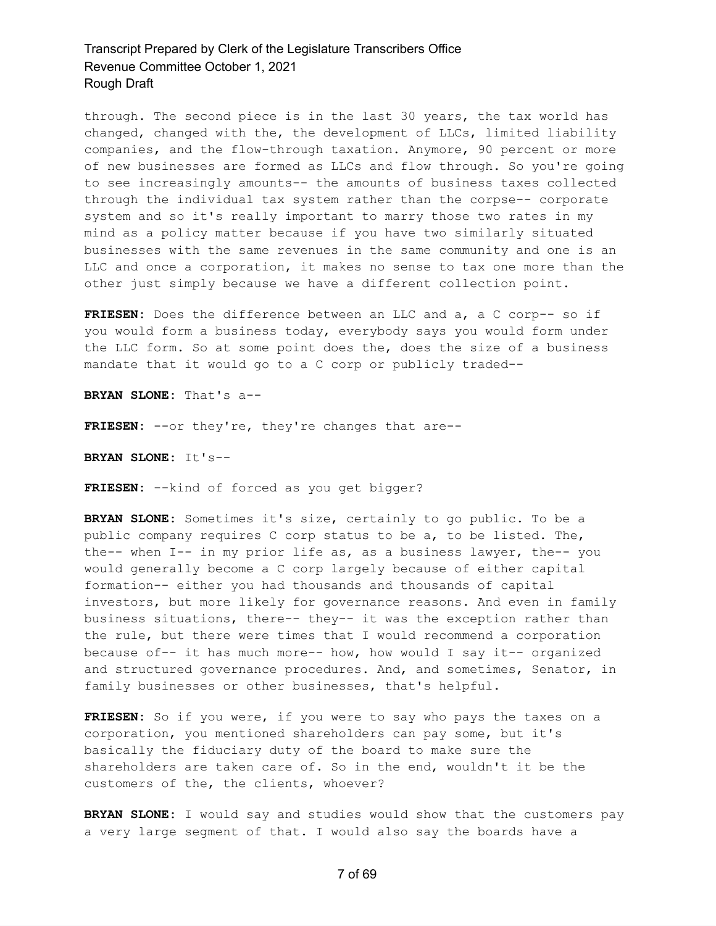through. The second piece is in the last 30 years, the tax world has changed, changed with the, the development of LLCs, limited liability companies, and the flow-through taxation. Anymore, 90 percent or more of new businesses are formed as LLCs and flow through. So you're going to see increasingly amounts-- the amounts of business taxes collected through the individual tax system rather than the corpse-- corporate system and so it's really important to marry those two rates in my mind as a policy matter because if you have two similarly situated businesses with the same revenues in the same community and one is an LLC and once a corporation, it makes no sense to tax one more than the other just simply because we have a different collection point.

**FRIESEN:** Does the difference between an LLC and a, a C corp-- so if you would form a business today, everybody says you would form under the LLC form. So at some point does the, does the size of a business mandate that it would go to a C corp or publicly traded--

**BRYAN SLONE:** That's a--

**FRIESEN:** --or they're, they're changes that are--

**BRYAN SLONE:** It's--

**FRIESEN:** --kind of forced as you get bigger?

**BRYAN SLONE:** Sometimes it's size, certainly to go public. To be a public company requires C corp status to be a, to be listed. The, the-- when I-- in my prior life as, as a business lawyer, the-- you would generally become a C corp largely because of either capital formation-- either you had thousands and thousands of capital investors, but more likely for governance reasons. And even in family business situations, there-- they-- it was the exception rather than the rule, but there were times that I would recommend a corporation because of-- it has much more-- how, how would I say it-- organized and structured governance procedures. And, and sometimes, Senator, in family businesses or other businesses, that's helpful.

**FRIESEN:** So if you were, if you were to say who pays the taxes on a corporation, you mentioned shareholders can pay some, but it's basically the fiduciary duty of the board to make sure the shareholders are taken care of. So in the end, wouldn't it be the customers of the, the clients, whoever?

**BRYAN SLONE:** I would say and studies would show that the customers pay a very large segment of that. I would also say the boards have a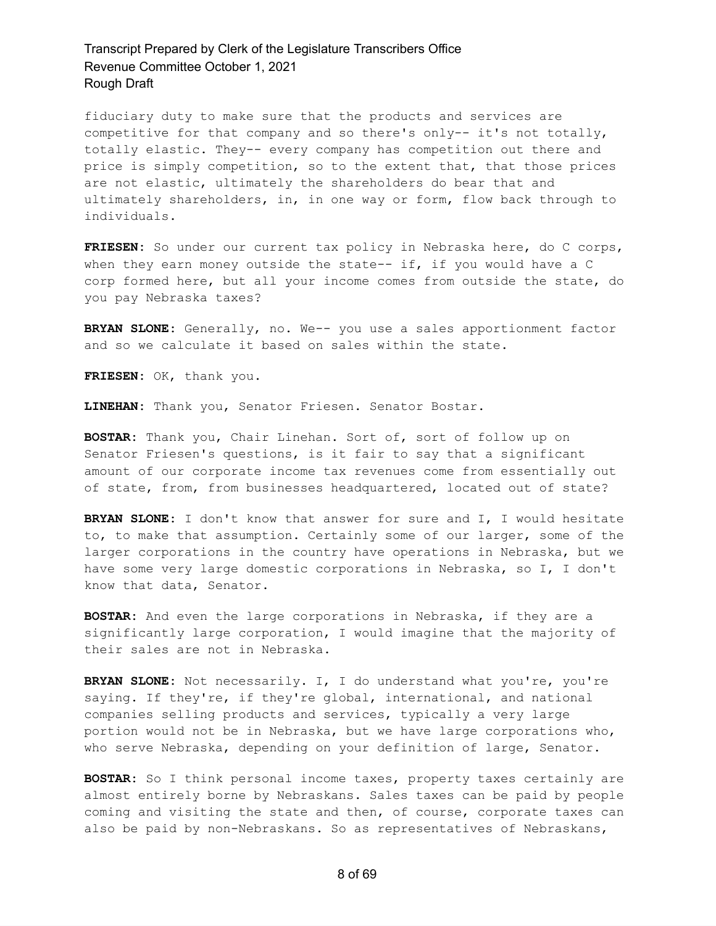fiduciary duty to make sure that the products and services are competitive for that company and so there's only-- it's not totally, totally elastic. They-- every company has competition out there and price is simply competition, so to the extent that, that those prices are not elastic, ultimately the shareholders do bear that and ultimately shareholders, in, in one way or form, flow back through to individuals.

**FRIESEN:** So under our current tax policy in Nebraska here, do C corps, when they earn money outside the state-- if, if you would have a C corp formed here, but all your income comes from outside the state, do you pay Nebraska taxes?

**BRYAN SLONE:** Generally, no. We-- you use a sales apportionment factor and so we calculate it based on sales within the state.

**FRIESEN:** OK, thank you.

**LINEHAN:** Thank you, Senator Friesen. Senator Bostar.

**BOSTAR:** Thank you, Chair Linehan. Sort of, sort of follow up on Senator Friesen's questions, is it fair to say that a significant amount of our corporate income tax revenues come from essentially out of state, from, from businesses headquartered, located out of state?

**BRYAN SLONE:** I don't know that answer for sure and I, I would hesitate to, to make that assumption. Certainly some of our larger, some of the larger corporations in the country have operations in Nebraska, but we have some very large domestic corporations in Nebraska, so I, I don't know that data, Senator.

**BOSTAR:** And even the large corporations in Nebraska, if they are a significantly large corporation, I would imagine that the majority of their sales are not in Nebraska.

**BRYAN SLONE:** Not necessarily. I, I do understand what you're, you're saying. If they're, if they're global, international, and national companies selling products and services, typically a very large portion would not be in Nebraska, but we have large corporations who, who serve Nebraska, depending on your definition of large, Senator.

**BOSTAR:** So I think personal income taxes, property taxes certainly are almost entirely borne by Nebraskans. Sales taxes can be paid by people coming and visiting the state and then, of course, corporate taxes can also be paid by non-Nebraskans. So as representatives of Nebraskans,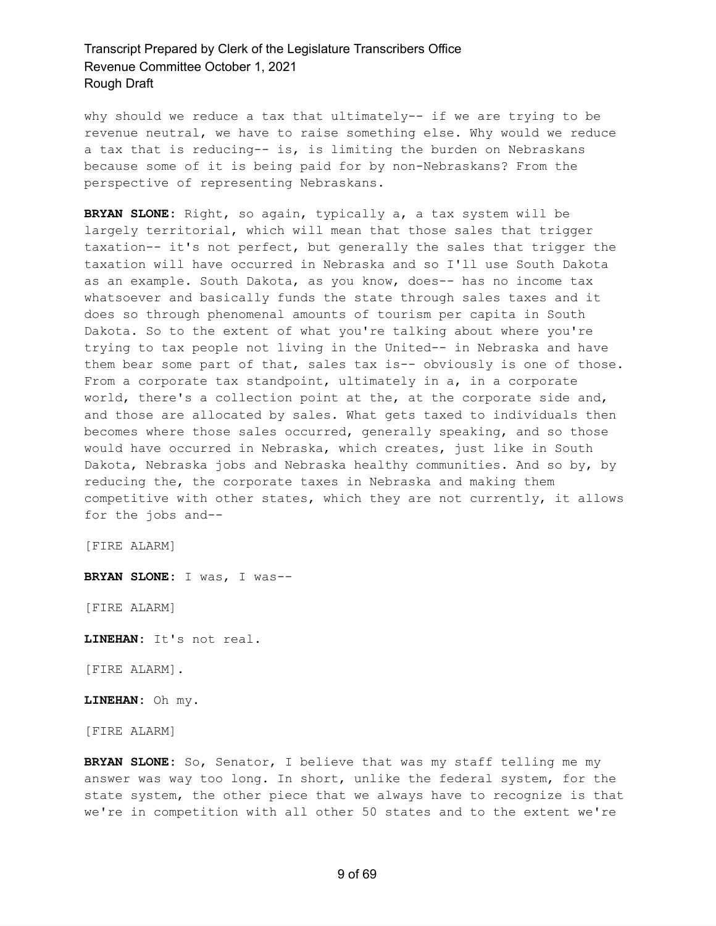why should we reduce a tax that ultimately-- if we are trying to be revenue neutral, we have to raise something else. Why would we reduce a tax that is reducing-- is, is limiting the burden on Nebraskans because some of it is being paid for by non-Nebraskans? From the perspective of representing Nebraskans.

**BRYAN SLONE:** Right, so again, typically a, a tax system will be largely territorial, which will mean that those sales that trigger taxation-- it's not perfect, but generally the sales that trigger the taxation will have occurred in Nebraska and so I'll use South Dakota as an example. South Dakota, as you know, does-- has no income tax whatsoever and basically funds the state through sales taxes and it does so through phenomenal amounts of tourism per capita in South Dakota. So to the extent of what you're talking about where you're trying to tax people not living in the United-- in Nebraska and have them bear some part of that, sales tax is-- obviously is one of those. From a corporate tax standpoint, ultimately in a, in a corporate world, there's a collection point at the, at the corporate side and, and those are allocated by sales. What gets taxed to individuals then becomes where those sales occurred, generally speaking, and so those would have occurred in Nebraska, which creates, just like in South Dakota, Nebraska jobs and Nebraska healthy communities. And so by, by reducing the, the corporate taxes in Nebraska and making them competitive with other states, which they are not currently, it allows for the jobs and--

[FIRE ALARM]

**BRYAN SLONE:** I was, I was--

[FIRE ALARM]

**LINEHAN:** It's not real.

[FIRE ALARM].

**LINEHAN:** Oh my.

[FIRE ALARM]

**BRYAN SLONE:** So, Senator, I believe that was my staff telling me my answer was way too long. In short, unlike the federal system, for the state system, the other piece that we always have to recognize is that we're in competition with all other 50 states and to the extent we're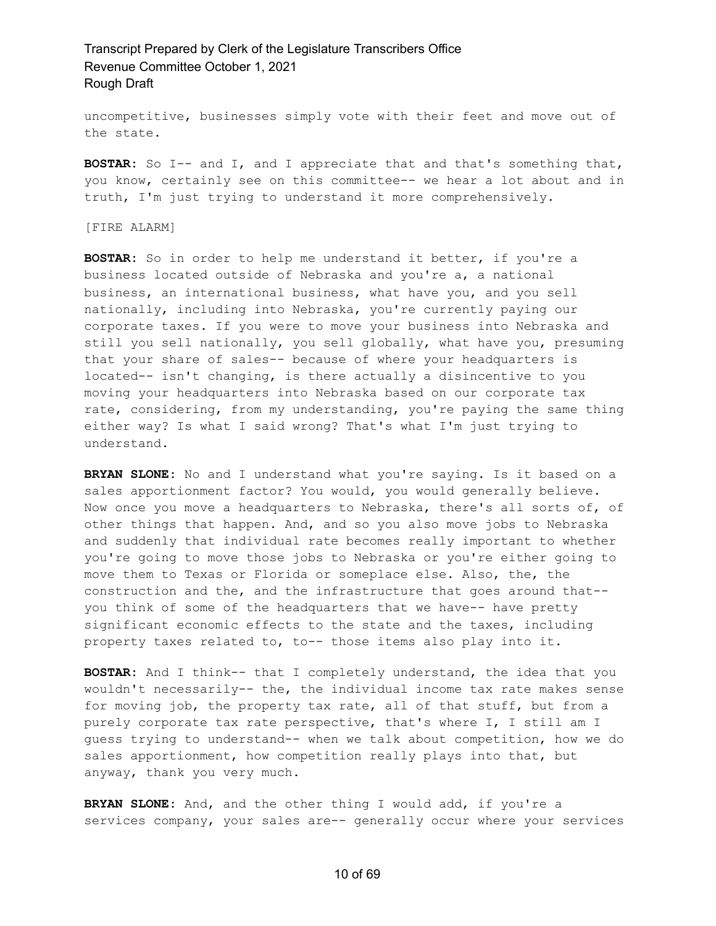uncompetitive, businesses simply vote with their feet and move out of the state.

**BOSTAR:** So I-- and I, and I appreciate that and that's something that, you know, certainly see on this committee-- we hear a lot about and in truth, I'm just trying to understand it more comprehensively.

[FIRE ALARM]

**BOSTAR:** So in order to help me understand it better, if you're a business located outside of Nebraska and you're a, a national business, an international business, what have you, and you sell nationally, including into Nebraska, you're currently paying our corporate taxes. If you were to move your business into Nebraska and still you sell nationally, you sell globally, what have you, presuming that your share of sales-- because of where your headquarters is located-- isn't changing, is there actually a disincentive to you moving your headquarters into Nebraska based on our corporate tax rate, considering, from my understanding, you're paying the same thing either way? Is what I said wrong? That's what I'm just trying to understand.

**BRYAN SLONE:** No and I understand what you're saying. Is it based on a sales apportionment factor? You would, you would generally believe. Now once you move a headquarters to Nebraska, there's all sorts of, of other things that happen. And, and so you also move jobs to Nebraska and suddenly that individual rate becomes really important to whether you're going to move those jobs to Nebraska or you're either going to move them to Texas or Florida or someplace else. Also, the, the construction and the, and the infrastructure that goes around that- you think of some of the headquarters that we have-- have pretty significant economic effects to the state and the taxes, including property taxes related to, to-- those items also play into it.

**BOSTAR:** And I think-- that I completely understand, the idea that you wouldn't necessarily-- the, the individual income tax rate makes sense for moving job, the property tax rate, all of that stuff, but from a purely corporate tax rate perspective, that's where I, I still am I guess trying to understand-- when we talk about competition, how we do sales apportionment, how competition really plays into that, but anyway, thank you very much.

**BRYAN SLONE:** And, and the other thing I would add, if you're a services company, your sales are-- generally occur where your services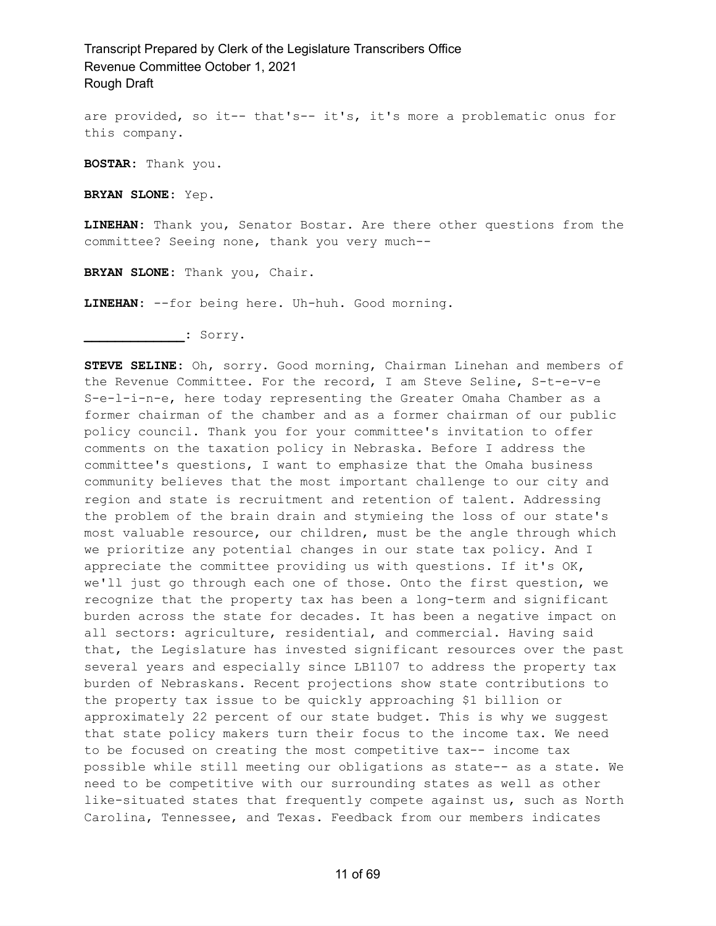are provided, so it-- that's-- it's, it's more a problematic onus for this company.

**BOSTAR:** Thank you.

**BRYAN SLONE:** Yep.

**LINEHAN:** Thank you, Senator Bostar. Are there other questions from the committee? Seeing none, thank you very much--

**BRYAN SLONE:** Thank you, Chair.

**LINEHAN:** --for being here. Uh-huh. Good morning.

**\_\_\_\_\_\_\_\_\_\_\_\_\_:** Sorry.

**STEVE SELINE:** Oh, sorry. Good morning, Chairman Linehan and members of the Revenue Committee. For the record, I am Steve Seline, S-t-e-v-e S-e-l-i-n-e, here today representing the Greater Omaha Chamber as a former chairman of the chamber and as a former chairman of our public policy council. Thank you for your committee's invitation to offer comments on the taxation policy in Nebraska. Before I address the committee's questions, I want to emphasize that the Omaha business community believes that the most important challenge to our city and region and state is recruitment and retention of talent. Addressing the problem of the brain drain and stymieing the loss of our state's most valuable resource, our children, must be the angle through which we prioritize any potential changes in our state tax policy. And I appreciate the committee providing us with questions. If it's OK, we'll just go through each one of those. Onto the first question, we recognize that the property tax has been a long-term and significant burden across the state for decades. It has been a negative impact on all sectors: agriculture, residential, and commercial. Having said that, the Legislature has invested significant resources over the past several years and especially since LB1107 to address the property tax burden of Nebraskans. Recent projections show state contributions to the property tax issue to be quickly approaching \$1 billion or approximately 22 percent of our state budget. This is why we suggest that state policy makers turn their focus to the income tax. We need to be focused on creating the most competitive tax-- income tax possible while still meeting our obligations as state-- as a state. We need to be competitive with our surrounding states as well as other like-situated states that frequently compete against us, such as North Carolina, Tennessee, and Texas. Feedback from our members indicates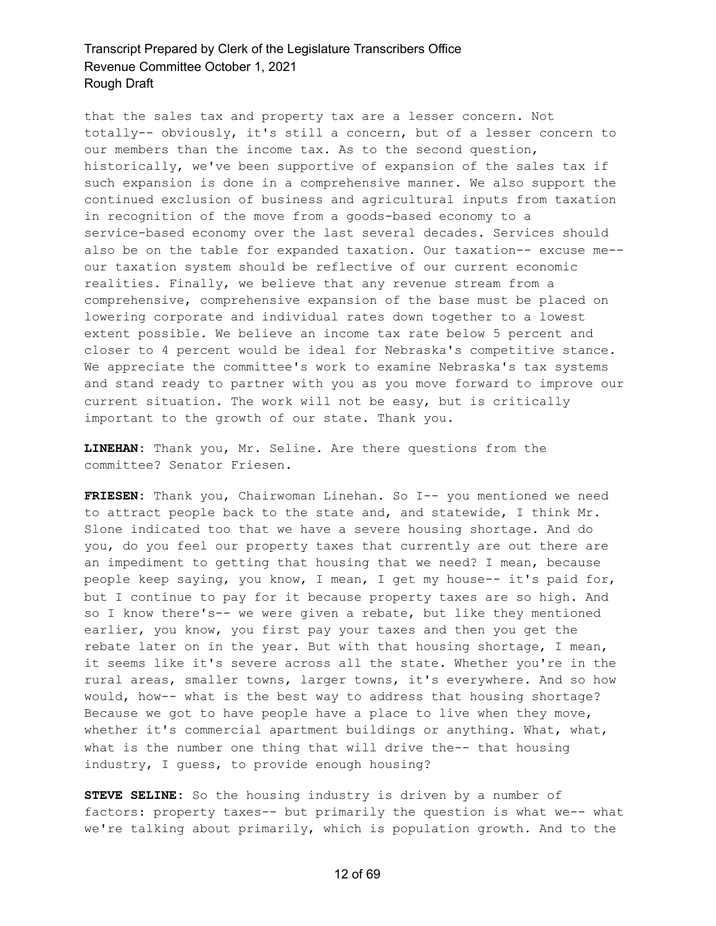that the sales tax and property tax are a lesser concern. Not totally-- obviously, it's still a concern, but of a lesser concern to our members than the income tax. As to the second question, historically, we've been supportive of expansion of the sales tax if such expansion is done in a comprehensive manner. We also support the continued exclusion of business and agricultural inputs from taxation in recognition of the move from a goods-based economy to a service-based economy over the last several decades. Services should also be on the table for expanded taxation. Our taxation-- excuse me- our taxation system should be reflective of our current economic realities. Finally, we believe that any revenue stream from a comprehensive, comprehensive expansion of the base must be placed on lowering corporate and individual rates down together to a lowest extent possible. We believe an income tax rate below 5 percent and closer to 4 percent would be ideal for Nebraska's competitive stance. We appreciate the committee's work to examine Nebraska's tax systems and stand ready to partner with you as you move forward to improve our current situation. The work will not be easy, but is critically important to the growth of our state. Thank you.

**LINEHAN:** Thank you, Mr. Seline. Are there questions from the committee? Senator Friesen.

**FRIESEN:** Thank you, Chairwoman Linehan. So I-- you mentioned we need to attract people back to the state and, and statewide, I think Mr. Slone indicated too that we have a severe housing shortage. And do you, do you feel our property taxes that currently are out there are an impediment to getting that housing that we need? I mean, because people keep saying, you know, I mean, I get my house-- it's paid for, but I continue to pay for it because property taxes are so high. And so I know there's-- we were given a rebate, but like they mentioned earlier, you know, you first pay your taxes and then you get the rebate later on in the year. But with that housing shortage, I mean, it seems like it's severe across all the state. Whether you're in the rural areas, smaller towns, larger towns, it's everywhere. And so how would, how-- what is the best way to address that housing shortage? Because we got to have people have a place to live when they move, whether it's commercial apartment buildings or anything. What, what, what is the number one thing that will drive the-- that housing industry, I guess, to provide enough housing?

**STEVE SELINE:** So the housing industry is driven by a number of factors: property taxes-- but primarily the question is what we-- what we're talking about primarily, which is population growth. And to the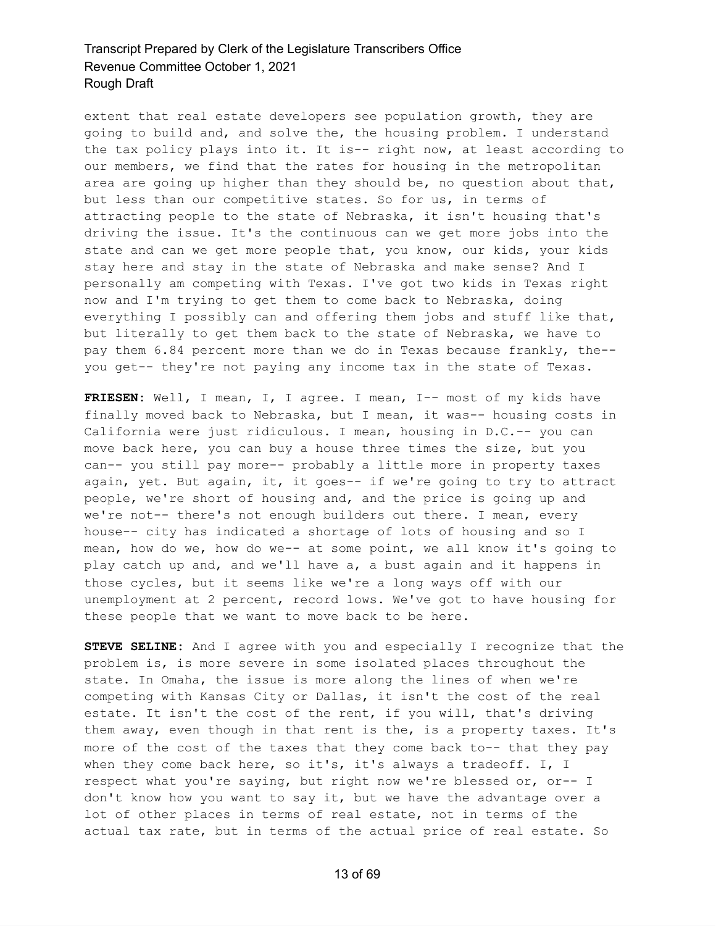extent that real estate developers see population growth, they are going to build and, and solve the, the housing problem. I understand the tax policy plays into it. It is-- right now, at least according to our members, we find that the rates for housing in the metropolitan area are going up higher than they should be, no question about that, but less than our competitive states. So for us, in terms of attracting people to the state of Nebraska, it isn't housing that's driving the issue. It's the continuous can we get more jobs into the state and can we get more people that, you know, our kids, your kids stay here and stay in the state of Nebraska and make sense? And I personally am competing with Texas. I've got two kids in Texas right now and I'm trying to get them to come back to Nebraska, doing everything I possibly can and offering them jobs and stuff like that, but literally to get them back to the state of Nebraska, we have to pay them 6.84 percent more than we do in Texas because frankly, the- you get-- they're not paying any income tax in the state of Texas.

**FRIESEN:** Well, I mean, I, I agree. I mean, I-- most of my kids have finally moved back to Nebraska, but I mean, it was-- housing costs in California were just ridiculous. I mean, housing in D.C.-- you can move back here, you can buy a house three times the size, but you can-- you still pay more-- probably a little more in property taxes again, yet. But again, it, it goes-- if we're going to try to attract people, we're short of housing and, and the price is going up and we're not-- there's not enough builders out there. I mean, every house-- city has indicated a shortage of lots of housing and so I mean, how do we, how do we-- at some point, we all know it's going to play catch up and, and we'll have a, a bust again and it happens in those cycles, but it seems like we're a long ways off with our unemployment at 2 percent, record lows. We've got to have housing for these people that we want to move back to be here.

**STEVE SELINE:** And I agree with you and especially I recognize that the problem is, is more severe in some isolated places throughout the state. In Omaha, the issue is more along the lines of when we're competing with Kansas City or Dallas, it isn't the cost of the real estate. It isn't the cost of the rent, if you will, that's driving them away, even though in that rent is the, is a property taxes. It's more of the cost of the taxes that they come back to-- that they pay when they come back here, so it's, it's always a tradeoff. I, I respect what you're saying, but right now we're blessed or, or-- I don't know how you want to say it, but we have the advantage over a lot of other places in terms of real estate, not in terms of the actual tax rate, but in terms of the actual price of real estate. So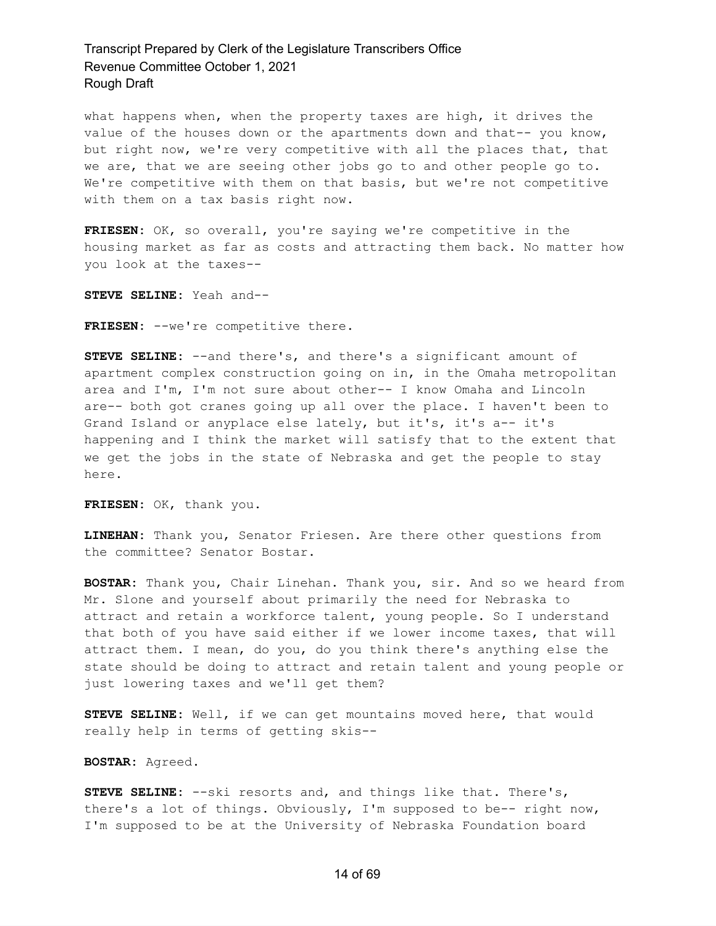what happens when, when the property taxes are high, it drives the value of the houses down or the apartments down and that-- you know, but right now, we're very competitive with all the places that, that we are, that we are seeing other jobs go to and other people go to. We're competitive with them on that basis, but we're not competitive with them on a tax basis right now.

**FRIESEN:** OK, so overall, you're saying we're competitive in the housing market as far as costs and attracting them back. No matter how you look at the taxes--

**STEVE SELINE:** Yeah and--

FRIESEN: --we're competitive there.

**STEVE SELINE:** --and there's, and there's a significant amount of apartment complex construction going on in, in the Omaha metropolitan area and I'm, I'm not sure about other-- I know Omaha and Lincoln are-- both got cranes going up all over the place. I haven't been to Grand Island or anyplace else lately, but it's, it's a-- it's happening and I think the market will satisfy that to the extent that we get the jobs in the state of Nebraska and get the people to stay here.

**FRIESEN:** OK, thank you.

**LINEHAN:** Thank you, Senator Friesen. Are there other questions from the committee? Senator Bostar.

**BOSTAR:** Thank you, Chair Linehan. Thank you, sir. And so we heard from Mr. Slone and yourself about primarily the need for Nebraska to attract and retain a workforce talent, young people. So I understand that both of you have said either if we lower income taxes, that will attract them. I mean, do you, do you think there's anything else the state should be doing to attract and retain talent and young people or just lowering taxes and we'll get them?

**STEVE SELINE:** Well, if we can get mountains moved here, that would really help in terms of getting skis--

**BOSTAR:** Agreed.

**STEVE SELINE:** --ski resorts and, and things like that. There's, there's a lot of things. Obviously, I'm supposed to be-- right now, I'm supposed to be at the University of Nebraska Foundation board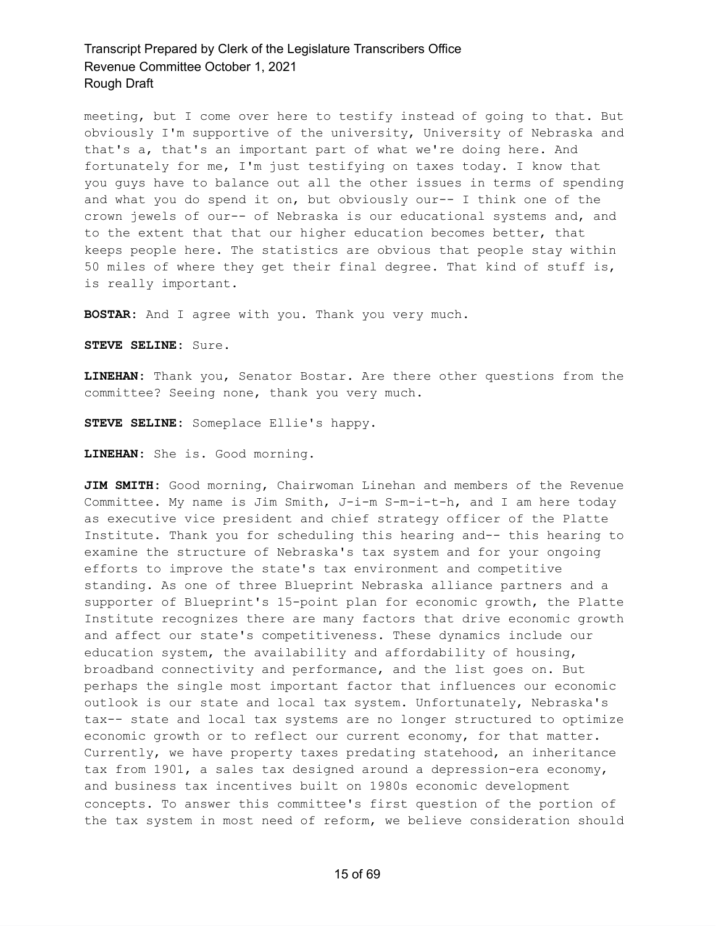meeting, but I come over here to testify instead of going to that. But obviously I'm supportive of the university, University of Nebraska and that's a, that's an important part of what we're doing here. And fortunately for me, I'm just testifying on taxes today. I know that you guys have to balance out all the other issues in terms of spending and what you do spend it on, but obviously our-- I think one of the crown jewels of our-- of Nebraska is our educational systems and, and to the extent that that our higher education becomes better, that keeps people here. The statistics are obvious that people stay within 50 miles of where they get their final degree. That kind of stuff is, is really important.

**BOSTAR:** And I agree with you. Thank you very much.

**STEVE SELINE:** Sure.

**LINEHAN:** Thank you, Senator Bostar. Are there other questions from the committee? Seeing none, thank you very much.

**STEVE SELINE:** Someplace Ellie's happy.

**LINEHAN:** She is. Good morning.

**JIM SMITH:** Good morning, Chairwoman Linehan and members of the Revenue Committee. My name is Jim Smith, J-i-m S-m-i-t-h, and I am here today as executive vice president and chief strategy officer of the Platte Institute. Thank you for scheduling this hearing and-- this hearing to examine the structure of Nebraska's tax system and for your ongoing efforts to improve the state's tax environment and competitive standing. As one of three Blueprint Nebraska alliance partners and a supporter of Blueprint's 15-point plan for economic growth, the Platte Institute recognizes there are many factors that drive economic growth and affect our state's competitiveness. These dynamics include our education system, the availability and affordability of housing, broadband connectivity and performance, and the list goes on. But perhaps the single most important factor that influences our economic outlook is our state and local tax system. Unfortunately, Nebraska's tax-- state and local tax systems are no longer structured to optimize economic growth or to reflect our current economy, for that matter. Currently, we have property taxes predating statehood, an inheritance tax from 1901, a sales tax designed around a depression-era economy, and business tax incentives built on 1980s economic development concepts. To answer this committee's first question of the portion of the tax system in most need of reform, we believe consideration should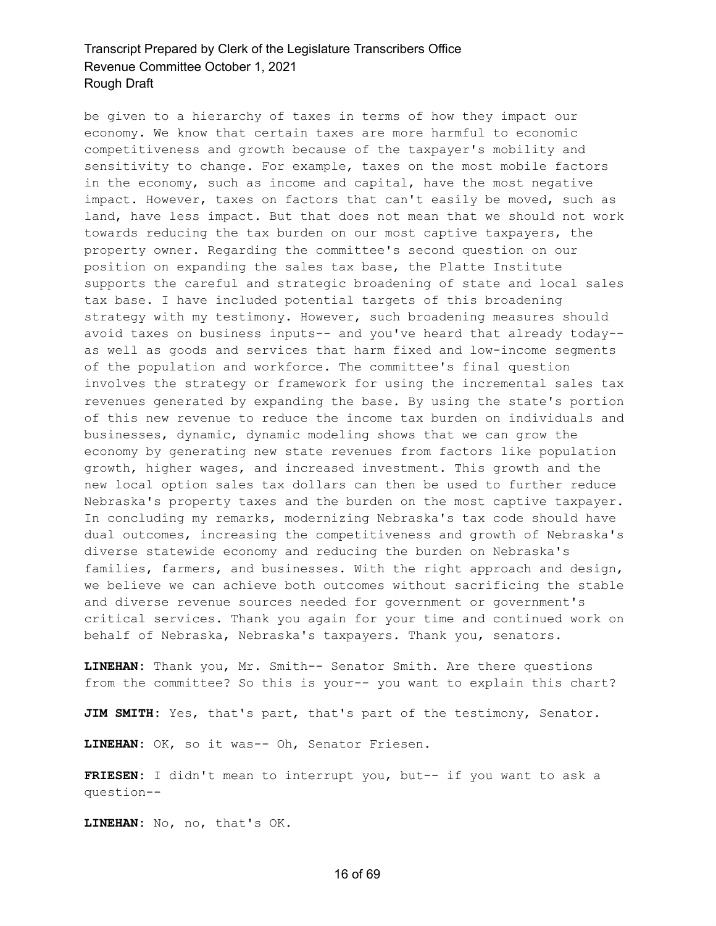be given to a hierarchy of taxes in terms of how they impact our economy. We know that certain taxes are more harmful to economic competitiveness and growth because of the taxpayer's mobility and sensitivity to change. For example, taxes on the most mobile factors in the economy, such as income and capital, have the most negative impact. However, taxes on factors that can't easily be moved, such as land, have less impact. But that does not mean that we should not work towards reducing the tax burden on our most captive taxpayers, the property owner. Regarding the committee's second question on our position on expanding the sales tax base, the Platte Institute supports the careful and strategic broadening of state and local sales tax base. I have included potential targets of this broadening strategy with my testimony. However, such broadening measures should avoid taxes on business inputs-- and you've heard that already today- as well as goods and services that harm fixed and low-income segments of the population and workforce. The committee's final question involves the strategy or framework for using the incremental sales tax revenues generated by expanding the base. By using the state's portion of this new revenue to reduce the income tax burden on individuals and businesses, dynamic, dynamic modeling shows that we can grow the economy by generating new state revenues from factors like population growth, higher wages, and increased investment. This growth and the new local option sales tax dollars can then be used to further reduce Nebraska's property taxes and the burden on the most captive taxpayer. In concluding my remarks, modernizing Nebraska's tax code should have dual outcomes, increasing the competitiveness and growth of Nebraska's diverse statewide economy and reducing the burden on Nebraska's families, farmers, and businesses. With the right approach and design, we believe we can achieve both outcomes without sacrificing the stable and diverse revenue sources needed for government or government's critical services. Thank you again for your time and continued work on behalf of Nebraska, Nebraska's taxpayers. Thank you, senators.

**LINEHAN:** Thank you, Mr. Smith-- Senator Smith. Are there questions from the committee? So this is your-- you want to explain this chart?

**JIM SMITH:** Yes, that's part, that's part of the testimony, Senator.

**LINEHAN:** OK, so it was-- Oh, Senator Friesen.

**FRIESEN:** I didn't mean to interrupt you, but-- if you want to ask a question--

**LINEHAN:** No, no, that's OK.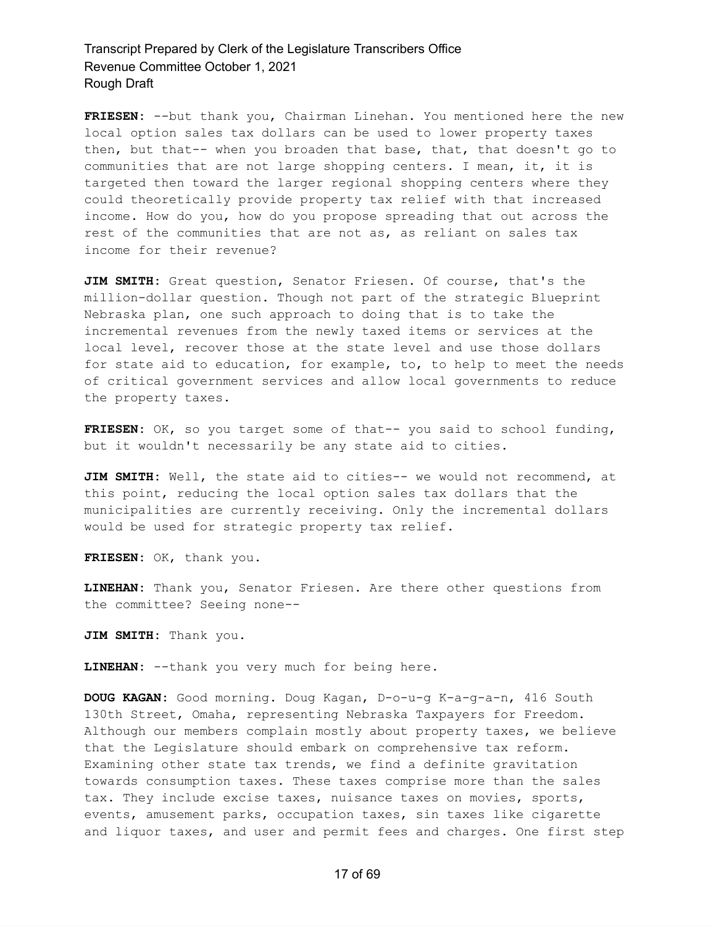**FRIESEN:** --but thank you, Chairman Linehan. You mentioned here the new local option sales tax dollars can be used to lower property taxes then, but that-- when you broaden that base, that, that doesn't go to communities that are not large shopping centers. I mean, it, it is targeted then toward the larger regional shopping centers where they could theoretically provide property tax relief with that increased income. How do you, how do you propose spreading that out across the rest of the communities that are not as, as reliant on sales tax income for their revenue?

**JIM SMITH:** Great question, Senator Friesen. Of course, that's the million-dollar question. Though not part of the strategic Blueprint Nebraska plan, one such approach to doing that is to take the incremental revenues from the newly taxed items or services at the local level, recover those at the state level and use those dollars for state aid to education, for example, to, to help to meet the needs of critical government services and allow local governments to reduce the property taxes.

**FRIESEN:** OK, so you target some of that-- you said to school funding, but it wouldn't necessarily be any state aid to cities.

**JIM SMITH:** Well, the state aid to cities-- we would not recommend, at this point, reducing the local option sales tax dollars that the municipalities are currently receiving. Only the incremental dollars would be used for strategic property tax relief.

**FRIESEN:** OK, thank you.

**LINEHAN:** Thank you, Senator Friesen. Are there other questions from the committee? Seeing none--

**JIM SMITH:** Thank you.

**LINEHAN:** --thank you very much for being here.

**DOUG KAGAN:** Good morning. Doug Kagan, D-o-u-g K-a-g-a-n, 416 South 130th Street, Omaha, representing Nebraska Taxpayers for Freedom. Although our members complain mostly about property taxes, we believe that the Legislature should embark on comprehensive tax reform. Examining other state tax trends, we find a definite gravitation towards consumption taxes. These taxes comprise more than the sales tax. They include excise taxes, nuisance taxes on movies, sports, events, amusement parks, occupation taxes, sin taxes like cigarette and liquor taxes, and user and permit fees and charges. One first step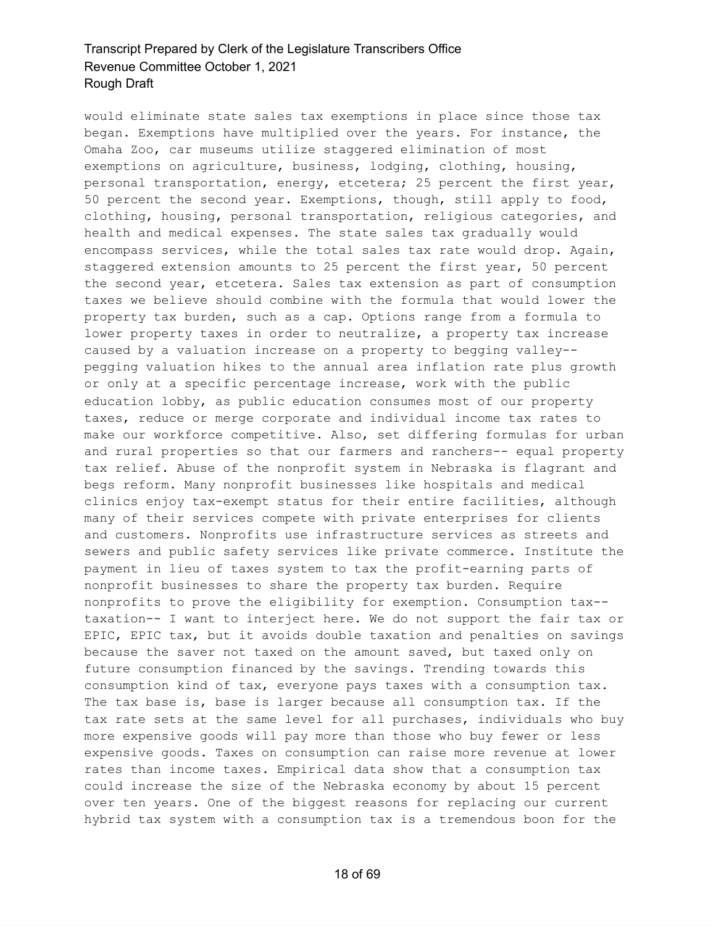would eliminate state sales tax exemptions in place since those tax began. Exemptions have multiplied over the years. For instance, the Omaha Zoo, car museums utilize staggered elimination of most exemptions on agriculture, business, lodging, clothing, housing, personal transportation, energy, etcetera; 25 percent the first year, 50 percent the second year. Exemptions, though, still apply to food, clothing, housing, personal transportation, religious categories, and health and medical expenses. The state sales tax gradually would encompass services, while the total sales tax rate would drop. Again, staggered extension amounts to 25 percent the first year, 50 percent the second year, etcetera. Sales tax extension as part of consumption taxes we believe should combine with the formula that would lower the property tax burden, such as a cap. Options range from a formula to lower property taxes in order to neutralize, a property tax increase caused by a valuation increase on a property to begging valley- pegging valuation hikes to the annual area inflation rate plus growth or only at a specific percentage increase, work with the public education lobby, as public education consumes most of our property taxes, reduce or merge corporate and individual income tax rates to make our workforce competitive. Also, set differing formulas for urban and rural properties so that our farmers and ranchers-- equal property tax relief. Abuse of the nonprofit system in Nebraska is flagrant and begs reform. Many nonprofit businesses like hospitals and medical clinics enjoy tax-exempt status for their entire facilities, although many of their services compete with private enterprises for clients and customers. Nonprofits use infrastructure services as streets and sewers and public safety services like private commerce. Institute the payment in lieu of taxes system to tax the profit-earning parts of nonprofit businesses to share the property tax burden. Require nonprofits to prove the eligibility for exemption. Consumption tax- taxation-- I want to interject here. We do not support the fair tax or EPIC, EPIC tax, but it avoids double taxation and penalties on savings because the saver not taxed on the amount saved, but taxed only on future consumption financed by the savings. Trending towards this consumption kind of tax, everyone pays taxes with a consumption tax. The tax base is, base is larger because all consumption tax. If the tax rate sets at the same level for all purchases, individuals who buy more expensive goods will pay more than those who buy fewer or less expensive goods. Taxes on consumption can raise more revenue at lower rates than income taxes. Empirical data show that a consumption tax could increase the size of the Nebraska economy by about 15 percent over ten years. One of the biggest reasons for replacing our current hybrid tax system with a consumption tax is a tremendous boon for the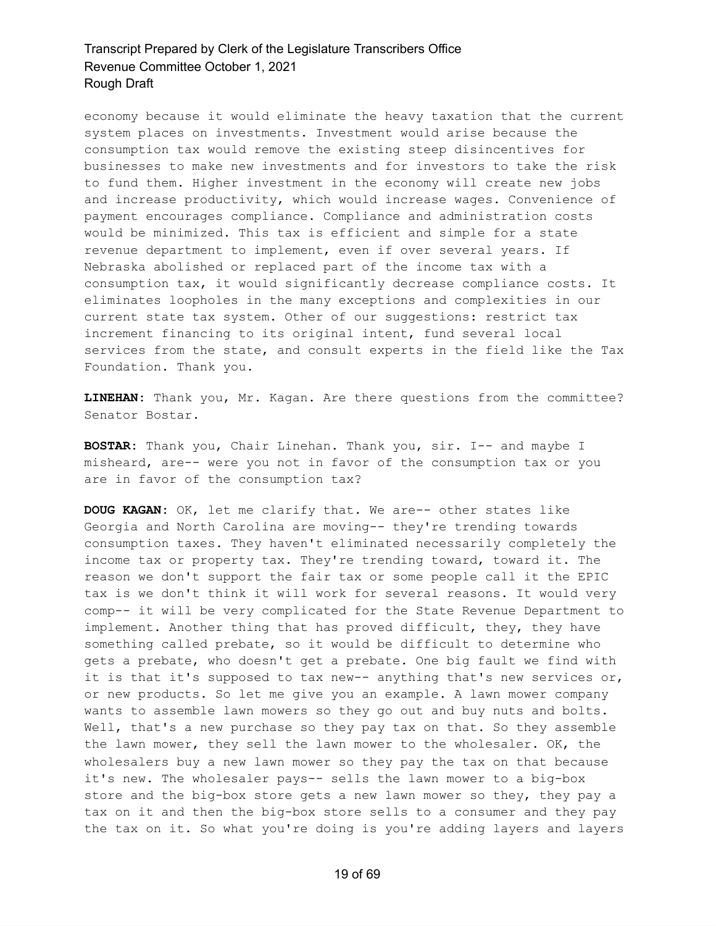economy because it would eliminate the heavy taxation that the current system places on investments. Investment would arise because the consumption tax would remove the existing steep disincentives for businesses to make new investments and for investors to take the risk to fund them. Higher investment in the economy will create new jobs and increase productivity, which would increase wages. Convenience of payment encourages compliance. Compliance and administration costs would be minimized. This tax is efficient and simple for a state revenue department to implement, even if over several years. If Nebraska abolished or replaced part of the income tax with a consumption tax, it would significantly decrease compliance costs. It eliminates loopholes in the many exceptions and complexities in our current state tax system. Other of our suggestions: restrict tax increment financing to its original intent, fund several local services from the state, and consult experts in the field like the Tax Foundation. Thank you.

**LINEHAN:** Thank you, Mr. Kagan. Are there questions from the committee? Senator Bostar.

**BOSTAR:** Thank you, Chair Linehan. Thank you, sir. I-- and maybe I misheard, are-- were you not in favor of the consumption tax or you are in favor of the consumption tax?

**DOUG KAGAN:** OK, let me clarify that. We are-- other states like Georgia and North Carolina are moving-- they're trending towards consumption taxes. They haven't eliminated necessarily completely the income tax or property tax. They're trending toward, toward it. The reason we don't support the fair tax or some people call it the EPIC tax is we don't think it will work for several reasons. It would very comp-- it will be very complicated for the State Revenue Department to implement. Another thing that has proved difficult, they, they have something called prebate, so it would be difficult to determine who gets a prebate, who doesn't get a prebate. One big fault we find with it is that it's supposed to tax new-- anything that's new services or, or new products. So let me give you an example. A lawn mower company wants to assemble lawn mowers so they go out and buy nuts and bolts. Well, that's a new purchase so they pay tax on that. So they assemble the lawn mower, they sell the lawn mower to the wholesaler. OK, the wholesalers buy a new lawn mower so they pay the tax on that because it's new. The wholesaler pays-- sells the lawn mower to a big-box store and the big-box store gets a new lawn mower so they, they pay a tax on it and then the big-box store sells to a consumer and they pay the tax on it. So what you're doing is you're adding layers and layers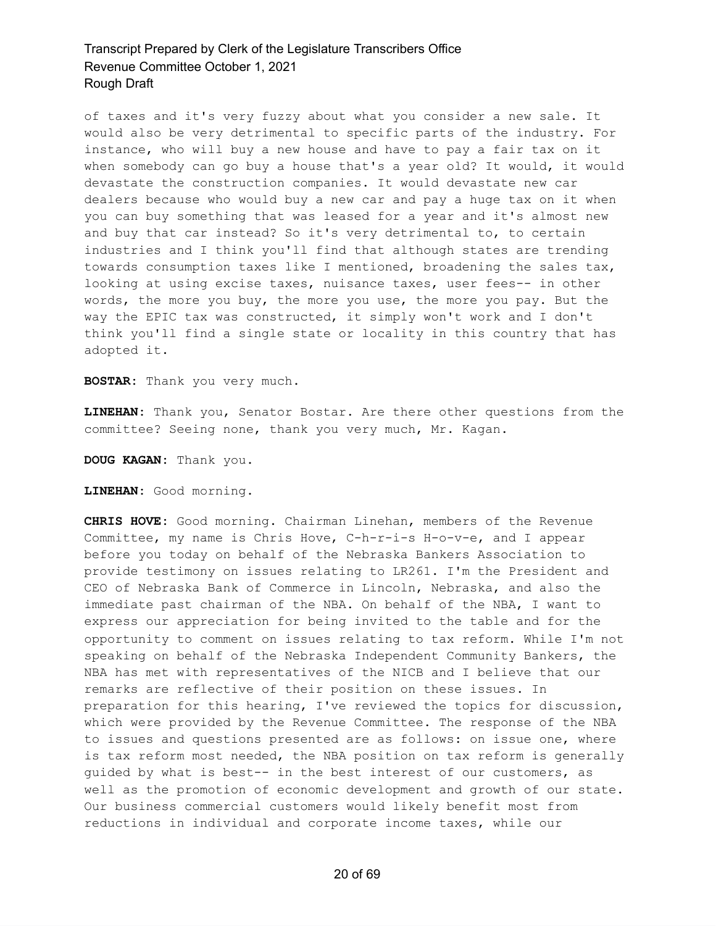of taxes and it's very fuzzy about what you consider a new sale. It would also be very detrimental to specific parts of the industry. For instance, who will buy a new house and have to pay a fair tax on it when somebody can go buy a house that's a year old? It would, it would devastate the construction companies. It would devastate new car dealers because who would buy a new car and pay a huge tax on it when you can buy something that was leased for a year and it's almost new and buy that car instead? So it's very detrimental to, to certain industries and I think you'll find that although states are trending towards consumption taxes like I mentioned, broadening the sales tax, looking at using excise taxes, nuisance taxes, user fees-- in other words, the more you buy, the more you use, the more you pay. But the way the EPIC tax was constructed, it simply won't work and I don't think you'll find a single state or locality in this country that has adopted it.

**BOSTAR:** Thank you very much.

**LINEHAN:** Thank you, Senator Bostar. Are there other questions from the committee? Seeing none, thank you very much, Mr. Kagan.

**DOUG KAGAN:** Thank you.

**LINEHAN:** Good morning.

**CHRIS HOVE:** Good morning. Chairman Linehan, members of the Revenue Committee, my name is Chris Hove, C-h-r-i-s H-o-v-e, and I appear before you today on behalf of the Nebraska Bankers Association to provide testimony on issues relating to LR261. I'm the President and CEO of Nebraska Bank of Commerce in Lincoln, Nebraska, and also the immediate past chairman of the NBA. On behalf of the NBA, I want to express our appreciation for being invited to the table and for the opportunity to comment on issues relating to tax reform. While I'm not speaking on behalf of the Nebraska Independent Community Bankers, the NBA has met with representatives of the NICB and I believe that our remarks are reflective of their position on these issues. In preparation for this hearing, I've reviewed the topics for discussion, which were provided by the Revenue Committee. The response of the NBA to issues and questions presented are as follows: on issue one, where is tax reform most needed, the NBA position on tax reform is generally guided by what is best-- in the best interest of our customers, as well as the promotion of economic development and growth of our state. Our business commercial customers would likely benefit most from reductions in individual and corporate income taxes, while our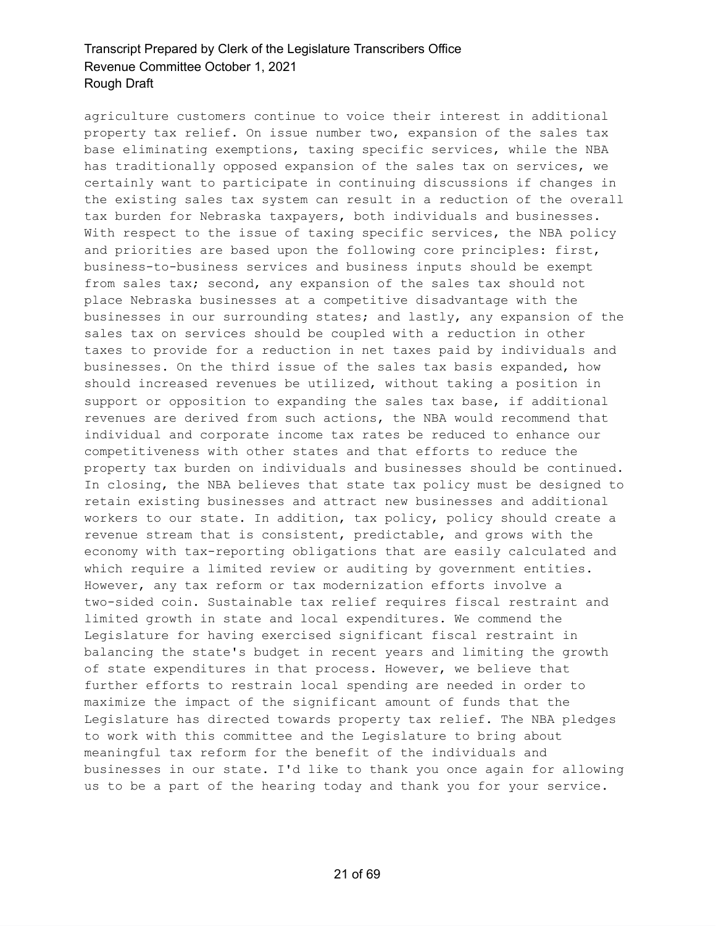agriculture customers continue to voice their interest in additional property tax relief. On issue number two, expansion of the sales tax base eliminating exemptions, taxing specific services, while the NBA has traditionally opposed expansion of the sales tax on services, we certainly want to participate in continuing discussions if changes in the existing sales tax system can result in a reduction of the overall tax burden for Nebraska taxpayers, both individuals and businesses. With respect to the issue of taxing specific services, the NBA policy and priorities are based upon the following core principles: first, business-to-business services and business inputs should be exempt from sales tax; second, any expansion of the sales tax should not place Nebraska businesses at a competitive disadvantage with the businesses in our surrounding states; and lastly, any expansion of the sales tax on services should be coupled with a reduction in other taxes to provide for a reduction in net taxes paid by individuals and businesses. On the third issue of the sales tax basis expanded, how should increased revenues be utilized, without taking a position in support or opposition to expanding the sales tax base, if additional revenues are derived from such actions, the NBA would recommend that individual and corporate income tax rates be reduced to enhance our competitiveness with other states and that efforts to reduce the property tax burden on individuals and businesses should be continued. In closing, the NBA believes that state tax policy must be designed to retain existing businesses and attract new businesses and additional workers to our state. In addition, tax policy, policy should create a revenue stream that is consistent, predictable, and grows with the economy with tax-reporting obligations that are easily calculated and which require a limited review or auditing by government entities. However, any tax reform or tax modernization efforts involve a two-sided coin. Sustainable tax relief requires fiscal restraint and limited growth in state and local expenditures. We commend the Legislature for having exercised significant fiscal restraint in balancing the state's budget in recent years and limiting the growth of state expenditures in that process. However, we believe that further efforts to restrain local spending are needed in order to maximize the impact of the significant amount of funds that the Legislature has directed towards property tax relief. The NBA pledges to work with this committee and the Legislature to bring about meaningful tax reform for the benefit of the individuals and businesses in our state. I'd like to thank you once again for allowing us to be a part of the hearing today and thank you for your service.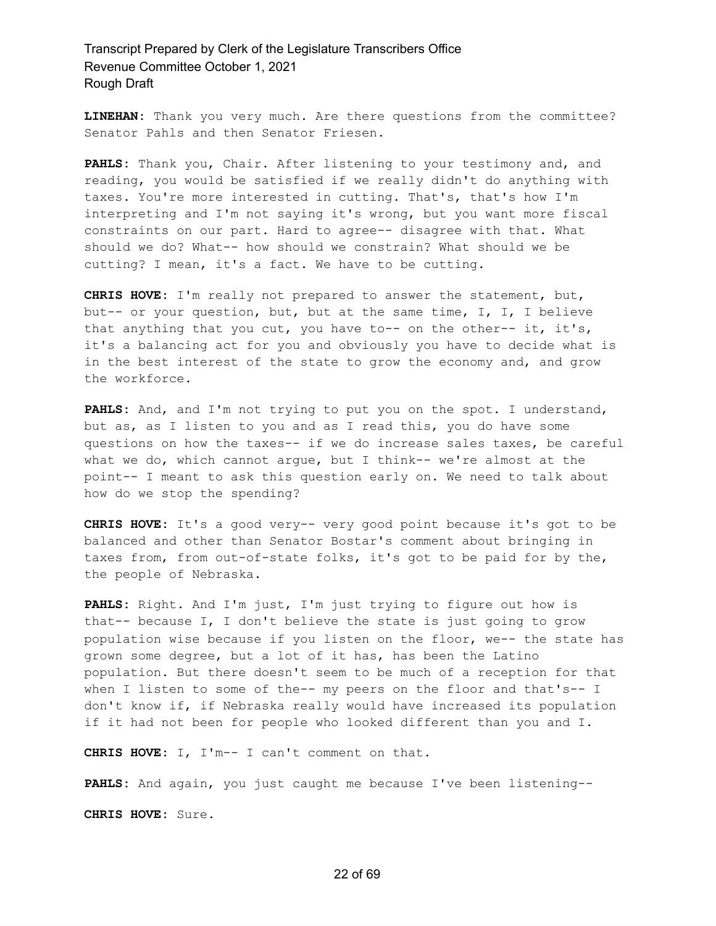**LINEHAN:** Thank you very much. Are there questions from the committee? Senator Pahls and then Senator Friesen.

**PAHLS:** Thank you, Chair. After listening to your testimony and, and reading, you would be satisfied if we really didn't do anything with taxes. You're more interested in cutting. That's, that's how I'm interpreting and I'm not saying it's wrong, but you want more fiscal constraints on our part. Hard to agree-- disagree with that. What should we do? What-- how should we constrain? What should we be cutting? I mean, it's a fact. We have to be cutting.

**CHRIS HOVE:** I'm really not prepared to answer the statement, but, but-- or your question, but, but at the same time, I, I, I believe that anything that you cut, you have to-- on the other-- it, it's, it's a balancing act for you and obviously you have to decide what is in the best interest of the state to grow the economy and, and grow the workforce.

**PAHLS:** And, and I'm not trying to put you on the spot. I understand, but as, as I listen to you and as I read this, you do have some questions on how the taxes-- if we do increase sales taxes, be careful what we do, which cannot argue, but I think-- we're almost at the point-- I meant to ask this question early on. We need to talk about how do we stop the spending?

**CHRIS HOVE:** It's a good very-- very good point because it's got to be balanced and other than Senator Bostar's comment about bringing in taxes from, from out-of-state folks, it's got to be paid for by the, the people of Nebraska.

**PAHLS:** Right. And I'm just, I'm just trying to figure out how is that-- because I, I don't believe the state is just going to grow population wise because if you listen on the floor, we-- the state has grown some degree, but a lot of it has, has been the Latino population. But there doesn't seem to be much of a reception for that when I listen to some of the-- my peers on the floor and that's-- I don't know if, if Nebraska really would have increased its population if it had not been for people who looked different than you and I.

**CHRIS HOVE:** I, I'm-- I can't comment on that.

**PAHLS:** And again, you just caught me because I've been listening--

**CHRIS HOVE:** Sure.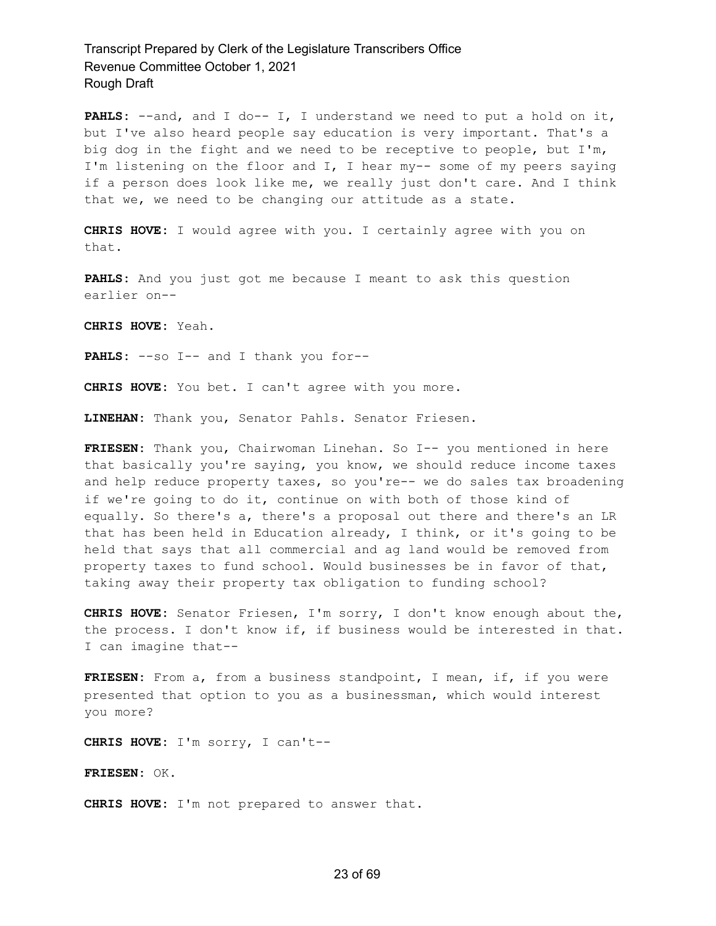PAHLS: --and, and I do-- I, I understand we need to put a hold on it, but I've also heard people say education is very important. That's a big dog in the fight and we need to be receptive to people, but I'm, I'm listening on the floor and I, I hear my-- some of my peers saying if a person does look like me, we really just don't care. And I think that we, we need to be changing our attitude as a state.

**CHRIS HOVE:** I would agree with you. I certainly agree with you on that.

**PAHLS:** And you just got me because I meant to ask this question earlier on--

**CHRIS HOVE:** Yeah.

**PAHLS:** --so I-- and I thank you for--

**CHRIS HOVE:** You bet. I can't agree with you more.

**LINEHAN:** Thank you, Senator Pahls. Senator Friesen.

**FRIESEN:** Thank you, Chairwoman Linehan. So I-- you mentioned in here that basically you're saying, you know, we should reduce income taxes and help reduce property taxes, so you're-- we do sales tax broadening if we're going to do it, continue on with both of those kind of equally. So there's a, there's a proposal out there and there's an LR that has been held in Education already, I think, or it's going to be held that says that all commercial and ag land would be removed from property taxes to fund school. Would businesses be in favor of that, taking away their property tax obligation to funding school?

**CHRIS HOVE:** Senator Friesen, I'm sorry, I don't know enough about the, the process. I don't know if, if business would be interested in that. I can imagine that--

FRIESEN: From a, from a business standpoint, I mean, if, if you were presented that option to you as a businessman, which would interest you more?

**CHRIS HOVE:** I'm sorry, I can't--

**FRIESEN:** OK.

**CHRIS HOVE:** I'm not prepared to answer that.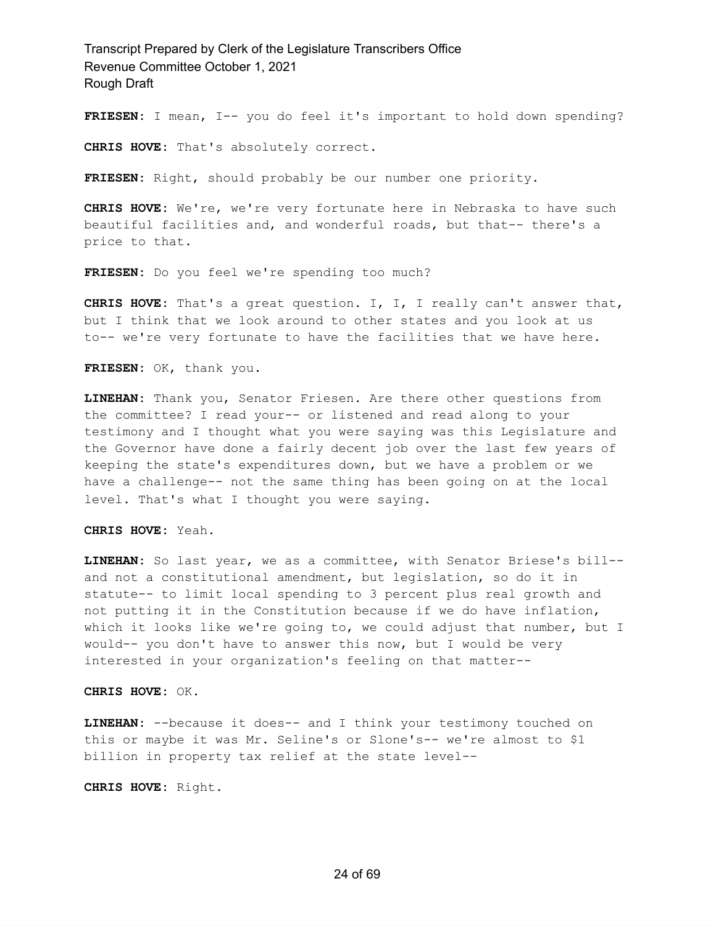**FRIESEN:** I mean, I-- you do feel it's important to hold down spending?

**CHRIS HOVE:** That's absolutely correct.

**FRIESEN:** Right, should probably be our number one priority.

**CHRIS HOVE:** We're, we're very fortunate here in Nebraska to have such beautiful facilities and, and wonderful roads, but that-- there's a price to that.

**FRIESEN:** Do you feel we're spending too much?

**CHRIS HOVE:** That's a great question. I, I, I really can't answer that, but I think that we look around to other states and you look at us to-- we're very fortunate to have the facilities that we have here.

**FRIESEN:** OK, thank you.

**LINEHAN:** Thank you, Senator Friesen. Are there other questions from the committee? I read your-- or listened and read along to your testimony and I thought what you were saying was this Legislature and the Governor have done a fairly decent job over the last few years of keeping the state's expenditures down, but we have a problem or we have a challenge-- not the same thing has been going on at the local level. That's what I thought you were saying.

**CHRIS HOVE:** Yeah.

**LINEHAN:** So last year, we as a committee, with Senator Briese's bill- and not a constitutional amendment, but legislation, so do it in statute-- to limit local spending to 3 percent plus real growth and not putting it in the Constitution because if we do have inflation, which it looks like we're going to, we could adjust that number, but I would-- you don't have to answer this now, but I would be very interested in your organization's feeling on that matter--

**CHRIS HOVE:** OK.

**LINEHAN:** --because it does-- and I think your testimony touched on this or maybe it was Mr. Seline's or Slone's-- we're almost to \$1 billion in property tax relief at the state level--

**CHRIS HOVE:** Right.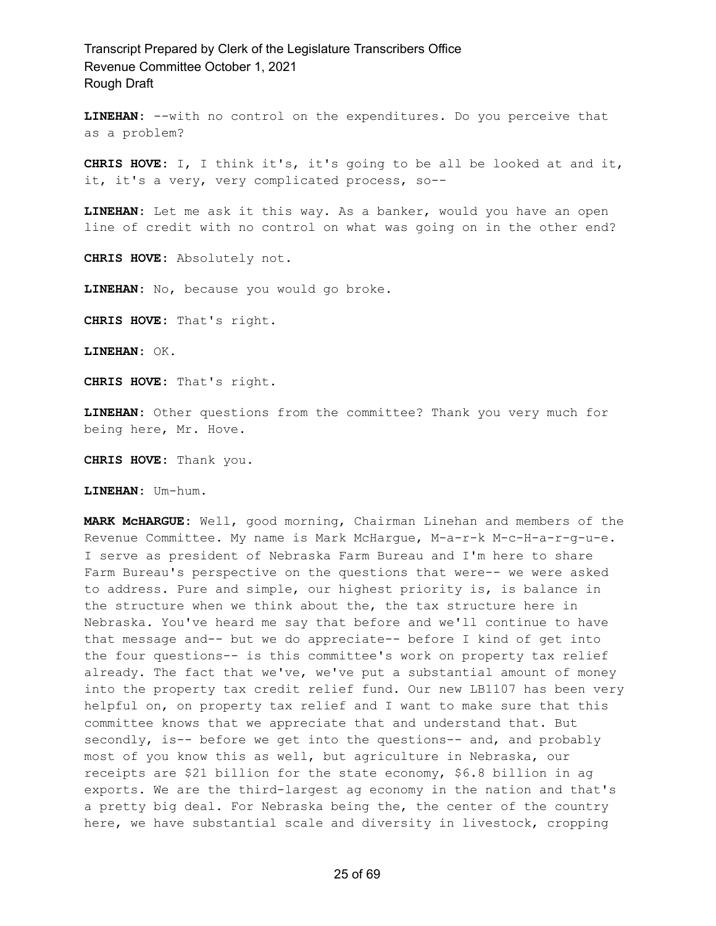**LINEHAN:** --with no control on the expenditures. Do you perceive that as a problem?

**CHRIS HOVE:** I, I think it's, it's going to be all be looked at and it, it, it's a very, very complicated process, so--

**LINEHAN:** Let me ask it this way. As a banker, would you have an open line of credit with no control on what was going on in the other end?

**CHRIS HOVE:** Absolutely not.

**LINEHAN:** No, because you would go broke.

**CHRIS HOVE:** That's right.

**LINEHAN:** OK.

**CHRIS HOVE:** That's right.

**LINEHAN:** Other questions from the committee? Thank you very much for being here, Mr. Hove.

**CHRIS HOVE:** Thank you.

**LINEHAN:** Um-hum.

**MARK McHARGUE:** Well, good morning, Chairman Linehan and members of the Revenue Committee. My name is Mark McHargue, M-a-r-k M-c-H-a-r-g-u-e. I serve as president of Nebraska Farm Bureau and I'm here to share Farm Bureau's perspective on the questions that were-- we were asked to address. Pure and simple, our highest priority is, is balance in the structure when we think about the, the tax structure here in Nebraska. You've heard me say that before and we'll continue to have that message and-- but we do appreciate-- before I kind of get into the four questions-- is this committee's work on property tax relief already. The fact that we've, we've put a substantial amount of money into the property tax credit relief fund. Our new LB1107 has been very helpful on, on property tax relief and I want to make sure that this committee knows that we appreciate that and understand that. But secondly, is-- before we get into the questions-- and, and probably most of you know this as well, but agriculture in Nebraska, our receipts are \$21 billion for the state economy, \$6.8 billion in ag exports. We are the third-largest ag economy in the nation and that's a pretty big deal. For Nebraska being the, the center of the country here, we have substantial scale and diversity in livestock, cropping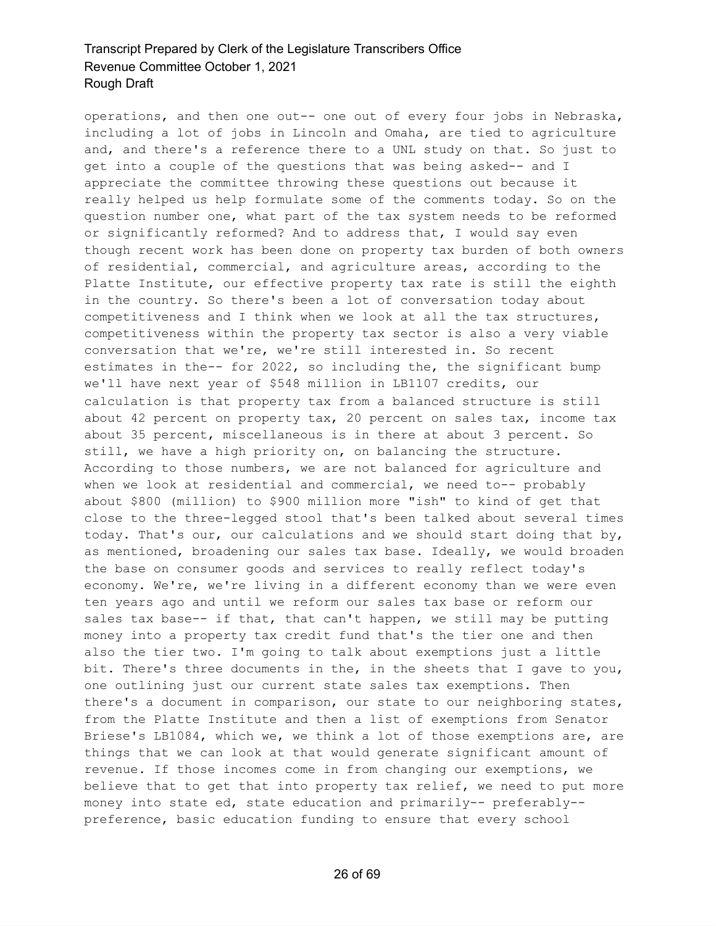operations, and then one out-- one out of every four jobs in Nebraska, including a lot of jobs in Lincoln and Omaha, are tied to agriculture and, and there's a reference there to a UNL study on that. So just to get into a couple of the questions that was being asked-- and I appreciate the committee throwing these questions out because it really helped us help formulate some of the comments today. So on the question number one, what part of the tax system needs to be reformed or significantly reformed? And to address that, I would say even though recent work has been done on property tax burden of both owners of residential, commercial, and agriculture areas, according to the Platte Institute, our effective property tax rate is still the eighth in the country. So there's been a lot of conversation today about competitiveness and I think when we look at all the tax structures, competitiveness within the property tax sector is also a very viable conversation that we're, we're still interested in. So recent estimates in the-- for 2022, so including the, the significant bump we'll have next year of \$548 million in LB1107 credits, our calculation is that property tax from a balanced structure is still about 42 percent on property tax, 20 percent on sales tax, income tax about 35 percent, miscellaneous is in there at about 3 percent. So still, we have a high priority on, on balancing the structure. According to those numbers, we are not balanced for agriculture and when we look at residential and commercial, we need to-- probably about \$800 (million) to \$900 million more "ish" to kind of get that close to the three-legged stool that's been talked about several times today. That's our, our calculations and we should start doing that by, as mentioned, broadening our sales tax base. Ideally, we would broaden the base on consumer goods and services to really reflect today's economy. We're, we're living in a different economy than we were even ten years ago and until we reform our sales tax base or reform our sales tax base-- if that, that can't happen, we still may be putting money into a property tax credit fund that's the tier one and then also the tier two. I'm going to talk about exemptions just a little bit. There's three documents in the, in the sheets that I gave to you, one outlining just our current state sales tax exemptions. Then there's a document in comparison, our state to our neighboring states, from the Platte Institute and then a list of exemptions from Senator Briese's LB1084, which we, we think a lot of those exemptions are, are things that we can look at that would generate significant amount of revenue. If those incomes come in from changing our exemptions, we believe that to get that into property tax relief, we need to put more money into state ed, state education and primarily-- preferably- preference, basic education funding to ensure that every school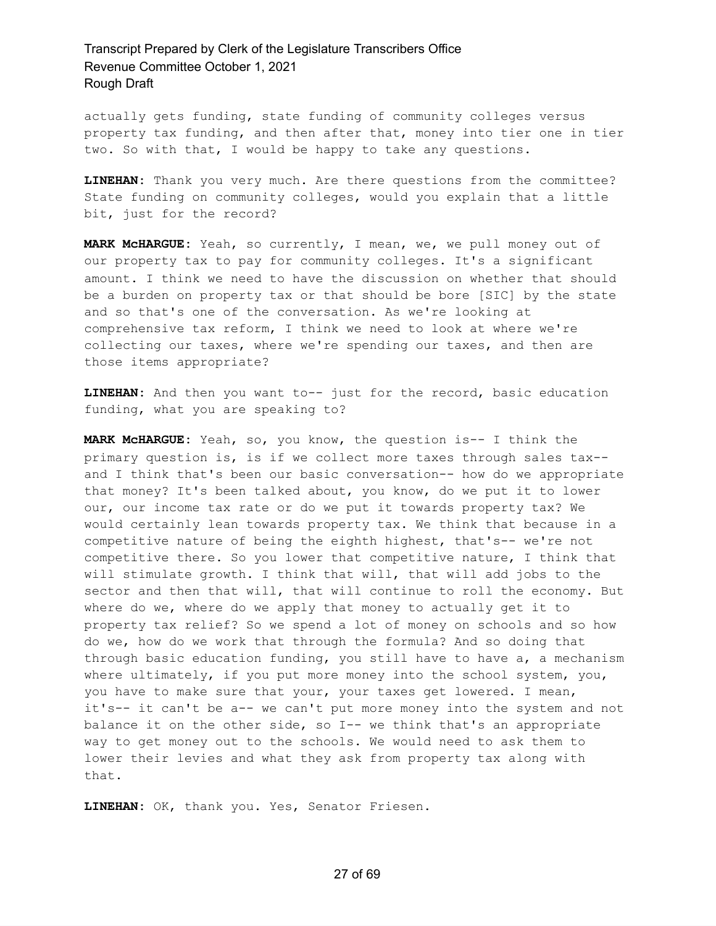actually gets funding, state funding of community colleges versus property tax funding, and then after that, money into tier one in tier two. So with that, I would be happy to take any questions.

**LINEHAN:** Thank you very much. Are there questions from the committee? State funding on community colleges, would you explain that a little bit, just for the record?

**MARK McHARGUE:** Yeah, so currently, I mean, we, we pull money out of our property tax to pay for community colleges. It's a significant amount. I think we need to have the discussion on whether that should be a burden on property tax or that should be bore [SIC] by the state and so that's one of the conversation. As we're looking at comprehensive tax reform, I think we need to look at where we're collecting our taxes, where we're spending our taxes, and then are those items appropriate?

**LINEHAN:** And then you want to-- just for the record, basic education funding, what you are speaking to?

**MARK McHARGUE:** Yeah, so, you know, the question is-- I think the primary question is, is if we collect more taxes through sales tax- and I think that's been our basic conversation-- how do we appropriate that money? It's been talked about, you know, do we put it to lower our, our income tax rate or do we put it towards property tax? We would certainly lean towards property tax. We think that because in a competitive nature of being the eighth highest, that's-- we're not competitive there. So you lower that competitive nature, I think that will stimulate growth. I think that will, that will add jobs to the sector and then that will, that will continue to roll the economy. But where do we, where do we apply that money to actually get it to property tax relief? So we spend a lot of money on schools and so how do we, how do we work that through the formula? And so doing that through basic education funding, you still have to have a, a mechanism where ultimately, if you put more money into the school system, you, you have to make sure that your, your taxes get lowered. I mean, it's-- it can't be a-- we can't put more money into the system and not balance it on the other side, so I-- we think that's an appropriate way to get money out to the schools. We would need to ask them to lower their levies and what they ask from property tax along with that.

**LINEHAN:** OK, thank you. Yes, Senator Friesen.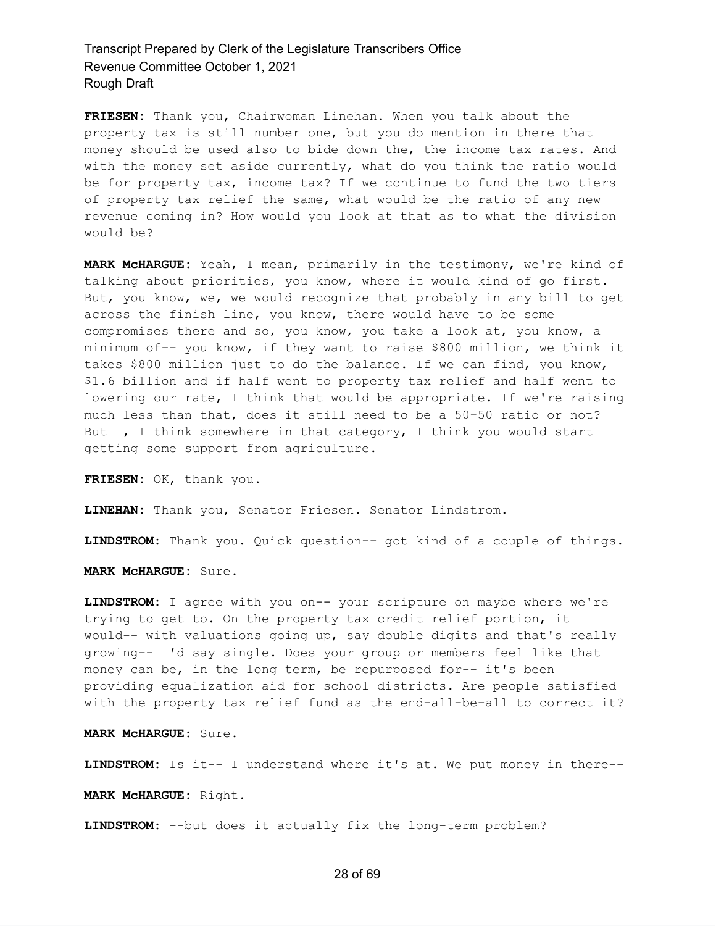**FRIESEN:** Thank you, Chairwoman Linehan. When you talk about the property tax is still number one, but you do mention in there that money should be used also to bide down the, the income tax rates. And with the money set aside currently, what do you think the ratio would be for property tax, income tax? If we continue to fund the two tiers of property tax relief the same, what would be the ratio of any new revenue coming in? How would you look at that as to what the division would be?

**MARK McHARGUE:** Yeah, I mean, primarily in the testimony, we're kind of talking about priorities, you know, where it would kind of go first. But, you know, we, we would recognize that probably in any bill to get across the finish line, you know, there would have to be some compromises there and so, you know, you take a look at, you know, a minimum of-- you know, if they want to raise \$800 million, we think it takes \$800 million just to do the balance. If we can find, you know, \$1.6 billion and if half went to property tax relief and half went to lowering our rate, I think that would be appropriate. If we're raising much less than that, does it still need to be a 50-50 ratio or not? But I, I think somewhere in that category, I think you would start getting some support from agriculture.

**FRIESEN:** OK, thank you.

**LINEHAN:** Thank you, Senator Friesen. Senator Lindstrom.

**LINDSTROM:** Thank you. Quick question-- got kind of a couple of things.

**MARK McHARGUE:** Sure.

**LINDSTROM:** I agree with you on-- your scripture on maybe where we're trying to get to. On the property tax credit relief portion, it would-- with valuations going up, say double digits and that's really growing-- I'd say single. Does your group or members feel like that money can be, in the long term, be repurposed for-- it's been providing equalization aid for school districts. Are people satisfied with the property tax relief fund as the end-all-be-all to correct it?

**MARK McHARGUE:** Sure.

**LINDSTROM:** Is it-- I understand where it's at. We put money in there--

**MARK McHARGUE:** Right.

**LINDSTROM:** --but does it actually fix the long-term problem?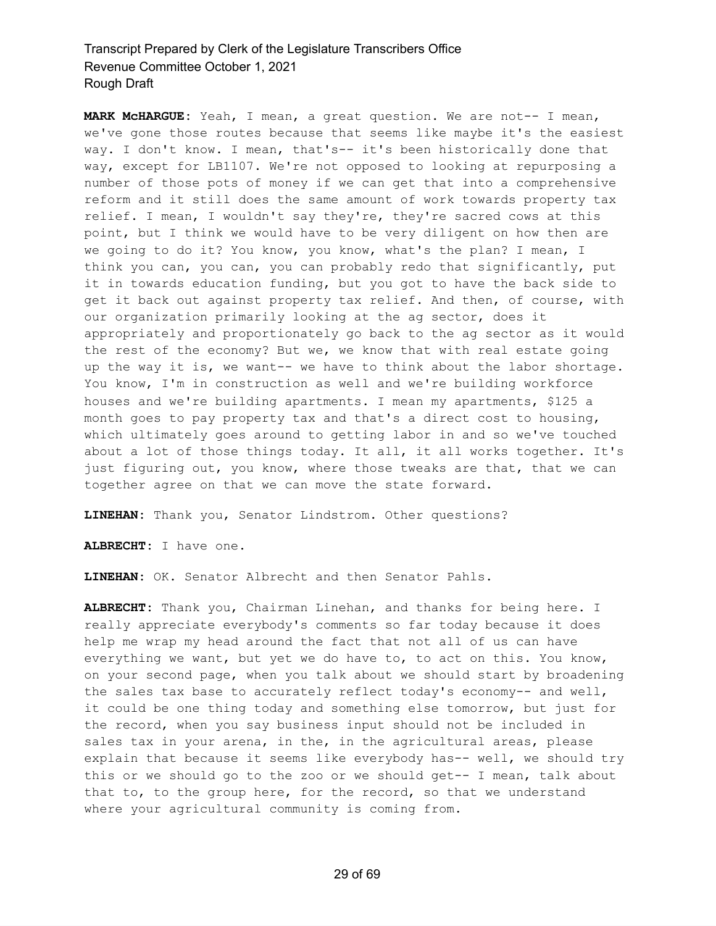**MARK McHARGUE:** Yeah, I mean, a great question. We are not-- I mean, we've gone those routes because that seems like maybe it's the easiest way. I don't know. I mean, that's-- it's been historically done that way, except for LB1107. We're not opposed to looking at repurposing a number of those pots of money if we can get that into a comprehensive reform and it still does the same amount of work towards property tax relief. I mean, I wouldn't say they're, they're sacred cows at this point, but I think we would have to be very diligent on how then are we going to do it? You know, you know, what's the plan? I mean, I think you can, you can, you can probably redo that significantly, put it in towards education funding, but you got to have the back side to get it back out against property tax relief. And then, of course, with our organization primarily looking at the ag sector, does it appropriately and proportionately go back to the ag sector as it would the rest of the economy? But we, we know that with real estate going up the way it is, we want-- we have to think about the labor shortage. You know, I'm in construction as well and we're building workforce houses and we're building apartments. I mean my apartments, \$125 a month goes to pay property tax and that's a direct cost to housing, which ultimately goes around to getting labor in and so we've touched about a lot of those things today. It all, it all works together. It's just figuring out, you know, where those tweaks are that, that we can together agree on that we can move the state forward.

**LINEHAN:** Thank you, Senator Lindstrom. Other questions?

**ALBRECHT:** I have one.

**LINEHAN:** OK. Senator Albrecht and then Senator Pahls.

**ALBRECHT:** Thank you, Chairman Linehan, and thanks for being here. I really appreciate everybody's comments so far today because it does help me wrap my head around the fact that not all of us can have everything we want, but yet we do have to, to act on this. You know, on your second page, when you talk about we should start by broadening the sales tax base to accurately reflect today's economy-- and well, it could be one thing today and something else tomorrow, but just for the record, when you say business input should not be included in sales tax in your arena, in the, in the agricultural areas, please explain that because it seems like everybody has-- well, we should try this or we should go to the zoo or we should get-- I mean, talk about that to, to the group here, for the record, so that we understand where your agricultural community is coming from.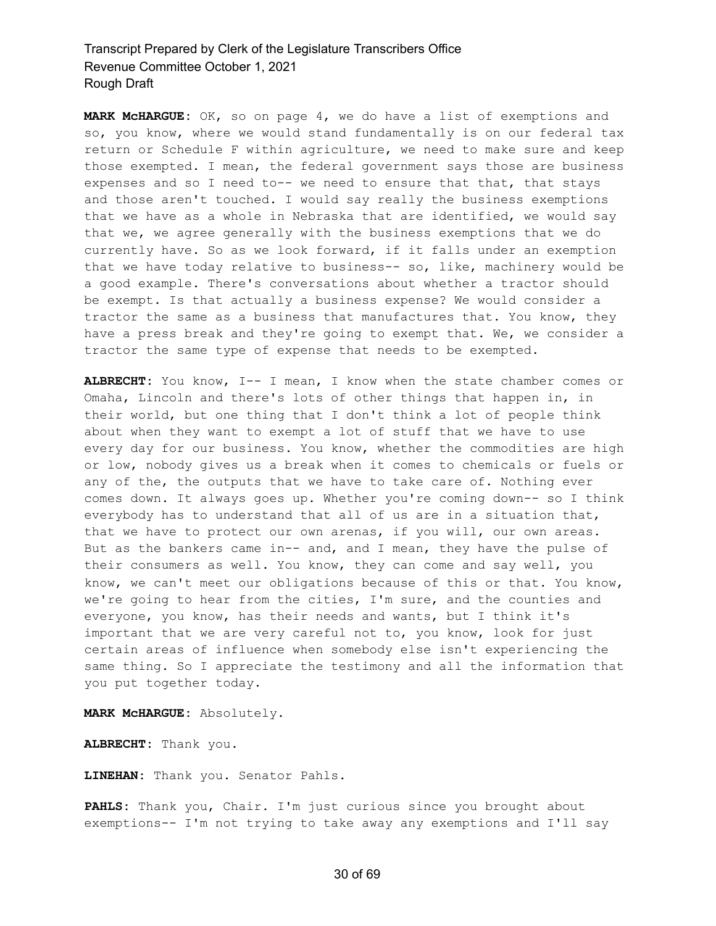**MARK McHARGUE:** OK, so on page 4, we do have a list of exemptions and so, you know, where we would stand fundamentally is on our federal tax return or Schedule F within agriculture, we need to make sure and keep those exempted. I mean, the federal government says those are business expenses and so I need to-- we need to ensure that that, that stays and those aren't touched. I would say really the business exemptions that we have as a whole in Nebraska that are identified, we would say that we, we agree generally with the business exemptions that we do currently have. So as we look forward, if it falls under an exemption that we have today relative to business-- so, like, machinery would be a good example. There's conversations about whether a tractor should be exempt. Is that actually a business expense? We would consider a tractor the same as a business that manufactures that. You know, they have a press break and they're going to exempt that. We, we consider a tractor the same type of expense that needs to be exempted.

**ALBRECHT:** You know, I-- I mean, I know when the state chamber comes or Omaha, Lincoln and there's lots of other things that happen in, in their world, but one thing that I don't think a lot of people think about when they want to exempt a lot of stuff that we have to use every day for our business. You know, whether the commodities are high or low, nobody gives us a break when it comes to chemicals or fuels or any of the, the outputs that we have to take care of. Nothing ever comes down. It always goes up. Whether you're coming down-- so I think everybody has to understand that all of us are in a situation that, that we have to protect our own arenas, if you will, our own areas. But as the bankers came in-- and, and I mean, they have the pulse of their consumers as well. You know, they can come and say well, you know, we can't meet our obligations because of this or that. You know, we're going to hear from the cities, I'm sure, and the counties and everyone, you know, has their needs and wants, but I think it's important that we are very careful not to, you know, look for just certain areas of influence when somebody else isn't experiencing the same thing. So I appreciate the testimony and all the information that you put together today.

**MARK McHARGUE:** Absolutely.

**ALBRECHT:** Thank you.

**LINEHAN:** Thank you. Senator Pahls.

**PAHLS:** Thank you, Chair. I'm just curious since you brought about exemptions-- I'm not trying to take away any exemptions and I'll say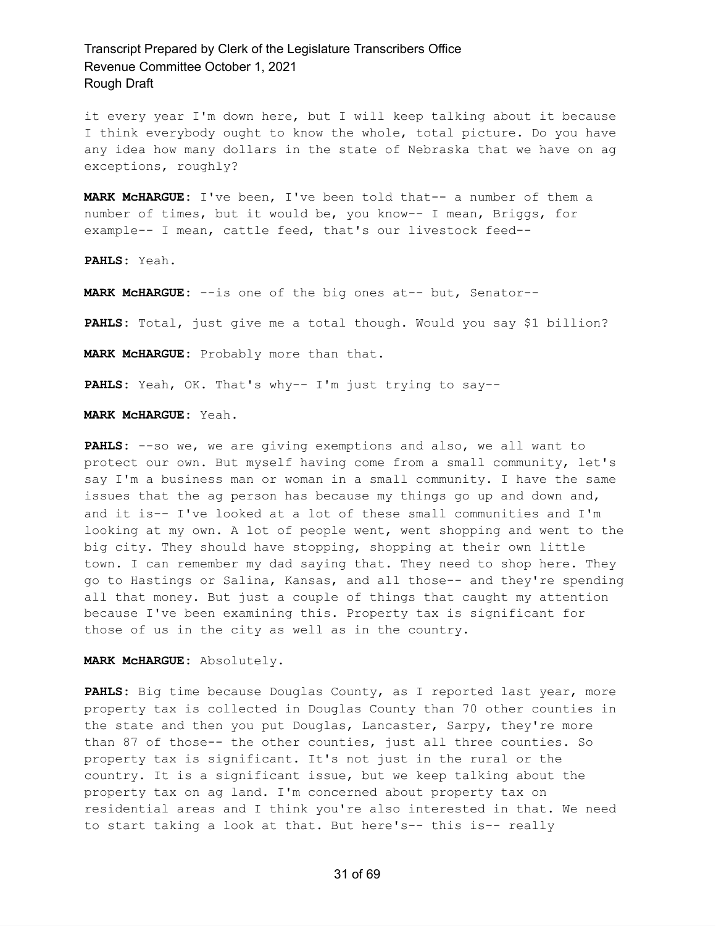it every year I'm down here, but I will keep talking about it because I think everybody ought to know the whole, total picture. Do you have any idea how many dollars in the state of Nebraska that we have on ag exceptions, roughly?

**MARK McHARGUE:** I've been, I've been told that-- a number of them a number of times, but it would be, you know-- I mean, Briggs, for example-- I mean, cattle feed, that's our livestock feed--

**PAHLS:** Yeah.

**MARK McHARGUE:** --is one of the big ones at-- but, Senator--

**PAHLS:** Total, just give me a total though. Would you say \$1 billion?

**MARK McHARGUE:** Probably more than that.

**PAHLS:** Yeah, OK. That's why-- I'm just trying to say--

**MARK McHARGUE:** Yeah.

**PAHLS:** --so we, we are giving exemptions and also, we all want to protect our own. But myself having come from a small community, let's say I'm a business man or woman in a small community. I have the same issues that the ag person has because my things go up and down and, and it is-- I've looked at a lot of these small communities and I'm looking at my own. A lot of people went, went shopping and went to the big city. They should have stopping, shopping at their own little town. I can remember my dad saying that. They need to shop here. They go to Hastings or Salina, Kansas, and all those-- and they're spending all that money. But just a couple of things that caught my attention because I've been examining this. Property tax is significant for those of us in the city as well as in the country.

**MARK McHARGUE:** Absolutely.

**PAHLS:** Big time because Douglas County, as I reported last year, more property tax is collected in Douglas County than 70 other counties in the state and then you put Douglas, Lancaster, Sarpy, they're more than 87 of those-- the other counties, just all three counties. So property tax is significant. It's not just in the rural or the country. It is a significant issue, but we keep talking about the property tax on ag land. I'm concerned about property tax on residential areas and I think you're also interested in that. We need to start taking a look at that. But here's-- this is-- really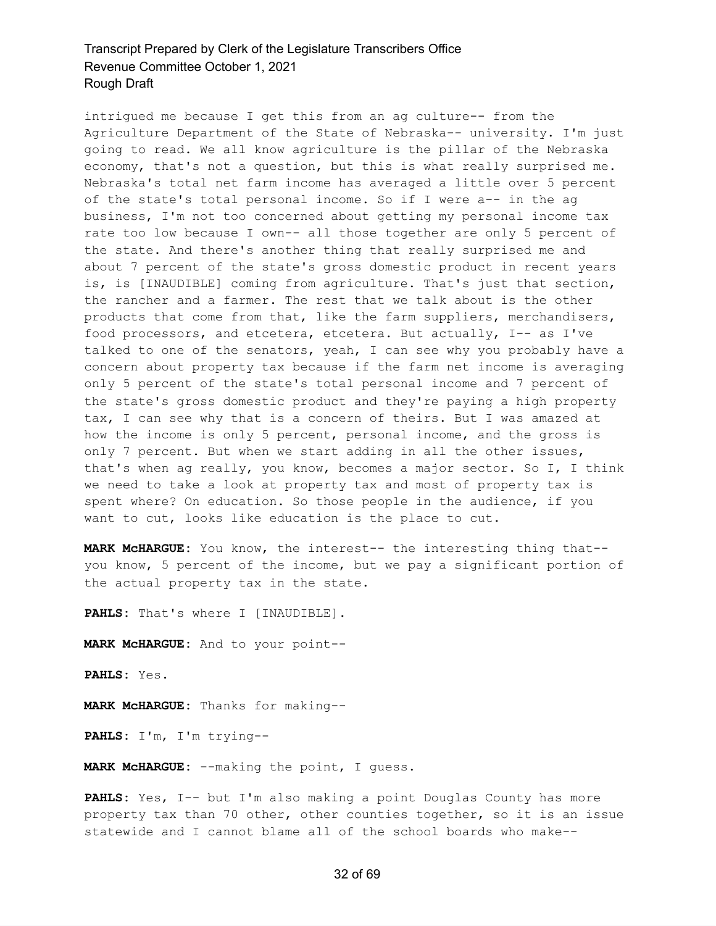intrigued me because I get this from an ag culture-- from the Agriculture Department of the State of Nebraska-- university. I'm just going to read. We all know agriculture is the pillar of the Nebraska economy, that's not a question, but this is what really surprised me. Nebraska's total net farm income has averaged a little over 5 percent of the state's total personal income. So if I were a-- in the ag business, I'm not too concerned about getting my personal income tax rate too low because I own-- all those together are only 5 percent of the state. And there's another thing that really surprised me and about 7 percent of the state's gross domestic product in recent years is, is [INAUDIBLE] coming from agriculture. That's just that section, the rancher and a farmer. The rest that we talk about is the other products that come from that, like the farm suppliers, merchandisers, food processors, and etcetera, etcetera. But actually, I-- as I've talked to one of the senators, yeah, I can see why you probably have a concern about property tax because if the farm net income is averaging only 5 percent of the state's total personal income and 7 percent of the state's gross domestic product and they're paying a high property tax, I can see why that is a concern of theirs. But I was amazed at how the income is only 5 percent, personal income, and the gross is only 7 percent. But when we start adding in all the other issues, that's when ag really, you know, becomes a major sector. So I, I think we need to take a look at property tax and most of property tax is spent where? On education. So those people in the audience, if you want to cut, looks like education is the place to cut.

**MARK McHARGUE:** You know, the interest-- the interesting thing that- you know, 5 percent of the income, but we pay a significant portion of the actual property tax in the state.

**PAHLS:** That's where I [INAUDIBLE].

**MARK McHARGUE:** And to your point--

**PAHLS:** Yes.

**MARK McHARGUE:** Thanks for making--

**PAHLS:** I'm, I'm trying--

**MARK McHARGUE:** --making the point, I guess.

**PAHLS:** Yes, I-- but I'm also making a point Douglas County has more property tax than 70 other, other counties together, so it is an issue statewide and I cannot blame all of the school boards who make--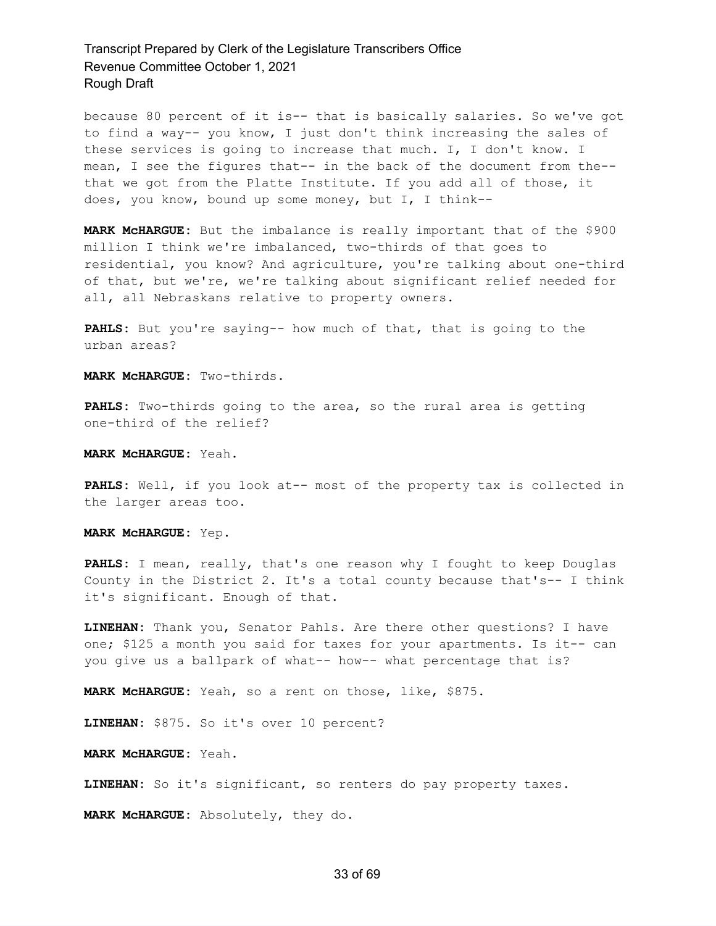because 80 percent of it is-- that is basically salaries. So we've got to find a way-- you know, I just don't think increasing the sales of these services is going to increase that much. I, I don't know. I mean, I see the figures that-- in the back of the document from the- that we got from the Platte Institute. If you add all of those, it does, you know, bound up some money, but I, I think--

**MARK McHARGUE:** But the imbalance is really important that of the \$900 million I think we're imbalanced, two-thirds of that goes to residential, you know? And agriculture, you're talking about one-third of that, but we're, we're talking about significant relief needed for all, all Nebraskans relative to property owners.

**PAHLS:** But you're saying-- how much of that, that is going to the urban areas?

**MARK McHARGUE:** Two-thirds.

**PAHLS:** Two-thirds going to the area, so the rural area is getting one-third of the relief?

**MARK McHARGUE:** Yeah.

**PAHLS:** Well, if you look at-- most of the property tax is collected in the larger areas too.

**MARK McHARGUE:** Yep.

**PAHLS:** I mean, really, that's one reason why I fought to keep Douglas County in the District 2. It's a total county because that's-- I think it's significant. Enough of that.

**LINEHAN:** Thank you, Senator Pahls. Are there other questions? I have one; \$125 a month you said for taxes for your apartments. Is it-- can you give us a ballpark of what-- how-- what percentage that is?

**MARK McHARGUE:** Yeah, so a rent on those, like, \$875.

**LINEHAN:** \$875. So it's over 10 percent?

**MARK McHARGUE:** Yeah.

**LINEHAN:** So it's significant, so renters do pay property taxes.

**MARK McHARGUE:** Absolutely, they do.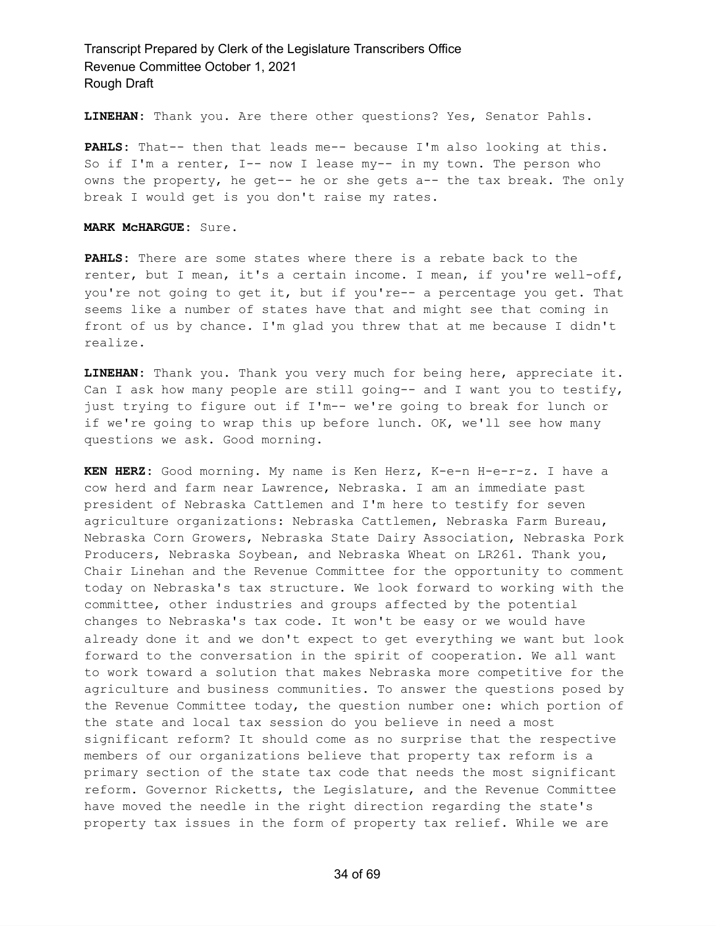**LINEHAN:** Thank you. Are there other questions? Yes, Senator Pahls.

**PAHLS:** That-- then that leads me-- because I'm also looking at this. So if I'm a renter, I-- now I lease my-- in my town. The person who owns the property, he get-- he or she gets a-- the tax break. The only break I would get is you don't raise my rates.

**MARK McHARGUE:** Sure.

**PAHLS:** There are some states where there is a rebate back to the renter, but I mean, it's a certain income. I mean, if you're well-off, you're not going to get it, but if you're-- a percentage you get. That seems like a number of states have that and might see that coming in front of us by chance. I'm glad you threw that at me because I didn't realize.

**LINEHAN:** Thank you. Thank you very much for being here, appreciate it. Can I ask how many people are still going-- and I want you to testify, just trying to figure out if I'm-- we're going to break for lunch or if we're going to wrap this up before lunch. OK, we'll see how many questions we ask. Good morning.

**KEN HERZ:** Good morning. My name is Ken Herz, K-e-n H-e-r-z. I have a cow herd and farm near Lawrence, Nebraska. I am an immediate past president of Nebraska Cattlemen and I'm here to testify for seven agriculture organizations: Nebraska Cattlemen, Nebraska Farm Bureau, Nebraska Corn Growers, Nebraska State Dairy Association, Nebraska Pork Producers, Nebraska Soybean, and Nebraska Wheat on LR261. Thank you, Chair Linehan and the Revenue Committee for the opportunity to comment today on Nebraska's tax structure. We look forward to working with the committee, other industries and groups affected by the potential changes to Nebraska's tax code. It won't be easy or we would have already done it and we don't expect to get everything we want but look forward to the conversation in the spirit of cooperation. We all want to work toward a solution that makes Nebraska more competitive for the agriculture and business communities. To answer the questions posed by the Revenue Committee today, the question number one: which portion of the state and local tax session do you believe in need a most significant reform? It should come as no surprise that the respective members of our organizations believe that property tax reform is a primary section of the state tax code that needs the most significant reform. Governor Ricketts, the Legislature, and the Revenue Committee have moved the needle in the right direction regarding the state's property tax issues in the form of property tax relief. While we are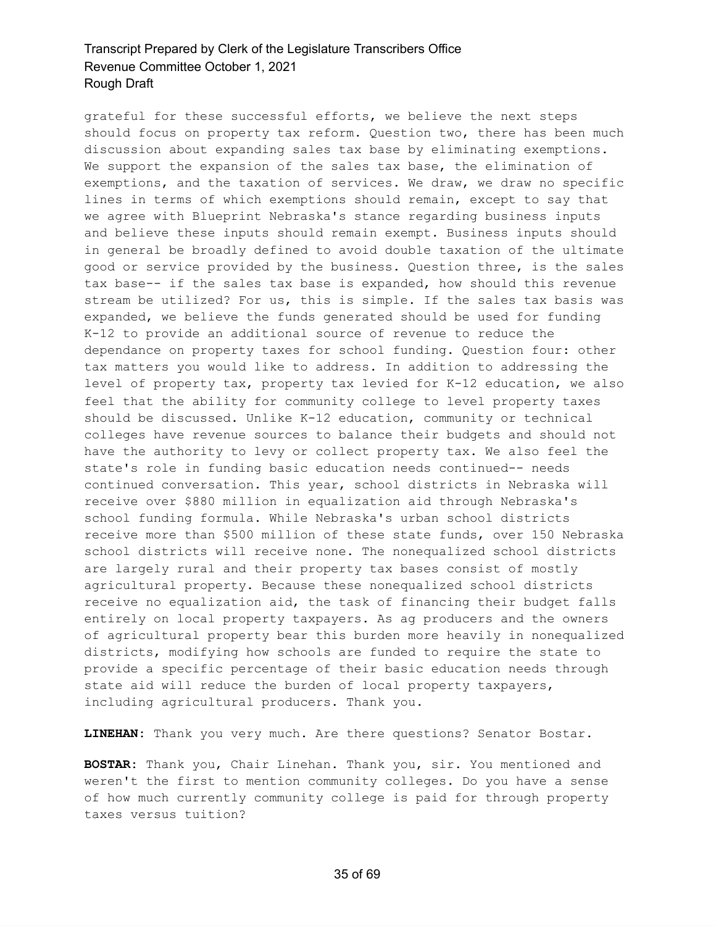grateful for these successful efforts, we believe the next steps should focus on property tax reform. Question two, there has been much discussion about expanding sales tax base by eliminating exemptions. We support the expansion of the sales tax base, the elimination of exemptions, and the taxation of services. We draw, we draw no specific lines in terms of which exemptions should remain, except to say that we agree with Blueprint Nebraska's stance regarding business inputs and believe these inputs should remain exempt. Business inputs should in general be broadly defined to avoid double taxation of the ultimate good or service provided by the business. Question three, is the sales tax base-- if the sales tax base is expanded, how should this revenue stream be utilized? For us, this is simple. If the sales tax basis was expanded, we believe the funds generated should be used for funding K-12 to provide an additional source of revenue to reduce the dependance on property taxes for school funding. Question four: other tax matters you would like to address. In addition to addressing the level of property tax, property tax levied for K-12 education, we also feel that the ability for community college to level property taxes should be discussed. Unlike K-12 education, community or technical colleges have revenue sources to balance their budgets and should not have the authority to levy or collect property tax. We also feel the state's role in funding basic education needs continued-- needs continued conversation. This year, school districts in Nebraska will receive over \$880 million in equalization aid through Nebraska's school funding formula. While Nebraska's urban school districts receive more than \$500 million of these state funds, over 150 Nebraska school districts will receive none. The nonequalized school districts are largely rural and their property tax bases consist of mostly agricultural property. Because these nonequalized school districts receive no equalization aid, the task of financing their budget falls entirely on local property taxpayers. As ag producers and the owners of agricultural property bear this burden more heavily in nonequalized districts, modifying how schools are funded to require the state to provide a specific percentage of their basic education needs through state aid will reduce the burden of local property taxpayers, including agricultural producers. Thank you.

**LINEHAN:** Thank you very much. Are there questions? Senator Bostar.

**BOSTAR:** Thank you, Chair Linehan. Thank you, sir. You mentioned and weren't the first to mention community colleges. Do you have a sense of how much currently community college is paid for through property taxes versus tuition?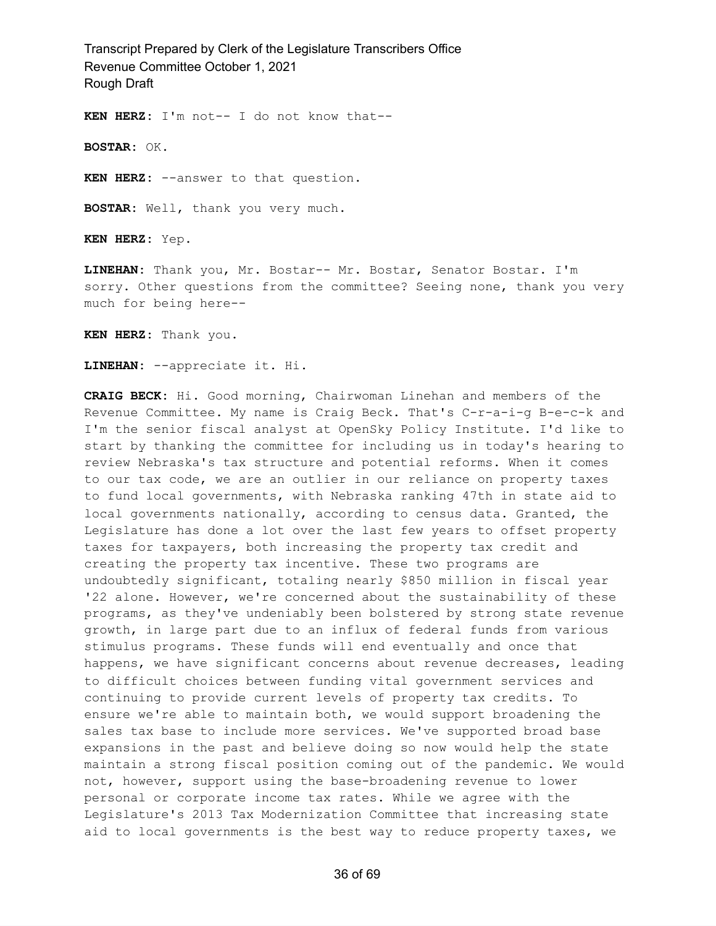**KEN HERZ:** I'm not-- I do not know that--

**BOSTAR:** OK.

**KEN HERZ:** --answer to that question.

**BOSTAR:** Well, thank you very much.

**KEN HERZ:** Yep.

**LINEHAN:** Thank you, Mr. Bostar-- Mr. Bostar, Senator Bostar. I'm sorry. Other questions from the committee? Seeing none, thank you very much for being here--

**KEN HERZ:** Thank you.

**LINEHAN:** --appreciate it. Hi.

**CRAIG BECK:** Hi. Good morning, Chairwoman Linehan and members of the Revenue Committee. My name is Craig Beck. That's C-r-a-i-g B-e-c-k and I'm the senior fiscal analyst at OpenSky Policy Institute. I'd like to start by thanking the committee for including us in today's hearing to review Nebraska's tax structure and potential reforms. When it comes to our tax code, we are an outlier in our reliance on property taxes to fund local governments, with Nebraska ranking 47th in state aid to local governments nationally, according to census data. Granted, the Legislature has done a lot over the last few years to offset property taxes for taxpayers, both increasing the property tax credit and creating the property tax incentive. These two programs are undoubtedly significant, totaling nearly \$850 million in fiscal year '22 alone. However, we're concerned about the sustainability of these programs, as they've undeniably been bolstered by strong state revenue growth, in large part due to an influx of federal funds from various stimulus programs. These funds will end eventually and once that happens, we have significant concerns about revenue decreases, leading to difficult choices between funding vital government services and continuing to provide current levels of property tax credits. To ensure we're able to maintain both, we would support broadening the sales tax base to include more services. We've supported broad base expansions in the past and believe doing so now would help the state maintain a strong fiscal position coming out of the pandemic. We would not, however, support using the base-broadening revenue to lower personal or corporate income tax rates. While we agree with the Legislature's 2013 Tax Modernization Committee that increasing state aid to local governments is the best way to reduce property taxes, we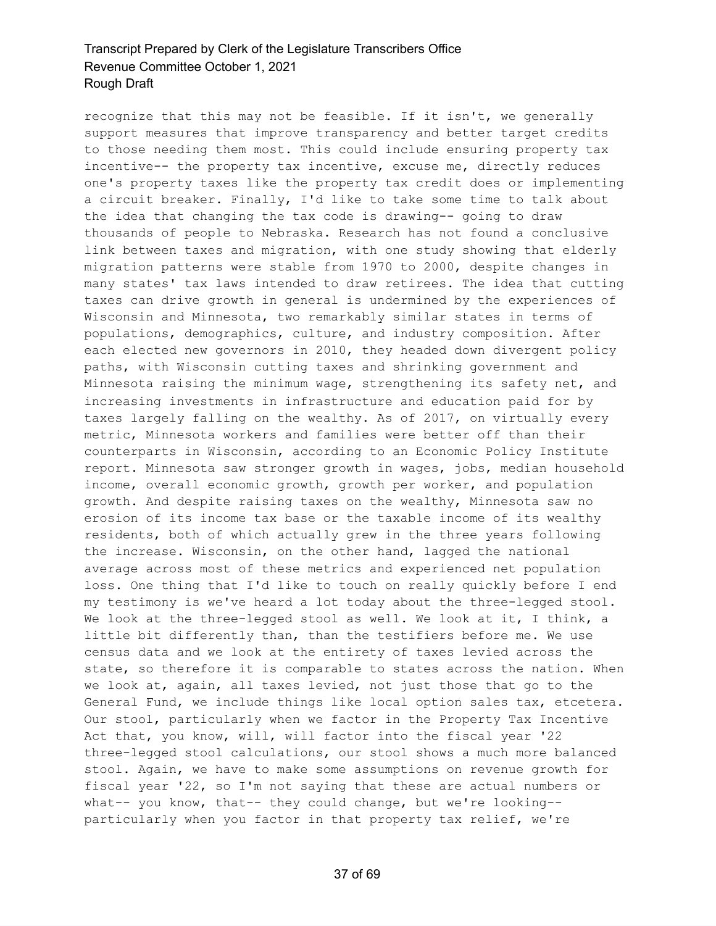recognize that this may not be feasible. If it isn't, we generally support measures that improve transparency and better target credits to those needing them most. This could include ensuring property tax incentive-- the property tax incentive, excuse me, directly reduces one's property taxes like the property tax credit does or implementing a circuit breaker. Finally, I'd like to take some time to talk about the idea that changing the tax code is drawing-- going to draw thousands of people to Nebraska. Research has not found a conclusive link between taxes and migration, with one study showing that elderly migration patterns were stable from 1970 to 2000, despite changes in many states' tax laws intended to draw retirees. The idea that cutting taxes can drive growth in general is undermined by the experiences of Wisconsin and Minnesota, two remarkably similar states in terms of populations, demographics, culture, and industry composition. After each elected new governors in 2010, they headed down divergent policy paths, with Wisconsin cutting taxes and shrinking government and Minnesota raising the minimum wage, strengthening its safety net, and increasing investments in infrastructure and education paid for by taxes largely falling on the wealthy. As of 2017, on virtually every metric, Minnesota workers and families were better off than their counterparts in Wisconsin, according to an Economic Policy Institute report. Minnesota saw stronger growth in wages, jobs, median household income, overall economic growth, growth per worker, and population growth. And despite raising taxes on the wealthy, Minnesota saw no erosion of its income tax base or the taxable income of its wealthy residents, both of which actually grew in the three years following the increase. Wisconsin, on the other hand, lagged the national average across most of these metrics and experienced net population loss. One thing that I'd like to touch on really quickly before I end my testimony is we've heard a lot today about the three-legged stool. We look at the three-legged stool as well. We look at it, I think, a little bit differently than, than the testifiers before me. We use census data and we look at the entirety of taxes levied across the state, so therefore it is comparable to states across the nation. When we look at, again, all taxes levied, not just those that go to the General Fund, we include things like local option sales tax, etcetera. Our stool, particularly when we factor in the Property Tax Incentive Act that, you know, will, will factor into the fiscal year '22 three-legged stool calculations, our stool shows a much more balanced stool. Again, we have to make some assumptions on revenue growth for fiscal year '22, so I'm not saying that these are actual numbers or what-- you know, that-- they could change, but we're looking- particularly when you factor in that property tax relief, we're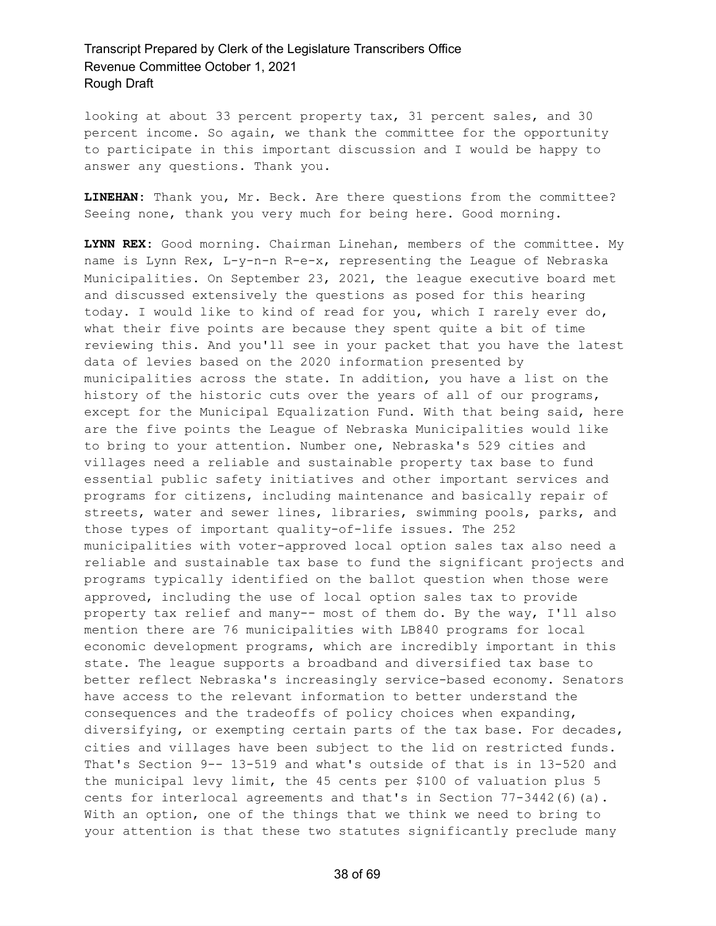looking at about 33 percent property tax, 31 percent sales, and 30 percent income. So again, we thank the committee for the opportunity to participate in this important discussion and I would be happy to answer any questions. Thank you.

**LINEHAN:** Thank you, Mr. Beck. Are there questions from the committee? Seeing none, thank you very much for being here. Good morning.

**LYNN REX:** Good morning. Chairman Linehan, members of the committee. My name is Lynn Rex, L-y-n-n R-e-x, representing the League of Nebraska Municipalities. On September 23, 2021, the league executive board met and discussed extensively the questions as posed for this hearing today. I would like to kind of read for you, which I rarely ever do, what their five points are because they spent quite a bit of time reviewing this. And you'll see in your packet that you have the latest data of levies based on the 2020 information presented by municipalities across the state. In addition, you have a list on the history of the historic cuts over the years of all of our programs, except for the Municipal Equalization Fund. With that being said, here are the five points the League of Nebraska Municipalities would like to bring to your attention. Number one, Nebraska's 529 cities and villages need a reliable and sustainable property tax base to fund essential public safety initiatives and other important services and programs for citizens, including maintenance and basically repair of streets, water and sewer lines, libraries, swimming pools, parks, and those types of important quality-of-life issues. The 252 municipalities with voter-approved local option sales tax also need a reliable and sustainable tax base to fund the significant projects and programs typically identified on the ballot question when those were approved, including the use of local option sales tax to provide property tax relief and many-- most of them do. By the way, I'll also mention there are 76 municipalities with LB840 programs for local economic development programs, which are incredibly important in this state. The league supports a broadband and diversified tax base to better reflect Nebraska's increasingly service-based economy. Senators have access to the relevant information to better understand the consequences and the tradeoffs of policy choices when expanding, diversifying, or exempting certain parts of the tax base. For decades, cities and villages have been subject to the lid on restricted funds. That's Section 9-- 13-519 and what's outside of that is in 13-520 and the municipal levy limit, the 45 cents per \$100 of valuation plus 5 cents for interlocal agreements and that's in Section 77-3442(6)(a). With an option, one of the things that we think we need to bring to your attention is that these two statutes significantly preclude many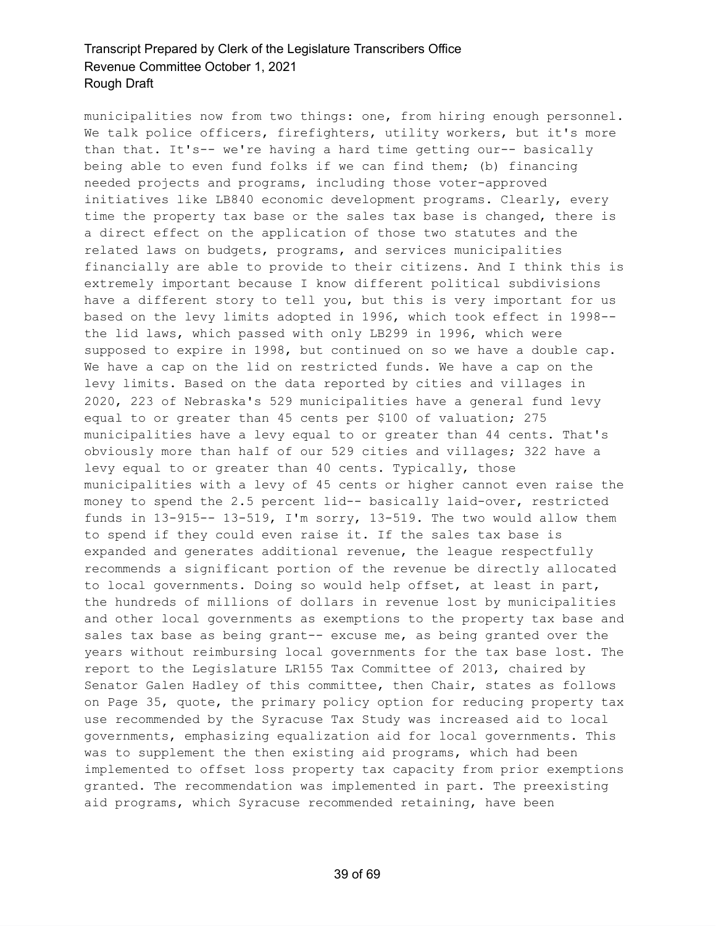municipalities now from two things: one, from hiring enough personnel. We talk police officers, firefighters, utility workers, but it's more than that. It's-- we're having a hard time getting our-- basically being able to even fund folks if we can find them; (b) financing needed projects and programs, including those voter-approved initiatives like LB840 economic development programs. Clearly, every time the property tax base or the sales tax base is changed, there is a direct effect on the application of those two statutes and the related laws on budgets, programs, and services municipalities financially are able to provide to their citizens. And I think this is extremely important because I know different political subdivisions have a different story to tell you, but this is very important for us based on the levy limits adopted in 1996, which took effect in 1998- the lid laws, which passed with only LB299 in 1996, which were supposed to expire in 1998, but continued on so we have a double cap. We have a cap on the lid on restricted funds. We have a cap on the levy limits. Based on the data reported by cities and villages in 2020, 223 of Nebraska's 529 municipalities have a general fund levy equal to or greater than 45 cents per \$100 of valuation; 275 municipalities have a levy equal to or greater than 44 cents. That's obviously more than half of our 529 cities and villages; 322 have a levy equal to or greater than 40 cents. Typically, those municipalities with a levy of 45 cents or higher cannot even raise the money to spend the 2.5 percent lid-- basically laid-over, restricted funds in 13-915-- 13-519, I'm sorry, 13-519. The two would allow them to spend if they could even raise it. If the sales tax base is expanded and generates additional revenue, the league respectfully recommends a significant portion of the revenue be directly allocated to local governments. Doing so would help offset, at least in part, the hundreds of millions of dollars in revenue lost by municipalities and other local governments as exemptions to the property tax base and sales tax base as being grant-- excuse me, as being granted over the years without reimbursing local governments for the tax base lost. The report to the Legislature LR155 Tax Committee of 2013, chaired by Senator Galen Hadley of this committee, then Chair, states as follows on Page 35, quote, the primary policy option for reducing property tax use recommended by the Syracuse Tax Study was increased aid to local governments, emphasizing equalization aid for local governments. This was to supplement the then existing aid programs, which had been implemented to offset loss property tax capacity from prior exemptions granted. The recommendation was implemented in part. The preexisting aid programs, which Syracuse recommended retaining, have been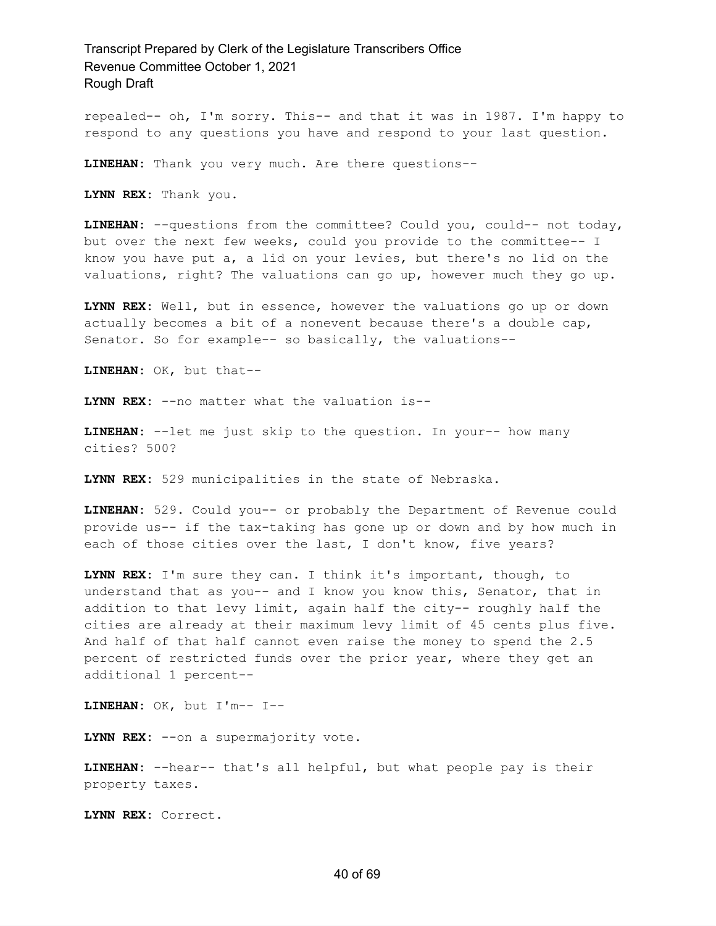repealed-- oh, I'm sorry. This-- and that it was in 1987. I'm happy to respond to any questions you have and respond to your last question.

**LINEHAN:** Thank you very much. Are there questions--

**LYNN REX:** Thank you.

**LINEHAN:** --questions from the committee? Could you, could-- not today, but over the next few weeks, could you provide to the committee-- I know you have put a, a lid on your levies, but there's no lid on the valuations, right? The valuations can go up, however much they go up.

**LYNN REX:** Well, but in essence, however the valuations go up or down actually becomes a bit of a nonevent because there's a double cap, Senator. So for example-- so basically, the valuations--

**LINEHAN:** OK, but that--

**LYNN REX:** --no matter what the valuation is--

**LINEHAN:** --let me just skip to the question. In your-- how many cities? 500?

**LYNN REX:** 529 municipalities in the state of Nebraska.

**LINEHAN:** 529. Could you-- or probably the Department of Revenue could provide us-- if the tax-taking has gone up or down and by how much in each of those cities over the last, I don't know, five years?

**LYNN REX:** I'm sure they can. I think it's important, though, to understand that as you-- and I know you know this, Senator, that in addition to that levy limit, again half the city-- roughly half the cities are already at their maximum levy limit of 45 cents plus five. And half of that half cannot even raise the money to spend the 2.5 percent of restricted funds over the prior year, where they get an additional 1 percent--

**LINEHAN:** OK, but I'm-- I--

**LYNN REX:** --on a supermajority vote.

**LINEHAN:** --hear-- that's all helpful, but what people pay is their property taxes.

**LYNN REX:** Correct.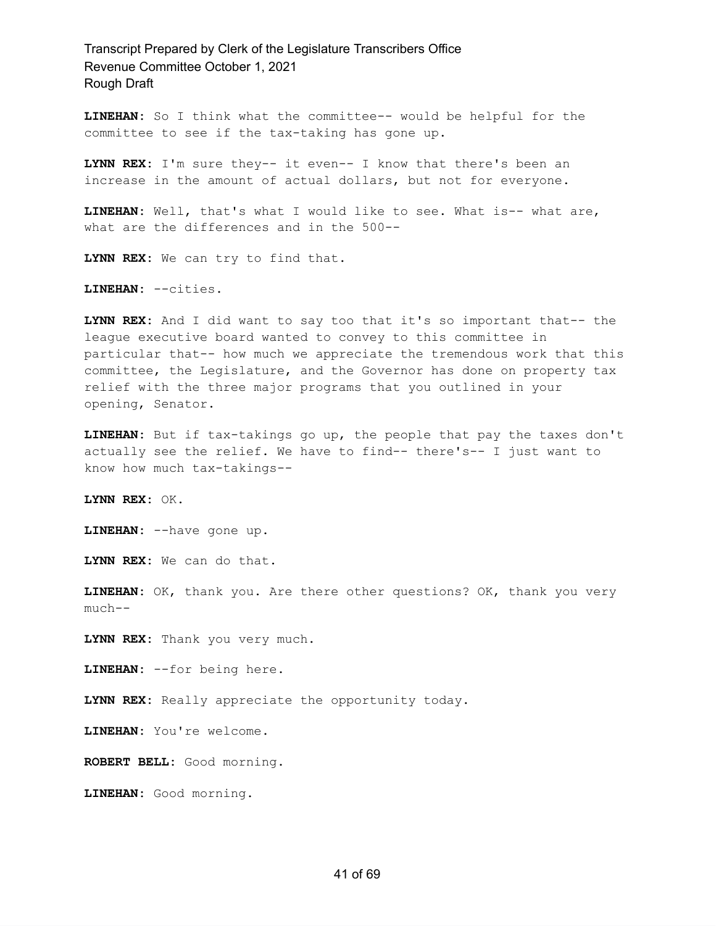**LINEHAN:** So I think what the committee-- would be helpful for the committee to see if the tax-taking has gone up.

**LYNN REX:** I'm sure they-- it even-- I know that there's been an increase in the amount of actual dollars, but not for everyone.

**LINEHAN:** Well, that's what I would like to see. What is-- what are, what are the differences and in the 500--

**LYNN REX:** We can try to find that.

**LINEHAN:** --cities.

**LYNN REX:** And I did want to say too that it's so important that-- the league executive board wanted to convey to this committee in particular that-- how much we appreciate the tremendous work that this committee, the Legislature, and the Governor has done on property tax relief with the three major programs that you outlined in your opening, Senator.

**LINEHAN:** But if tax-takings go up, the people that pay the taxes don't actually see the relief. We have to find-- there's-- I just want to know how much tax-takings--

**LYNN REX:** OK.

**LINEHAN:** --have gone up.

**LYNN REX:** We can do that.

**LINEHAN:** OK, thank you. Are there other questions? OK, thank you very much--

**LYNN REX:** Thank you very much.

**LINEHAN:** --for being here.

**LYNN REX:** Really appreciate the opportunity today.

**LINEHAN:** You're welcome.

**ROBERT BELL:** Good morning.

**LINEHAN:** Good morning.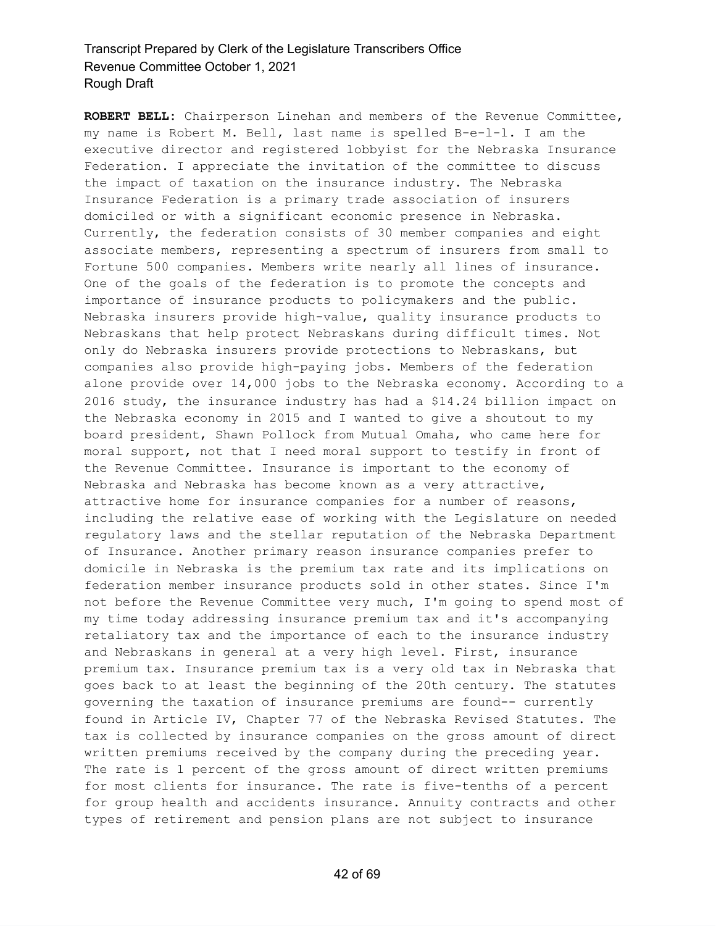**ROBERT BELL:** Chairperson Linehan and members of the Revenue Committee, my name is Robert M. Bell, last name is spelled B-e-l-l. I am the executive director and registered lobbyist for the Nebraska Insurance Federation. I appreciate the invitation of the committee to discuss the impact of taxation on the insurance industry. The Nebraska Insurance Federation is a primary trade association of insurers domiciled or with a significant economic presence in Nebraska. Currently, the federation consists of 30 member companies and eight associate members, representing a spectrum of insurers from small to Fortune 500 companies. Members write nearly all lines of insurance. One of the goals of the federation is to promote the concepts and importance of insurance products to policymakers and the public. Nebraska insurers provide high-value, quality insurance products to Nebraskans that help protect Nebraskans during difficult times. Not only do Nebraska insurers provide protections to Nebraskans, but companies also provide high-paying jobs. Members of the federation alone provide over 14,000 jobs to the Nebraska economy. According to a 2016 study, the insurance industry has had a \$14.24 billion impact on the Nebraska economy in 2015 and I wanted to give a shoutout to my board president, Shawn Pollock from Mutual Omaha, who came here for moral support, not that I need moral support to testify in front of the Revenue Committee. Insurance is important to the economy of Nebraska and Nebraska has become known as a very attractive, attractive home for insurance companies for a number of reasons, including the relative ease of working with the Legislature on needed regulatory laws and the stellar reputation of the Nebraska Department of Insurance. Another primary reason insurance companies prefer to domicile in Nebraska is the premium tax rate and its implications on federation member insurance products sold in other states. Since I'm not before the Revenue Committee very much, I'm going to spend most of my time today addressing insurance premium tax and it's accompanying retaliatory tax and the importance of each to the insurance industry and Nebraskans in general at a very high level. First, insurance premium tax. Insurance premium tax is a very old tax in Nebraska that goes back to at least the beginning of the 20th century. The statutes governing the taxation of insurance premiums are found-- currently found in Article IV, Chapter 77 of the Nebraska Revised Statutes. The tax is collected by insurance companies on the gross amount of direct written premiums received by the company during the preceding year. The rate is 1 percent of the gross amount of direct written premiums for most clients for insurance. The rate is five-tenths of a percent for group health and accidents insurance. Annuity contracts and other types of retirement and pension plans are not subject to insurance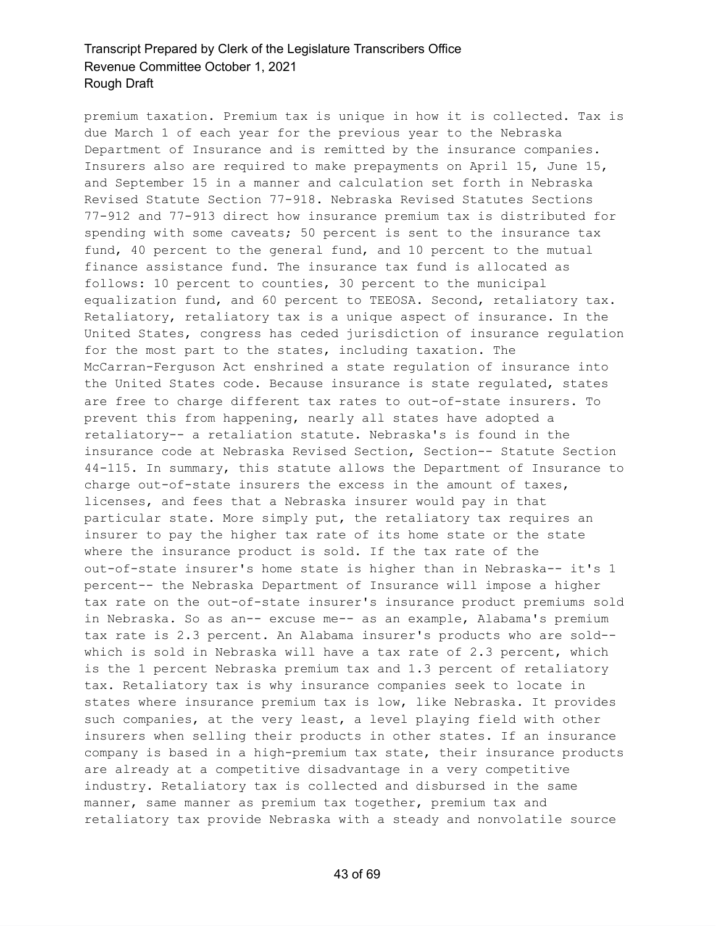premium taxation. Premium tax is unique in how it is collected. Tax is due March 1 of each year for the previous year to the Nebraska Department of Insurance and is remitted by the insurance companies. Insurers also are required to make prepayments on April 15, June 15, and September 15 in a manner and calculation set forth in Nebraska Revised Statute Section 77-918. Nebraska Revised Statutes Sections 77-912 and 77-913 direct how insurance premium tax is distributed for spending with some caveats; 50 percent is sent to the insurance tax fund, 40 percent to the general fund, and 10 percent to the mutual finance assistance fund. The insurance tax fund is allocated as follows: 10 percent to counties, 30 percent to the municipal equalization fund, and 60 percent to TEEOSA. Second, retaliatory tax. Retaliatory, retaliatory tax is a unique aspect of insurance. In the United States, congress has ceded jurisdiction of insurance regulation for the most part to the states, including taxation. The McCarran-Ferguson Act enshrined a state regulation of insurance into the United States code. Because insurance is state regulated, states are free to charge different tax rates to out-of-state insurers. To prevent this from happening, nearly all states have adopted a retaliatory-- a retaliation statute. Nebraska's is found in the insurance code at Nebraska Revised Section, Section-- Statute Section 44-115. In summary, this statute allows the Department of Insurance to charge out-of-state insurers the excess in the amount of taxes, licenses, and fees that a Nebraska insurer would pay in that particular state. More simply put, the retaliatory tax requires an insurer to pay the higher tax rate of its home state or the state where the insurance product is sold. If the tax rate of the out-of-state insurer's home state is higher than in Nebraska-- it's 1 percent-- the Nebraska Department of Insurance will impose a higher tax rate on the out-of-state insurer's insurance product premiums sold in Nebraska. So as an-- excuse me-- as an example, Alabama's premium tax rate is 2.3 percent. An Alabama insurer's products who are sold- which is sold in Nebraska will have a tax rate of 2.3 percent, which is the 1 percent Nebraska premium tax and 1.3 percent of retaliatory tax. Retaliatory tax is why insurance companies seek to locate in states where insurance premium tax is low, like Nebraska. It provides such companies, at the very least, a level playing field with other insurers when selling their products in other states. If an insurance company is based in a high-premium tax state, their insurance products are already at a competitive disadvantage in a very competitive industry. Retaliatory tax is collected and disbursed in the same manner, same manner as premium tax together, premium tax and retaliatory tax provide Nebraska with a steady and nonvolatile source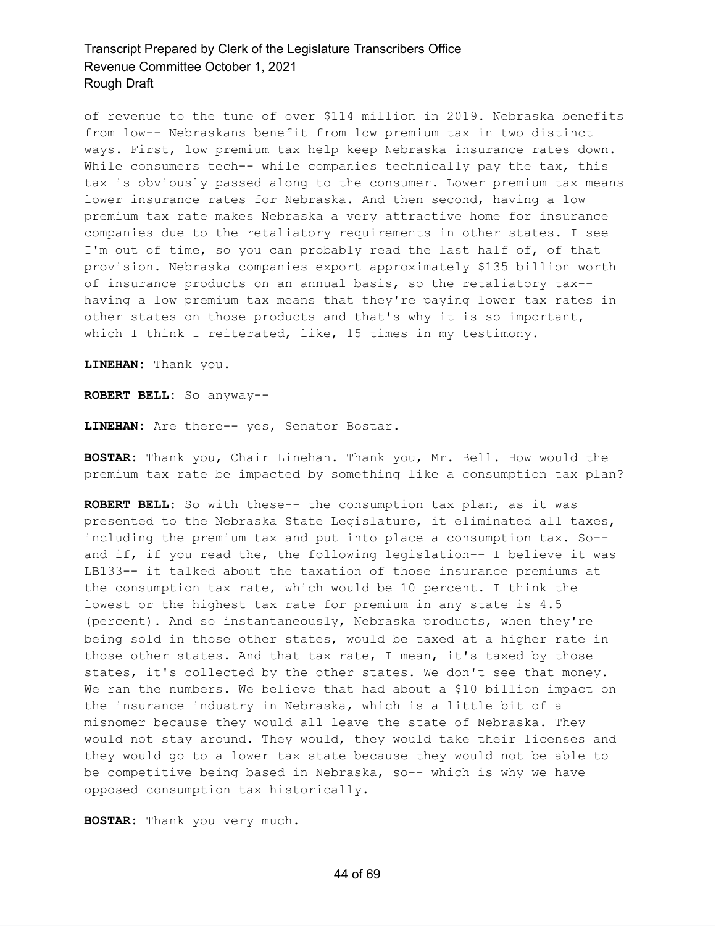of revenue to the tune of over \$114 million in 2019. Nebraska benefits from low-- Nebraskans benefit from low premium tax in two distinct ways. First, low premium tax help keep Nebraska insurance rates down. While consumers tech-- while companies technically pay the tax, this tax is obviously passed along to the consumer. Lower premium tax means lower insurance rates for Nebraska. And then second, having a low premium tax rate makes Nebraska a very attractive home for insurance companies due to the retaliatory requirements in other states. I see I'm out of time, so you can probably read the last half of, of that provision. Nebraska companies export approximately \$135 billion worth of insurance products on an annual basis, so the retaliatory tax- having a low premium tax means that they're paying lower tax rates in other states on those products and that's why it is so important, which I think I reiterated, like, 15 times in my testimony.

**LINEHAN:** Thank you.

**ROBERT BELL:** So anyway--

**LINEHAN:** Are there-- yes, Senator Bostar.

**BOSTAR:** Thank you, Chair Linehan. Thank you, Mr. Bell. How would the premium tax rate be impacted by something like a consumption tax plan?

**ROBERT BELL:** So with these-- the consumption tax plan, as it was presented to the Nebraska State Legislature, it eliminated all taxes, including the premium tax and put into place a consumption tax. So- and if, if you read the, the following legislation-- I believe it was LB133-- it talked about the taxation of those insurance premiums at the consumption tax rate, which would be 10 percent. I think the lowest or the highest tax rate for premium in any state is 4.5 (percent). And so instantaneously, Nebraska products, when they're being sold in those other states, would be taxed at a higher rate in those other states. And that tax rate, I mean, it's taxed by those states, it's collected by the other states. We don't see that money. We ran the numbers. We believe that had about a \$10 billion impact on the insurance industry in Nebraska, which is a little bit of a misnomer because they would all leave the state of Nebraska. They would not stay around. They would, they would take their licenses and they would go to a lower tax state because they would not be able to be competitive being based in Nebraska, so-- which is why we have opposed consumption tax historically.

**BOSTAR:** Thank you very much.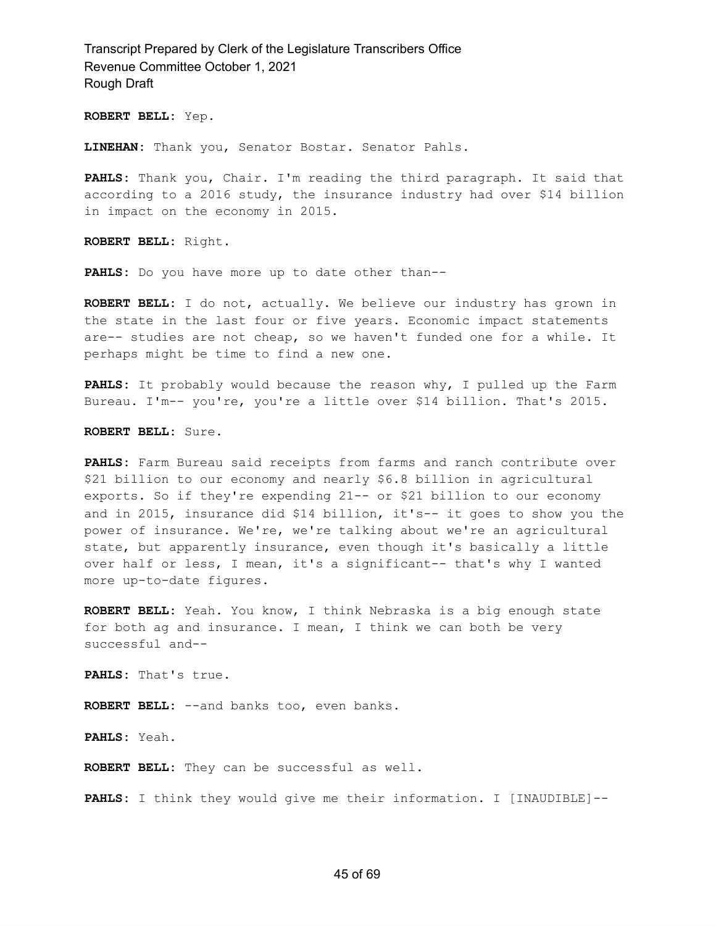**ROBERT BELL:** Yep.

**LINEHAN:** Thank you, Senator Bostar. Senator Pahls.

**PAHLS:** Thank you, Chair. I'm reading the third paragraph. It said that according to a 2016 study, the insurance industry had over \$14 billion in impact on the economy in 2015.

**ROBERT BELL:** Right.

**PAHLS:** Do you have more up to date other than--

**ROBERT BELL:** I do not, actually. We believe our industry has grown in the state in the last four or five years. Economic impact statements are-- studies are not cheap, so we haven't funded one for a while. It perhaps might be time to find a new one.

**PAHLS:** It probably would because the reason why, I pulled up the Farm Bureau. I'm-- you're, you're a little over \$14 billion. That's 2015.

**ROBERT BELL:** Sure.

**PAHLS:** Farm Bureau said receipts from farms and ranch contribute over \$21 billion to our economy and nearly \$6.8 billion in agricultural exports. So if they're expending 21-- or \$21 billion to our economy and in 2015, insurance did \$14 billion, it's-- it goes to show you the power of insurance. We're, we're talking about we're an agricultural state, but apparently insurance, even though it's basically a little over half or less, I mean, it's a significant-- that's why I wanted more up-to-date figures.

**ROBERT BELL:** Yeah. You know, I think Nebraska is a big enough state for both ag and insurance. I mean, I think we can both be very successful and--

**PAHLS:** That's true.

**ROBERT BELL:** --and banks too, even banks.

**PAHLS:** Yeah.

**ROBERT BELL:** They can be successful as well.

**PAHLS:** I think they would give me their information. I [INAUDIBLE]--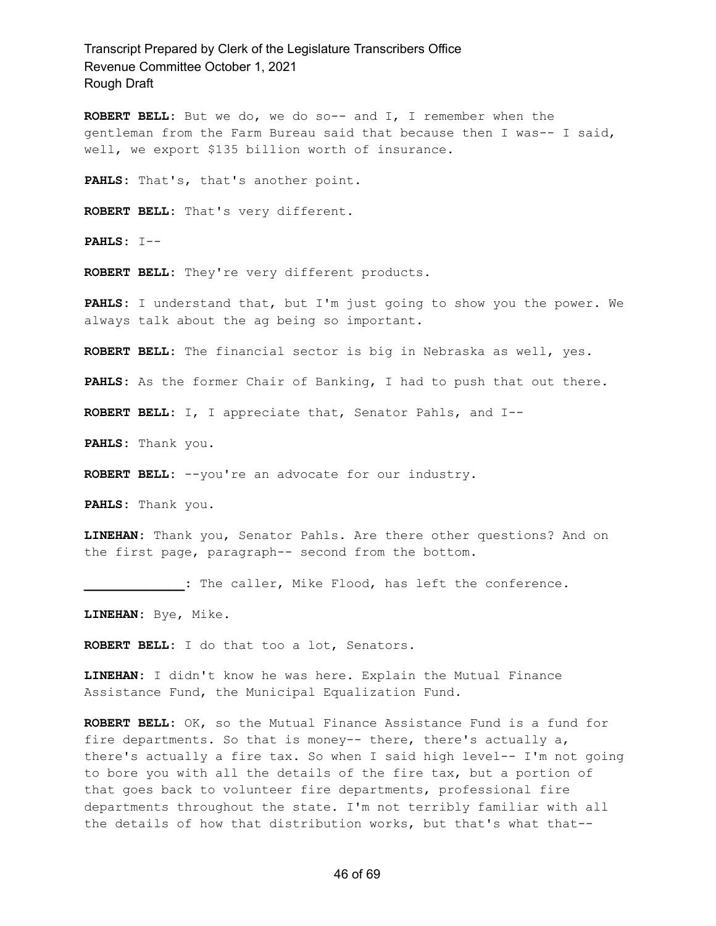**ROBERT BELL:** But we do, we do so-- and I, I remember when the gentleman from the Farm Bureau said that because then I was-- I said, well, we export \$135 billion worth of insurance.

**PAHLS:** That's, that's another point.

**ROBERT BELL:** That's very different.

**PAHLS:** I--

**ROBERT BELL:** They're very different products.

**PAHLS:** I understand that, but I'm just going to show you the power. We always talk about the ag being so important.

**ROBERT BELL:** The financial sector is big in Nebraska as well, yes.

**PAHLS:** As the former Chair of Banking, I had to push that out there.

**ROBERT BELL:** I, I appreciate that, Senator Pahls, and I--

**PAHLS:** Thank you.

**ROBERT BELL:** --you're an advocate for our industry.

**PAHLS:** Thank you.

**LINEHAN:** Thank you, Senator Pahls. Are there other questions? And on the first page, paragraph-- second from the bottom.

**\_\_\_\_\_\_\_\_\_\_\_\_\_:** The caller, Mike Flood, has left the conference.

**LINEHAN:** Bye, Mike.

**ROBERT BELL:** I do that too a lot, Senators.

**LINEHAN:** I didn't know he was here. Explain the Mutual Finance Assistance Fund, the Municipal Equalization Fund.

**ROBERT BELL:** OK, so the Mutual Finance Assistance Fund is a fund for fire departments. So that is money-- there, there's actually a, there's actually a fire tax. So when I said high level-- I'm not going to bore you with all the details of the fire tax, but a portion of that goes back to volunteer fire departments, professional fire departments throughout the state. I'm not terribly familiar with all the details of how that distribution works, but that's what that--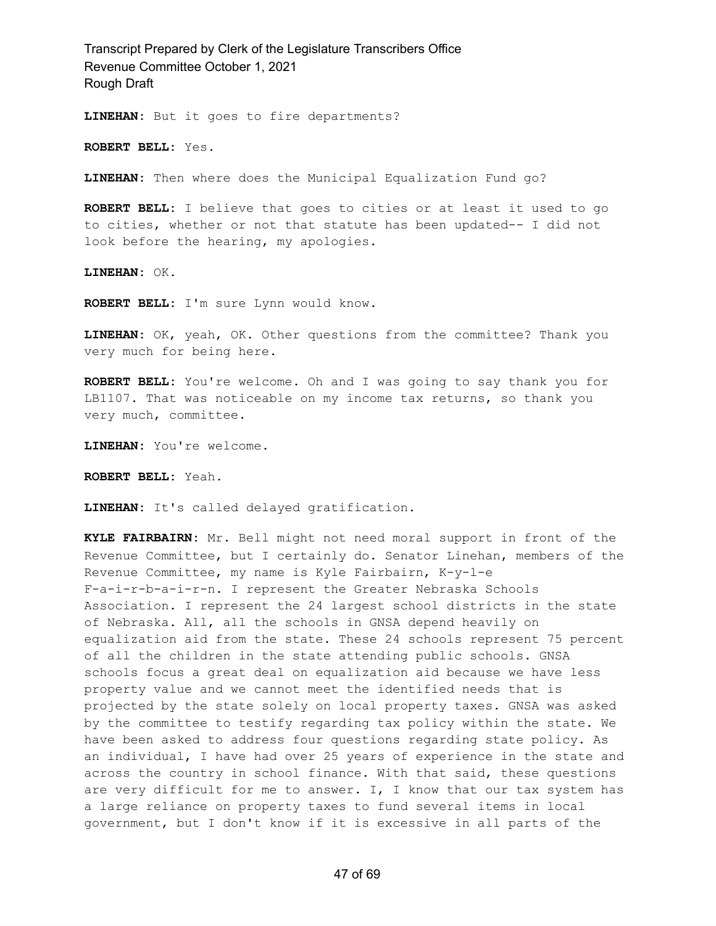**LINEHAN:** But it goes to fire departments?

**ROBERT BELL:** Yes.

**LINEHAN:** Then where does the Municipal Equalization Fund go?

**ROBERT BELL:** I believe that goes to cities or at least it used to go to cities, whether or not that statute has been updated-- I did not look before the hearing, my apologies.

**LINEHAN:** OK.

**ROBERT BELL:** I'm sure Lynn would know.

**LINEHAN:** OK, yeah, OK. Other questions from the committee? Thank you very much for being here.

**ROBERT BELL:** You're welcome. Oh and I was going to say thank you for LB1107. That was noticeable on my income tax returns, so thank you very much, committee.

**LINEHAN:** You're welcome.

**ROBERT BELL:** Yeah.

**LINEHAN:** It's called delayed gratification.

**KYLE FAIRBAIRN:** Mr. Bell might not need moral support in front of the Revenue Committee, but I certainly do. Senator Linehan, members of the Revenue Committee, my name is Kyle Fairbairn, K-y-l-e F-a-i-r-b-a-i-r-n. I represent the Greater Nebraska Schools Association. I represent the 24 largest school districts in the state of Nebraska. All, all the schools in GNSA depend heavily on equalization aid from the state. These 24 schools represent 75 percent of all the children in the state attending public schools. GNSA schools focus a great deal on equalization aid because we have less property value and we cannot meet the identified needs that is projected by the state solely on local property taxes. GNSA was asked by the committee to testify regarding tax policy within the state. We have been asked to address four questions regarding state policy. As an individual, I have had over 25 years of experience in the state and across the country in school finance. With that said, these questions are very difficult for me to answer. I, I know that our tax system has a large reliance on property taxes to fund several items in local government, but I don't know if it is excessive in all parts of the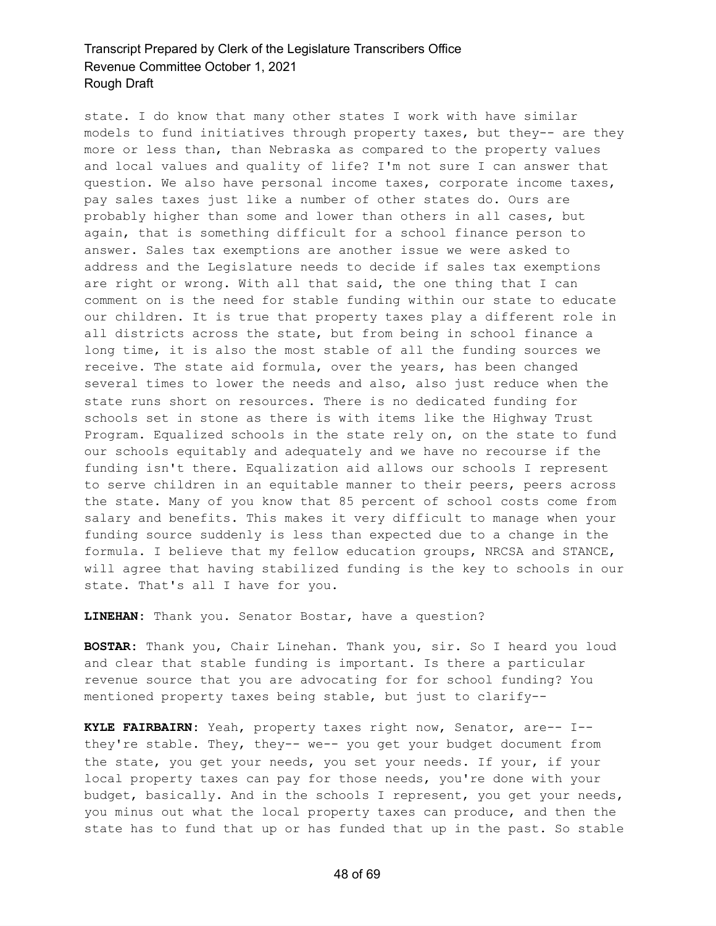state. I do know that many other states I work with have similar models to fund initiatives through property taxes, but they-- are they more or less than, than Nebraska as compared to the property values and local values and quality of life? I'm not sure I can answer that question. We also have personal income taxes, corporate income taxes, pay sales taxes just like a number of other states do. Ours are probably higher than some and lower than others in all cases, but again, that is something difficult for a school finance person to answer. Sales tax exemptions are another issue we were asked to address and the Legislature needs to decide if sales tax exemptions are right or wrong. With all that said, the one thing that I can comment on is the need for stable funding within our state to educate our children. It is true that property taxes play a different role in all districts across the state, but from being in school finance a long time, it is also the most stable of all the funding sources we receive. The state aid formula, over the years, has been changed several times to lower the needs and also, also just reduce when the state runs short on resources. There is no dedicated funding for schools set in stone as there is with items like the Highway Trust Program. Equalized schools in the state rely on, on the state to fund our schools equitably and adequately and we have no recourse if the funding isn't there. Equalization aid allows our schools I represent to serve children in an equitable manner to their peers, peers across the state. Many of you know that 85 percent of school costs come from salary and benefits. This makes it very difficult to manage when your funding source suddenly is less than expected due to a change in the formula. I believe that my fellow education groups, NRCSA and STANCE, will agree that having stabilized funding is the key to schools in our state. That's all I have for you.

**LINEHAN:** Thank you. Senator Bostar, have a question?

**BOSTAR:** Thank you, Chair Linehan. Thank you, sir. So I heard you loud and clear that stable funding is important. Is there a particular revenue source that you are advocating for for school funding? You mentioned property taxes being stable, but just to clarify--

**KYLE FAIRBAIRN:** Yeah, property taxes right now, Senator, are-- I- they're stable. They, they-- we-- you get your budget document from the state, you get your needs, you set your needs. If your, if your local property taxes can pay for those needs, you're done with your budget, basically. And in the schools I represent, you get your needs, you minus out what the local property taxes can produce, and then the state has to fund that up or has funded that up in the past. So stable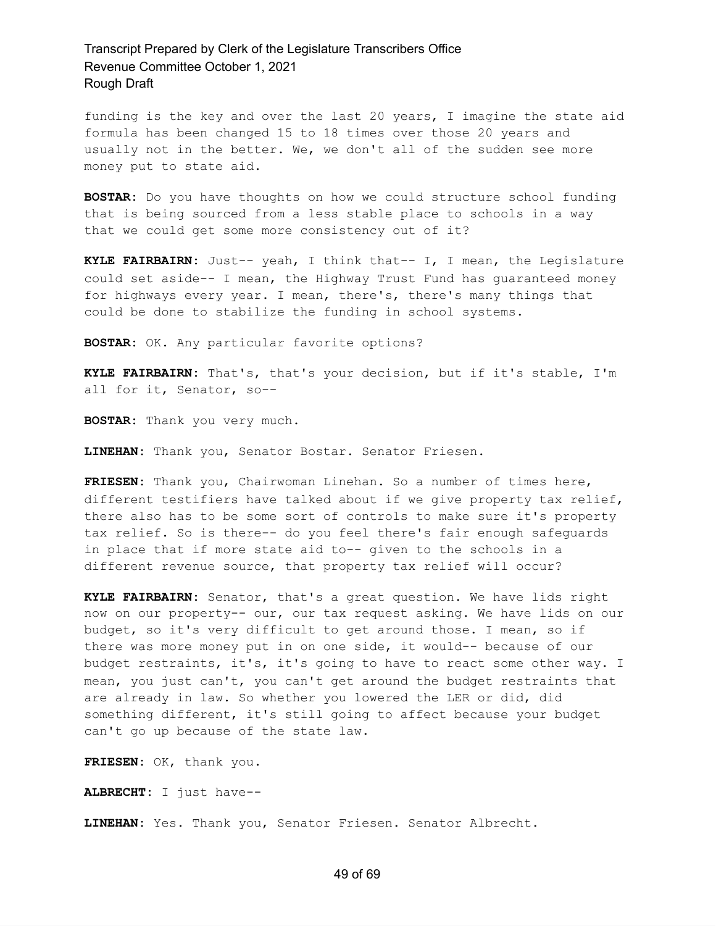funding is the key and over the last 20 years, I imagine the state aid formula has been changed 15 to 18 times over those 20 years and usually not in the better. We, we don't all of the sudden see more money put to state aid.

**BOSTAR:** Do you have thoughts on how we could structure school funding that is being sourced from a less stable place to schools in a way that we could get some more consistency out of it?

**KYLE FAIRBAIRN:** Just-- yeah, I think that-- I, I mean, the Legislature could set aside-- I mean, the Highway Trust Fund has guaranteed money for highways every year. I mean, there's, there's many things that could be done to stabilize the funding in school systems.

**BOSTAR:** OK. Any particular favorite options?

**KYLE FAIRBAIRN:** That's, that's your decision, but if it's stable, I'm all for it, Senator, so--

**BOSTAR:** Thank you very much.

**LINEHAN:** Thank you, Senator Bostar. Senator Friesen.

**FRIESEN:** Thank you, Chairwoman Linehan. So a number of times here, different testifiers have talked about if we give property tax relief, there also has to be some sort of controls to make sure it's property tax relief. So is there-- do you feel there's fair enough safeguards in place that if more state aid to-- given to the schools in a different revenue source, that property tax relief will occur?

**KYLE FAIRBAIRN:** Senator, that's a great question. We have lids right now on our property-- our, our tax request asking. We have lids on our budget, so it's very difficult to get around those. I mean, so if there was more money put in on one side, it would-- because of our budget restraints, it's, it's going to have to react some other way. I mean, you just can't, you can't get around the budget restraints that are already in law. So whether you lowered the LER or did, did something different, it's still going to affect because your budget can't go up because of the state law.

**FRIESEN:** OK, thank you.

**ALBRECHT:** I just have--

**LINEHAN:** Yes. Thank you, Senator Friesen. Senator Albrecht.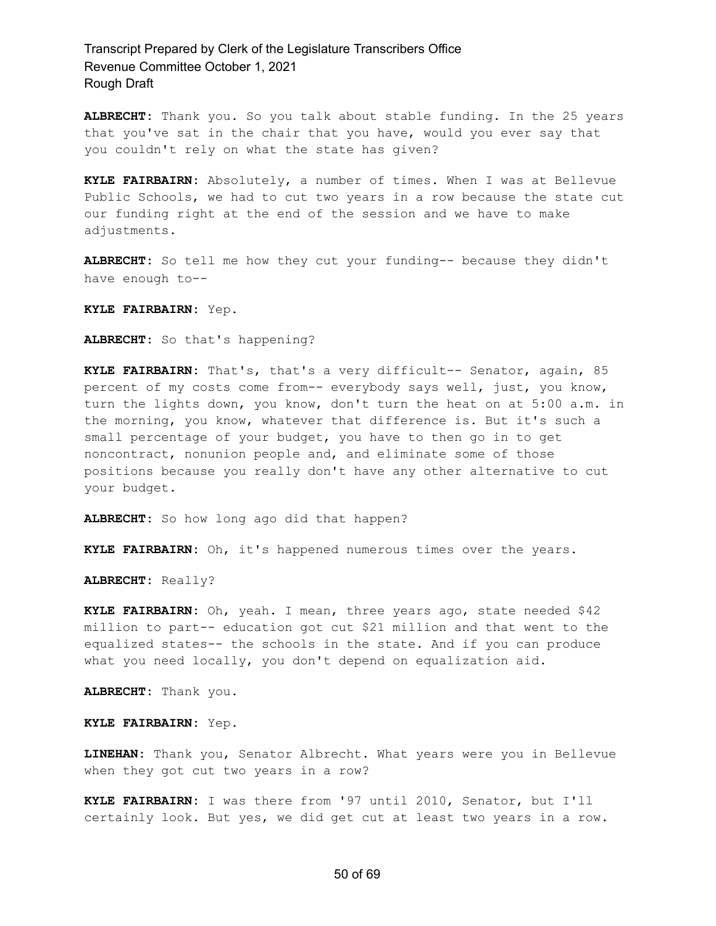**ALBRECHT:** Thank you. So you talk about stable funding. In the 25 years that you've sat in the chair that you have, would you ever say that you couldn't rely on what the state has given?

**KYLE FAIRBAIRN:** Absolutely, a number of times. When I was at Bellevue Public Schools, we had to cut two years in a row because the state cut our funding right at the end of the session and we have to make adjustments.

**ALBRECHT:** So tell me how they cut your funding-- because they didn't have enough to--

**KYLE FAIRBAIRN:** Yep.

**ALBRECHT:** So that's happening?

**KYLE FAIRBAIRN:** That's, that's a very difficult-- Senator, again, 85 percent of my costs come from-- everybody says well, just, you know, turn the lights down, you know, don't turn the heat on at 5:00 a.m. in the morning, you know, whatever that difference is. But it's such a small percentage of your budget, you have to then go in to get noncontract, nonunion people and, and eliminate some of those positions because you really don't have any other alternative to cut your budget.

**ALBRECHT:** So how long ago did that happen?

**KYLE FAIRBAIRN:** Oh, it's happened numerous times over the years.

**ALBRECHT:** Really?

**KYLE FAIRBAIRN:** Oh, yeah. I mean, three years ago, state needed \$42 million to part-- education got cut \$21 million and that went to the equalized states-- the schools in the state. And if you can produce what you need locally, you don't depend on equalization aid.

**ALBRECHT:** Thank you.

**KYLE FAIRBAIRN:** Yep.

**LINEHAN:** Thank you, Senator Albrecht. What years were you in Bellevue when they got cut two years in a row?

**KYLE FAIRBAIRN:** I was there from '97 until 2010, Senator, but I'll certainly look. But yes, we did get cut at least two years in a row.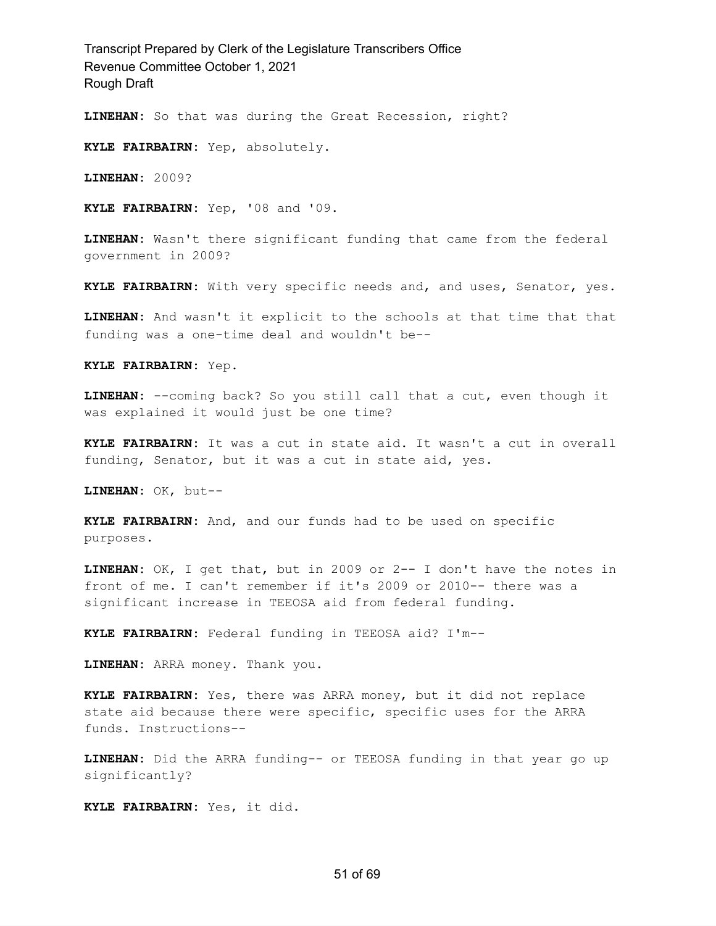**LINEHAN:** So that was during the Great Recession, right?

**KYLE FAIRBAIRN:** Yep, absolutely.

**LINEHAN:** 2009?

**KYLE FAIRBAIRN:** Yep, '08 and '09.

**LINEHAN:** Wasn't there significant funding that came from the federal government in 2009?

**KYLE FAIRBAIRN:** With very specific needs and, and uses, Senator, yes.

**LINEHAN:** And wasn't it explicit to the schools at that time that that funding was a one-time deal and wouldn't be--

**KYLE FAIRBAIRN:** Yep.

**LINEHAN:** --coming back? So you still call that a cut, even though it was explained it would just be one time?

**KYLE FAIRBAIRN:** It was a cut in state aid. It wasn't a cut in overall funding, Senator, but it was a cut in state aid, yes.

**LINEHAN:** OK, but--

**KYLE FAIRBAIRN:** And, and our funds had to be used on specific purposes.

**LINEHAN:** OK, I get that, but in 2009 or 2-- I don't have the notes in front of me. I can't remember if it's 2009 or 2010-- there was a significant increase in TEEOSA aid from federal funding.

**KYLE FAIRBAIRN:** Federal funding in TEEOSA aid? I'm--

**LINEHAN:** ARRA money. Thank you.

**KYLE FAIRBAIRN:** Yes, there was ARRA money, but it did not replace state aid because there were specific, specific uses for the ARRA funds. Instructions--

**LINEHAN:** Did the ARRA funding-- or TEEOSA funding in that year go up significantly?

**KYLE FAIRBAIRN:** Yes, it did.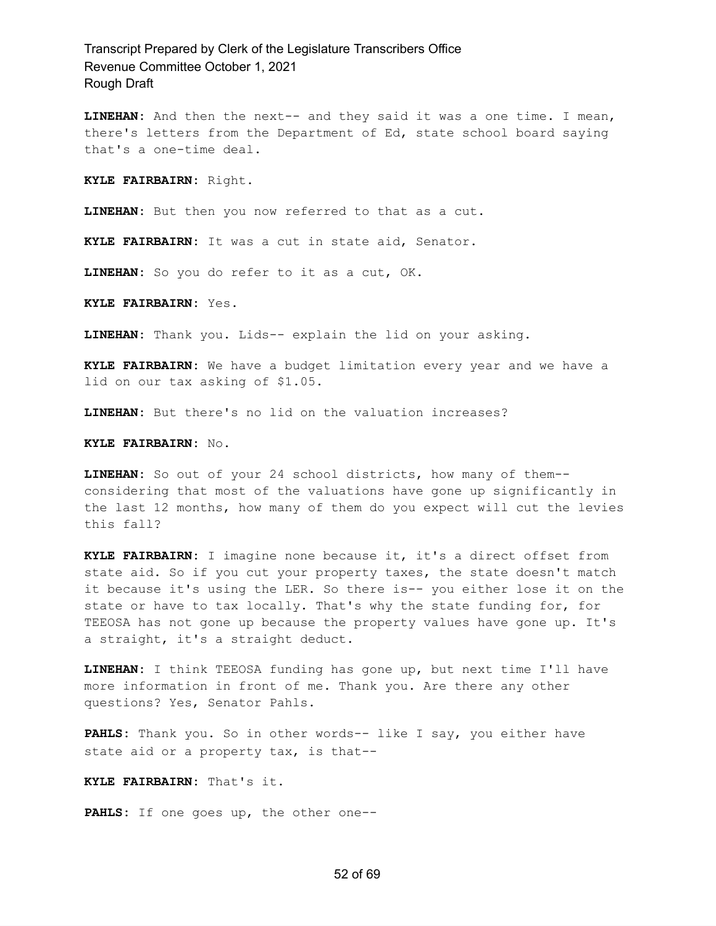**LINEHAN:** And then the next-- and they said it was a one time. I mean, there's letters from the Department of Ed, state school board saying that's a one-time deal.

**KYLE FAIRBAIRN:** Right.

**LINEHAN:** But then you now referred to that as a cut.

**KYLE FAIRBAIRN:** It was a cut in state aid, Senator.

**LINEHAN:** So you do refer to it as a cut, OK.

**KYLE FAIRBAIRN:** Yes.

**LINEHAN:** Thank you. Lids-- explain the lid on your asking.

**KYLE FAIRBAIRN:** We have a budget limitation every year and we have a lid on our tax asking of \$1.05.

**LINEHAN:** But there's no lid on the valuation increases?

**KYLE FAIRBAIRN:** No.

**LINEHAN:** So out of your 24 school districts, how many of them- considering that most of the valuations have gone up significantly in the last 12 months, how many of them do you expect will cut the levies this fall?

**KYLE FAIRBAIRN:** I imagine none because it, it's a direct offset from state aid. So if you cut your property taxes, the state doesn't match it because it's using the LER. So there is-- you either lose it on the state or have to tax locally. That's why the state funding for, for TEEOSA has not gone up because the property values have gone up. It's a straight, it's a straight deduct.

**LINEHAN:** I think TEEOSA funding has gone up, but next time I'll have more information in front of me. Thank you. Are there any other questions? Yes, Senator Pahls.

**PAHLS:** Thank you. So in other words-- like I say, you either have state aid or a property tax, is that--

**KYLE FAIRBAIRN:** That's it.

**PAHLS:** If one goes up, the other one--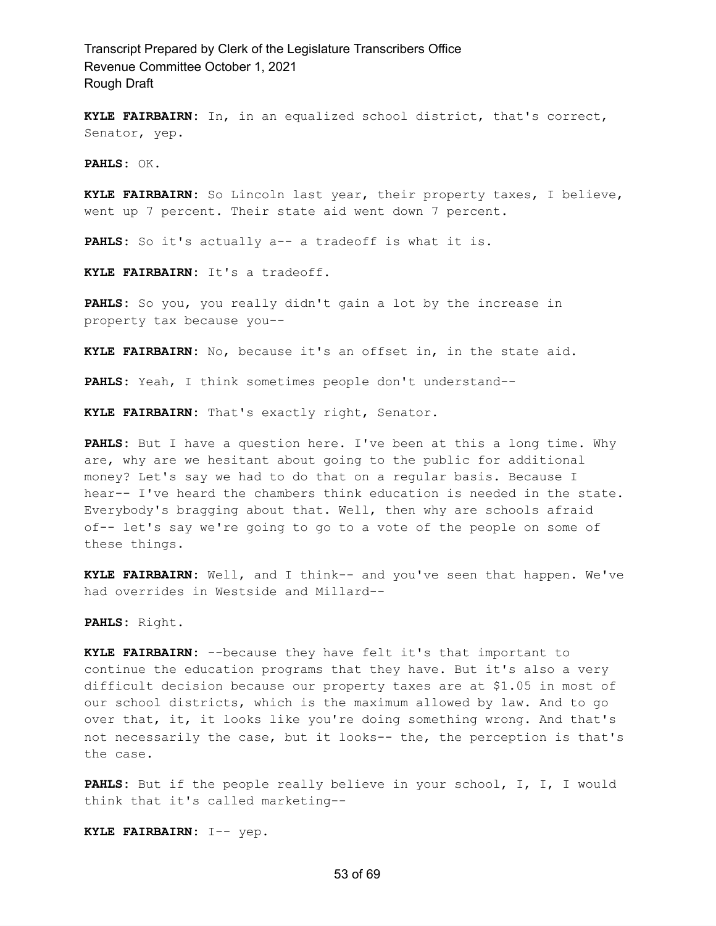**KYLE FAIRBAIRN:** In, in an equalized school district, that's correct, Senator, yep.

**PAHLS:** OK.

**KYLE FAIRBAIRN:** So Lincoln last year, their property taxes, I believe, went up 7 percent. Their state aid went down 7 percent.

PAHLS: So it's actually a-- a tradeoff is what it is.

**KYLE FAIRBAIRN:** It's a tradeoff.

**PAHLS:** So you, you really didn't gain a lot by the increase in property tax because you--

**KYLE FAIRBAIRN:** No, because it's an offset in, in the state aid.

**PAHLS:** Yeah, I think sometimes people don't understand--

**KYLE FAIRBAIRN:** That's exactly right, Senator.

**PAHLS:** But I have a question here. I've been at this a long time. Why are, why are we hesitant about going to the public for additional money? Let's say we had to do that on a regular basis. Because I hear-- I've heard the chambers think education is needed in the state. Everybody's bragging about that. Well, then why are schools afraid of-- let's say we're going to go to a vote of the people on some of these things.

**KYLE FAIRBAIRN:** Well, and I think-- and you've seen that happen. We've had overrides in Westside and Millard--

**PAHLS:** Right.

**KYLE FAIRBAIRN:** --because they have felt it's that important to continue the education programs that they have. But it's also a very difficult decision because our property taxes are at \$1.05 in most of our school districts, which is the maximum allowed by law. And to go over that, it, it looks like you're doing something wrong. And that's not necessarily the case, but it looks-- the, the perception is that's the case.

**PAHLS:** But if the people really believe in your school, I, I, I would think that it's called marketing--

**KYLE FAIRBAIRN:** I-- yep.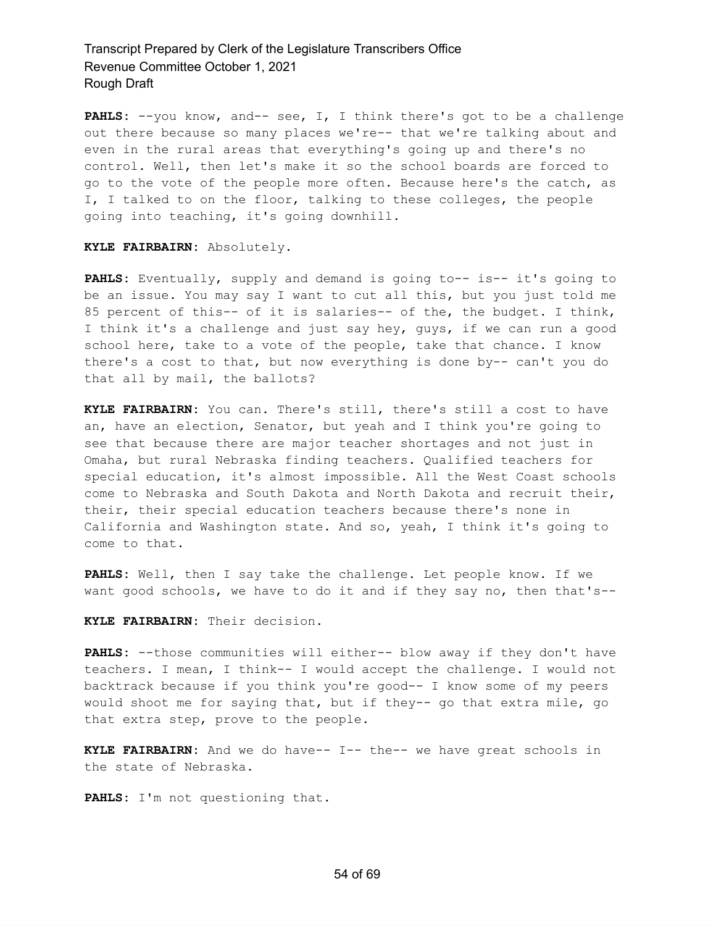PAHLS: --you know, and-- see, I, I think there's got to be a challenge out there because so many places we're-- that we're talking about and even in the rural areas that everything's going up and there's no control. Well, then let's make it so the school boards are forced to go to the vote of the people more often. Because here's the catch, as I, I talked to on the floor, talking to these colleges, the people going into teaching, it's going downhill.

#### **KYLE FAIRBAIRN:** Absolutely.

**PAHLS:** Eventually, supply and demand is going to-- is-- it's going to be an issue. You may say I want to cut all this, but you just told me 85 percent of this-- of it is salaries-- of the, the budget. I think, I think it's a challenge and just say hey, guys, if we can run a good school here, take to a vote of the people, take that chance. I know there's a cost to that, but now everything is done by-- can't you do that all by mail, the ballots?

**KYLE FAIRBAIRN:** You can. There's still, there's still a cost to have an, have an election, Senator, but yeah and I think you're going to see that because there are major teacher shortages and not just in Omaha, but rural Nebraska finding teachers. Qualified teachers for special education, it's almost impossible. All the West Coast schools come to Nebraska and South Dakota and North Dakota and recruit their, their, their special education teachers because there's none in California and Washington state. And so, yeah, I think it's going to come to that.

**PAHLS:** Well, then I say take the challenge. Let people know. If we want good schools, we have to do it and if they say no, then that's--

**KYLE FAIRBAIRN:** Their decision.

**PAHLS:** --those communities will either-- blow away if they don't have teachers. I mean, I think-- I would accept the challenge. I would not backtrack because if you think you're good-- I know some of my peers would shoot me for saying that, but if they-- go that extra mile, go that extra step, prove to the people.

**KYLE FAIRBAIRN:** And we do have-- I-- the-- we have great schools in the state of Nebraska.

**PAHLS:** I'm not questioning that.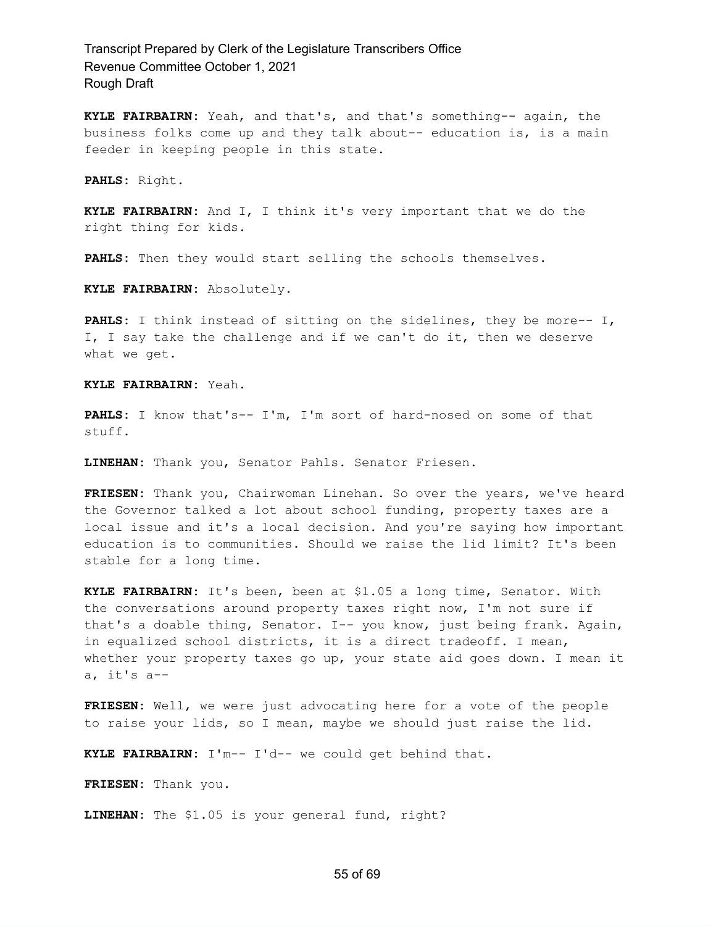**KYLE FAIRBAIRN:** Yeah, and that's, and that's something-- again, the business folks come up and they talk about-- education is, is a main feeder in keeping people in this state.

**PAHLS:** Right.

**KYLE FAIRBAIRN:** And I, I think it's very important that we do the right thing for kids.

**PAHLS:** Then they would start selling the schools themselves.

**KYLE FAIRBAIRN:** Absolutely.

**PAHLS:** I think instead of sitting on the sidelines, they be more-- I, I, I say take the challenge and if we can't do it, then we deserve what we get.

**KYLE FAIRBAIRN:** Yeah.

**PAHLS:** I know that's-- I'm, I'm sort of hard-nosed on some of that stuff.

**LINEHAN:** Thank you, Senator Pahls. Senator Friesen.

**FRIESEN:** Thank you, Chairwoman Linehan. So over the years, we've heard the Governor talked a lot about school funding, property taxes are a local issue and it's a local decision. And you're saying how important education is to communities. Should we raise the lid limit? It's been stable for a long time.

**KYLE FAIRBAIRN:** It's been, been at \$1.05 a long time, Senator. With the conversations around property taxes right now, I'm not sure if that's a doable thing, Senator. I-- you know, just being frank. Again, in equalized school districts, it is a direct tradeoff. I mean, whether your property taxes go up, your state aid goes down. I mean it a, it's a--

**FRIESEN:** Well, we were just advocating here for a vote of the people to raise your lids, so I mean, maybe we should just raise the lid.

**KYLE FAIRBAIRN:** I'm-- I'd-- we could get behind that.

**FRIESEN:** Thank you.

**LINEHAN:** The \$1.05 is your general fund, right?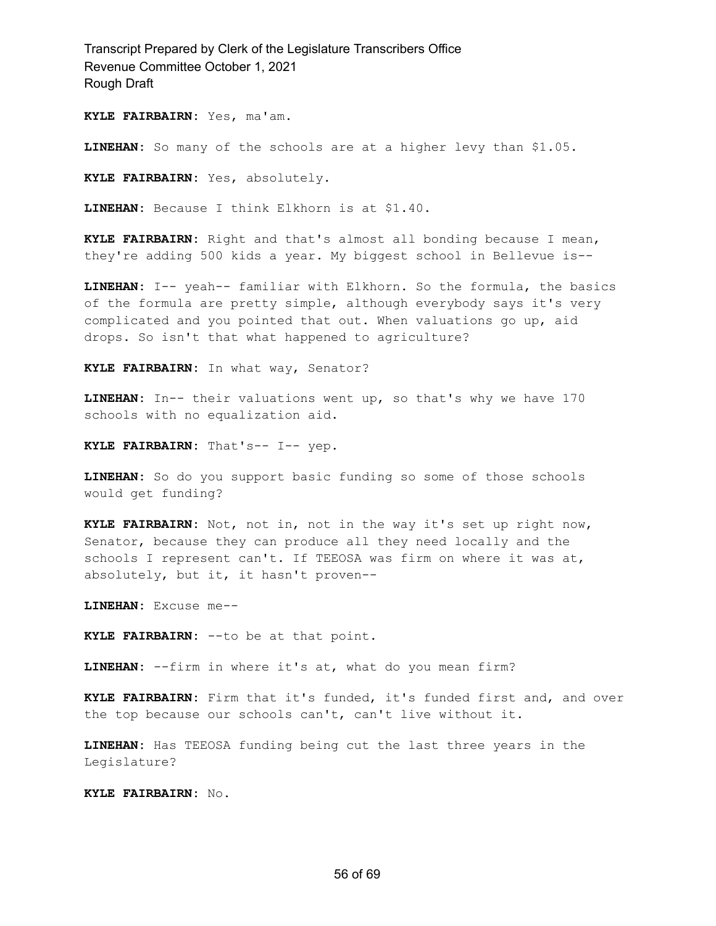**KYLE FAIRBAIRN:** Yes, ma'am.

**LINEHAN:** So many of the schools are at a higher levy than \$1.05.

**KYLE FAIRBAIRN:** Yes, absolutely.

**LINEHAN:** Because I think Elkhorn is at \$1.40.

**KYLE FAIRBAIRN:** Right and that's almost all bonding because I mean, they're adding 500 kids a year. My biggest school in Bellevue is--

**LINEHAN:** I-- yeah-- familiar with Elkhorn. So the formula, the basics of the formula are pretty simple, although everybody says it's very complicated and you pointed that out. When valuations go up, aid drops. So isn't that what happened to agriculture?

**KYLE FAIRBAIRN:** In what way, Senator?

**LINEHAN:** In-- their valuations went up, so that's why we have 170 schools with no equalization aid.

**KYLE FAIRBAIRN:** That's-- I-- yep.

**LINEHAN:** So do you support basic funding so some of those schools would get funding?

**KYLE FAIRBAIRN:** Not, not in, not in the way it's set up right now, Senator, because they can produce all they need locally and the schools I represent can't. If TEEOSA was firm on where it was at, absolutely, but it, it hasn't proven--

**LINEHAN:** Excuse me--

**KYLE FAIRBAIRN:** --to be at that point.

**LINEHAN:** --firm in where it's at, what do you mean firm?

**KYLE FAIRBAIRN:** Firm that it's funded, it's funded first and, and over the top because our schools can't, can't live without it.

**LINEHAN:** Has TEEOSA funding being cut the last three years in the Legislature?

**KYLE FAIRBAIRN:** No.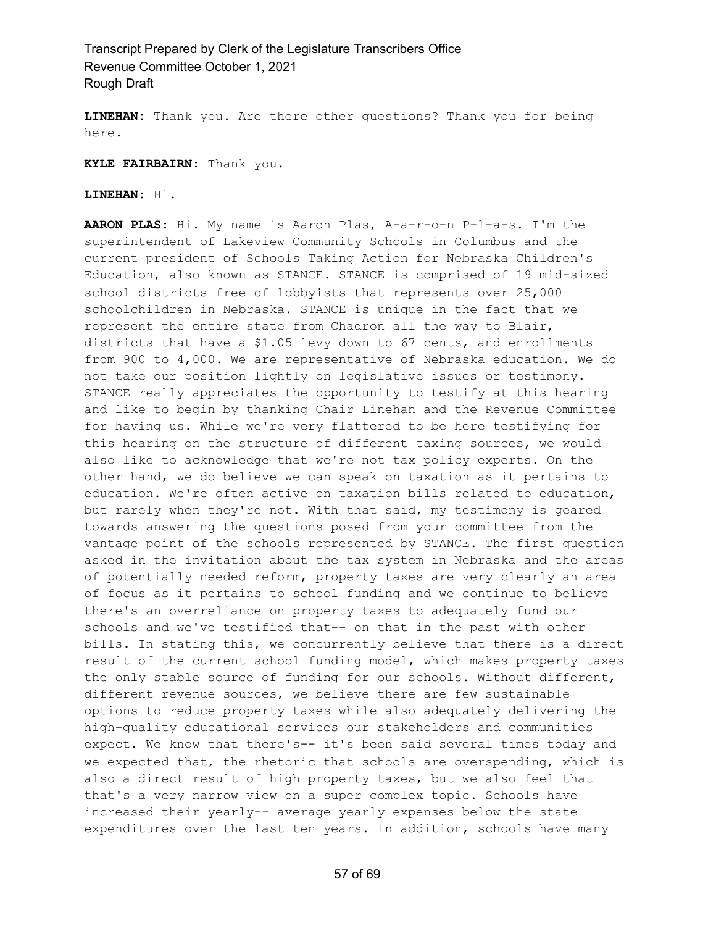**LINEHAN:** Thank you. Are there other questions? Thank you for being here.

**KYLE FAIRBAIRN:** Thank you.

**LINEHAN:** Hi.

**AARON PLAS:** Hi. My name is Aaron Plas, A-a-r-o-n P-l-a-s. I'm the superintendent of Lakeview Community Schools in Columbus and the current president of Schools Taking Action for Nebraska Children's Education, also known as STANCE. STANCE is comprised of 19 mid-sized school districts free of lobbyists that represents over 25,000 schoolchildren in Nebraska. STANCE is unique in the fact that we represent the entire state from Chadron all the way to Blair, districts that have a \$1.05 levy down to 67 cents, and enrollments from 900 to 4,000. We are representative of Nebraska education. We do not take our position lightly on legislative issues or testimony. STANCE really appreciates the opportunity to testify at this hearing and like to begin by thanking Chair Linehan and the Revenue Committee for having us. While we're very flattered to be here testifying for this hearing on the structure of different taxing sources, we would also like to acknowledge that we're not tax policy experts. On the other hand, we do believe we can speak on taxation as it pertains to education. We're often active on taxation bills related to education, but rarely when they're not. With that said, my testimony is geared towards answering the questions posed from your committee from the vantage point of the schools represented by STANCE. The first question asked in the invitation about the tax system in Nebraska and the areas of potentially needed reform, property taxes are very clearly an area of focus as it pertains to school funding and we continue to believe there's an overreliance on property taxes to adequately fund our schools and we've testified that-- on that in the past with other bills. In stating this, we concurrently believe that there is a direct result of the current school funding model, which makes property taxes the only stable source of funding for our schools. Without different, different revenue sources, we believe there are few sustainable options to reduce property taxes while also adequately delivering the high-quality educational services our stakeholders and communities expect. We know that there's-- it's been said several times today and we expected that, the rhetoric that schools are overspending, which is also a direct result of high property taxes, but we also feel that that's a very narrow view on a super complex topic. Schools have increased their yearly-- average yearly expenses below the state expenditures over the last ten years. In addition, schools have many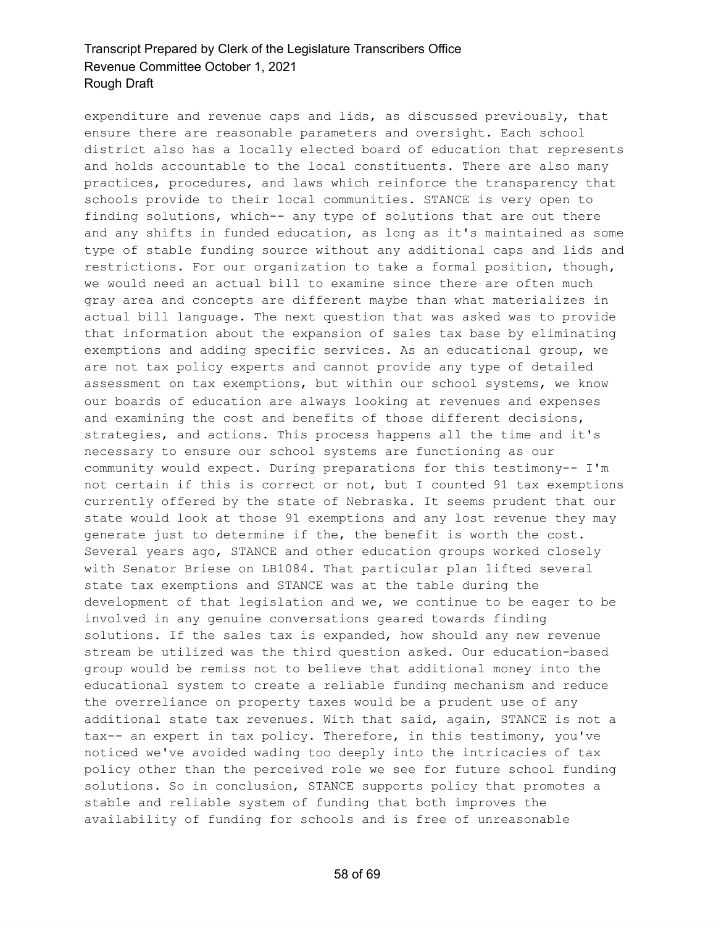expenditure and revenue caps and lids, as discussed previously, that ensure there are reasonable parameters and oversight. Each school district also has a locally elected board of education that represents and holds accountable to the local constituents. There are also many practices, procedures, and laws which reinforce the transparency that schools provide to their local communities. STANCE is very open to finding solutions, which-- any type of solutions that are out there and any shifts in funded education, as long as it's maintained as some type of stable funding source without any additional caps and lids and restrictions. For our organization to take a formal position, though, we would need an actual bill to examine since there are often much gray area and concepts are different maybe than what materializes in actual bill language. The next question that was asked was to provide that information about the expansion of sales tax base by eliminating exemptions and adding specific services. As an educational group, we are not tax policy experts and cannot provide any type of detailed assessment on tax exemptions, but within our school systems, we know our boards of education are always looking at revenues and expenses and examining the cost and benefits of those different decisions, strategies, and actions. This process happens all the time and it's necessary to ensure our school systems are functioning as our community would expect. During preparations for this testimony-- I'm not certain if this is correct or not, but I counted 91 tax exemptions currently offered by the state of Nebraska. It seems prudent that our state would look at those 91 exemptions and any lost revenue they may generate just to determine if the, the benefit is worth the cost. Several years ago, STANCE and other education groups worked closely with Senator Briese on LB1084. That particular plan lifted several state tax exemptions and STANCE was at the table during the development of that legislation and we, we continue to be eager to be involved in any genuine conversations geared towards finding solutions. If the sales tax is expanded, how should any new revenue stream be utilized was the third question asked. Our education-based group would be remiss not to believe that additional money into the educational system to create a reliable funding mechanism and reduce the overreliance on property taxes would be a prudent use of any additional state tax revenues. With that said, again, STANCE is not a tax-- an expert in tax policy. Therefore, in this testimony, you've noticed we've avoided wading too deeply into the intricacies of tax policy other than the perceived role we see for future school funding solutions. So in conclusion, STANCE supports policy that promotes a stable and reliable system of funding that both improves the availability of funding for schools and is free of unreasonable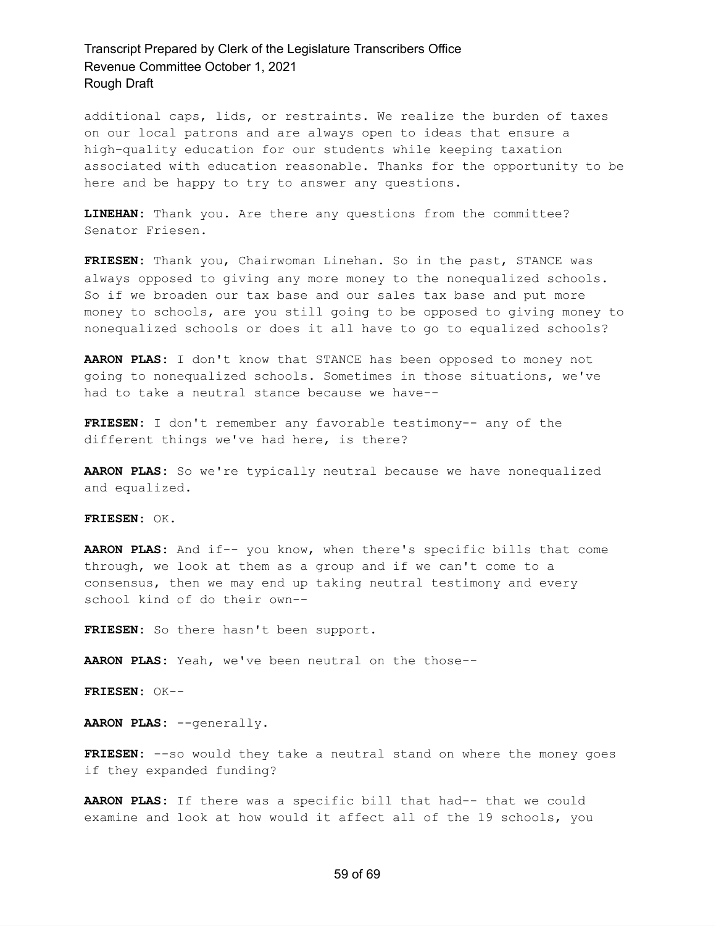additional caps, lids, or restraints. We realize the burden of taxes on our local patrons and are always open to ideas that ensure a high-quality education for our students while keeping taxation associated with education reasonable. Thanks for the opportunity to be here and be happy to try to answer any questions.

**LINEHAN:** Thank you. Are there any questions from the committee? Senator Friesen.

**FRIESEN:** Thank you, Chairwoman Linehan. So in the past, STANCE was always opposed to giving any more money to the nonequalized schools. So if we broaden our tax base and our sales tax base and put more money to schools, are you still going to be opposed to giving money to nonequalized schools or does it all have to go to equalized schools?

**AARON PLAS:** I don't know that STANCE has been opposed to money not going to nonequalized schools. Sometimes in those situations, we've had to take a neutral stance because we have--

**FRIESEN:** I don't remember any favorable testimony-- any of the different things we've had here, is there?

**AARON PLAS:** So we're typically neutral because we have nonequalized and equalized.

**FRIESEN:** OK.

**AARON PLAS:** And if-- you know, when there's specific bills that come through, we look at them as a group and if we can't come to a consensus, then we may end up taking neutral testimony and every school kind of do their own--

**FRIESEN:** So there hasn't been support.

**AARON PLAS:** Yeah, we've been neutral on the those--

**FRIESEN:** OK--

**AARON PLAS:** --generally.

**FRIESEN:** --so would they take a neutral stand on where the money goes if they expanded funding?

**AARON PLAS:** If there was a specific bill that had-- that we could examine and look at how would it affect all of the 19 schools, you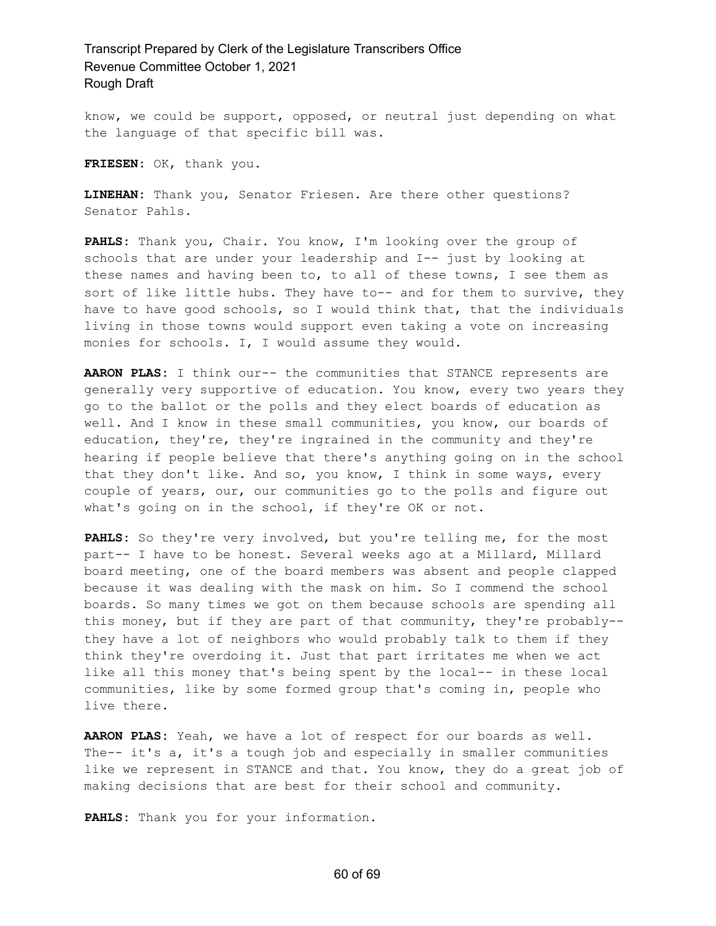know, we could be support, opposed, or neutral just depending on what the language of that specific bill was.

**FRIESEN:** OK, thank you.

**LINEHAN:** Thank you, Senator Friesen. Are there other questions? Senator Pahls.

**PAHLS:** Thank you, Chair. You know, I'm looking over the group of schools that are under your leadership and I-- just by looking at these names and having been to, to all of these towns, I see them as sort of like little hubs. They have to-- and for them to survive, they have to have good schools, so I would think that, that the individuals living in those towns would support even taking a vote on increasing monies for schools. I, I would assume they would.

**AARON PLAS:** I think our-- the communities that STANCE represents are generally very supportive of education. You know, every two years they go to the ballot or the polls and they elect boards of education as well. And I know in these small communities, you know, our boards of education, they're, they're ingrained in the community and they're hearing if people believe that there's anything going on in the school that they don't like. And so, you know, I think in some ways, every couple of years, our, our communities go to the polls and figure out what's going on in the school, if they're OK or not.

**PAHLS:** So they're very involved, but you're telling me, for the most part-- I have to be honest. Several weeks ago at a Millard, Millard board meeting, one of the board members was absent and people clapped because it was dealing with the mask on him. So I commend the school boards. So many times we got on them because schools are spending all this money, but if they are part of that community, they're probably- they have a lot of neighbors who would probably talk to them if they think they're overdoing it. Just that part irritates me when we act like all this money that's being spent by the local-- in these local communities, like by some formed group that's coming in, people who live there.

**AARON PLAS:** Yeah, we have a lot of respect for our boards as well. The-- it's a, it's a tough job and especially in smaller communities like we represent in STANCE and that. You know, they do a great job of making decisions that are best for their school and community.

**PAHLS:** Thank you for your information.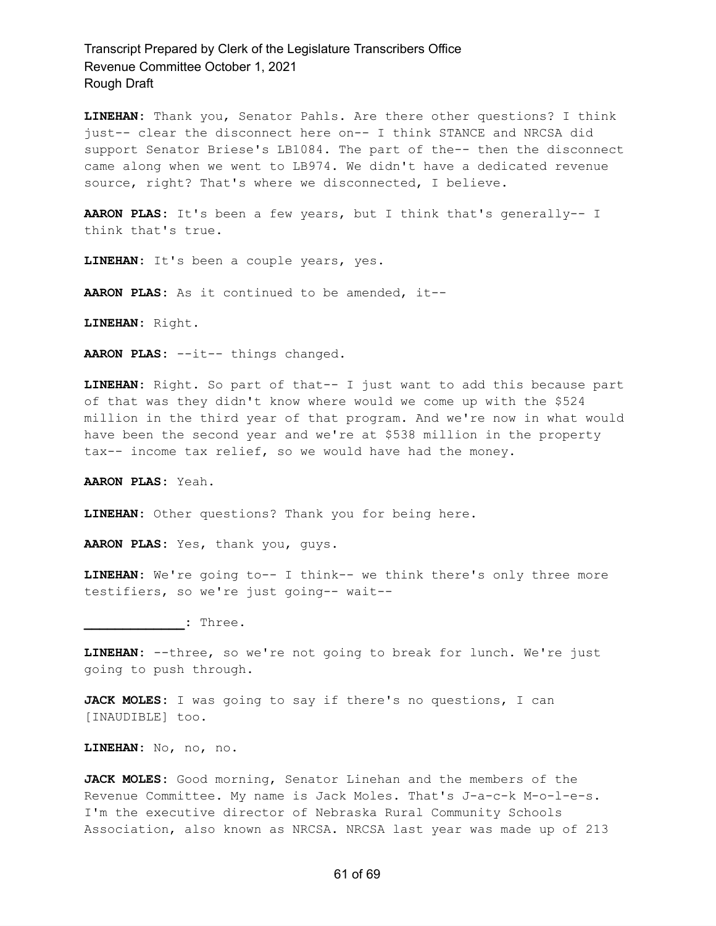**LINEHAN:** Thank you, Senator Pahls. Are there other questions? I think just-- clear the disconnect here on-- I think STANCE and NRCSA did support Senator Briese's LB1084. The part of the-- then the disconnect came along when we went to LB974. We didn't have a dedicated revenue source, right? That's where we disconnected, I believe.

**AARON PLAS:** It's been a few years, but I think that's generally-- I think that's true.

**LINEHAN:** It's been a couple years, yes.

**AARON PLAS:** As it continued to be amended, it--

**LINEHAN:** Right.

**AARON PLAS:** --it-- things changed.

**LINEHAN:** Right. So part of that-- I just want to add this because part of that was they didn't know where would we come up with the \$524 million in the third year of that program. And we're now in what would have been the second year and we're at \$538 million in the property tax-- income tax relief, so we would have had the money.

**AARON PLAS:** Yeah.

**LINEHAN:** Other questions? Thank you for being here.

**AARON PLAS:** Yes, thank you, guys.

**LINEHAN:** We're going to-- I think-- we think there's only three more testifiers, so we're just going-- wait--

**\_\_\_\_\_\_\_\_\_\_\_\_\_:** Three.

**LINEHAN:** --three, so we're not going to break for lunch. We're just going to push through.

**JACK MOLES:** I was going to say if there's no questions, I can [INAUDIBLE] too.

**LINEHAN:** No, no, no.

**JACK MOLES:** Good morning, Senator Linehan and the members of the Revenue Committee. My name is Jack Moles. That's J-a-c-k M-o-l-e-s. I'm the executive director of Nebraska Rural Community Schools Association, also known as NRCSA. NRCSA last year was made up of 213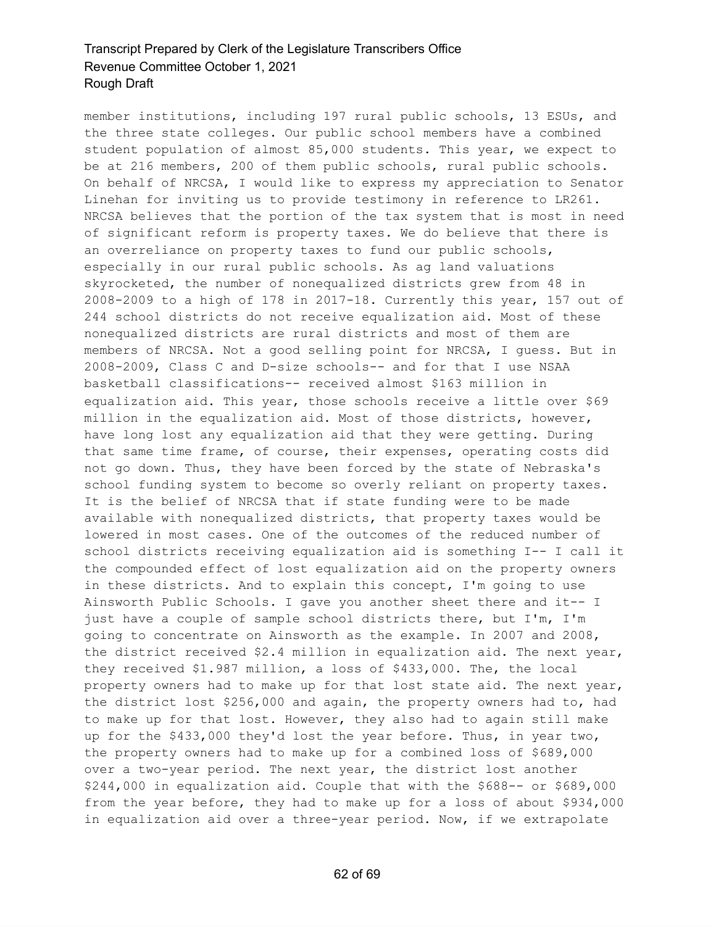member institutions, including 197 rural public schools, 13 ESUs, and the three state colleges. Our public school members have a combined student population of almost 85,000 students. This year, we expect to be at 216 members, 200 of them public schools, rural public schools. On behalf of NRCSA, I would like to express my appreciation to Senator Linehan for inviting us to provide testimony in reference to LR261. NRCSA believes that the portion of the tax system that is most in need of significant reform is property taxes. We do believe that there is an overreliance on property taxes to fund our public schools, especially in our rural public schools. As ag land valuations skyrocketed, the number of nonequalized districts grew from 48 in 2008-2009 to a high of 178 in 2017-18. Currently this year, 157 out of 244 school districts do not receive equalization aid. Most of these nonequalized districts are rural districts and most of them are members of NRCSA. Not a good selling point for NRCSA, I guess. But in 2008-2009, Class C and D-size schools-- and for that I use NSAA basketball classifications-- received almost \$163 million in equalization aid. This year, those schools receive a little over \$69 million in the equalization aid. Most of those districts, however, have long lost any equalization aid that they were getting. During that same time frame, of course, their expenses, operating costs did not go down. Thus, they have been forced by the state of Nebraska's school funding system to become so overly reliant on property taxes. It is the belief of NRCSA that if state funding were to be made available with nonequalized districts, that property taxes would be lowered in most cases. One of the outcomes of the reduced number of school districts receiving equalization aid is something I-- I call it the compounded effect of lost equalization aid on the property owners in these districts. And to explain this concept, I'm going to use Ainsworth Public Schools. I gave you another sheet there and it-- I just have a couple of sample school districts there, but I'm, I'm going to concentrate on Ainsworth as the example. In 2007 and 2008, the district received \$2.4 million in equalization aid. The next year, they received \$1.987 million, a loss of \$433,000. The, the local property owners had to make up for that lost state aid. The next year, the district lost \$256,000 and again, the property owners had to, had to make up for that lost. However, they also had to again still make up for the \$433,000 they'd lost the year before. Thus, in year two, the property owners had to make up for a combined loss of \$689,000 over a two-year period. The next year, the district lost another \$244,000 in equalization aid. Couple that with the \$688-- or \$689,000 from the year before, they had to make up for a loss of about \$934,000 in equalization aid over a three-year period. Now, if we extrapolate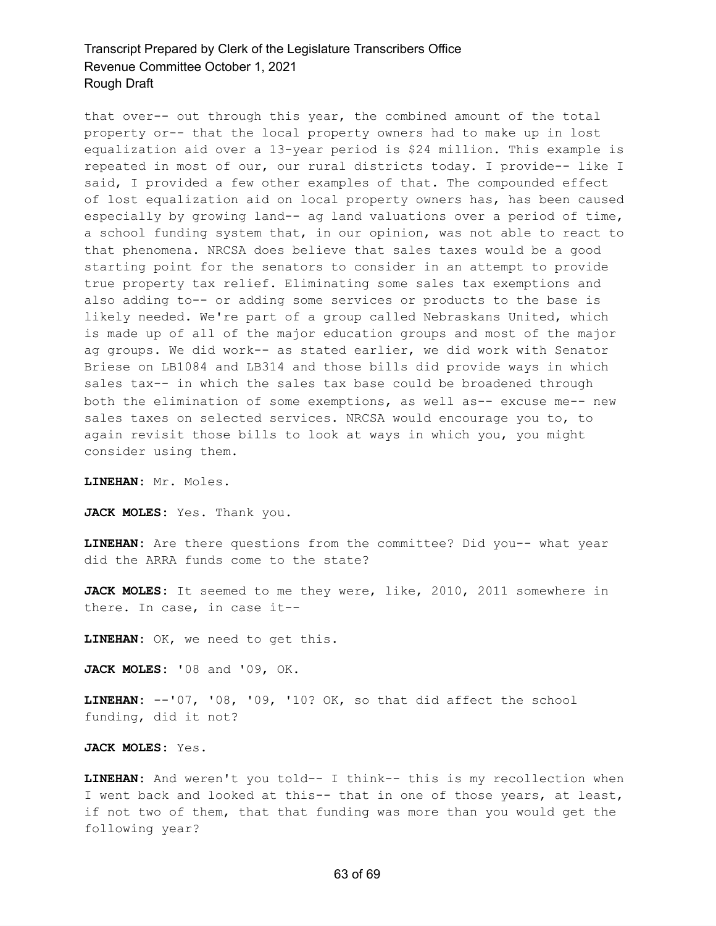that over-- out through this year, the combined amount of the total property or-- that the local property owners had to make up in lost equalization aid over a 13-year period is \$24 million. This example is repeated in most of our, our rural districts today. I provide-- like I said, I provided a few other examples of that. The compounded effect of lost equalization aid on local property owners has, has been caused especially by growing land-- ag land valuations over a period of time, a school funding system that, in our opinion, was not able to react to that phenomena. NRCSA does believe that sales taxes would be a good starting point for the senators to consider in an attempt to provide true property tax relief. Eliminating some sales tax exemptions and also adding to-- or adding some services or products to the base is likely needed. We're part of a group called Nebraskans United, which is made up of all of the major education groups and most of the major ag groups. We did work-- as stated earlier, we did work with Senator Briese on LB1084 and LB314 and those bills did provide ways in which sales tax-- in which the sales tax base could be broadened through both the elimination of some exemptions, as well as-- excuse me-- new sales taxes on selected services. NRCSA would encourage you to, to again revisit those bills to look at ways in which you, you might consider using them.

**LINEHAN:** Mr. Moles.

**JACK MOLES:** Yes. Thank you.

**LINEHAN:** Are there questions from the committee? Did you-- what year did the ARRA funds come to the state?

**JACK MOLES:** It seemed to me they were, like, 2010, 2011 somewhere in there. In case, in case it--

**LINEHAN:** OK, we need to get this.

**JACK MOLES:** '08 and '09, OK.

**LINEHAN:** --'07, '08, '09, '10? OK, so that did affect the school funding, did it not?

**JACK MOLES:** Yes.

**LINEHAN:** And weren't you told-- I think-- this is my recollection when I went back and looked at this-- that in one of those years, at least, if not two of them, that that funding was more than you would get the following year?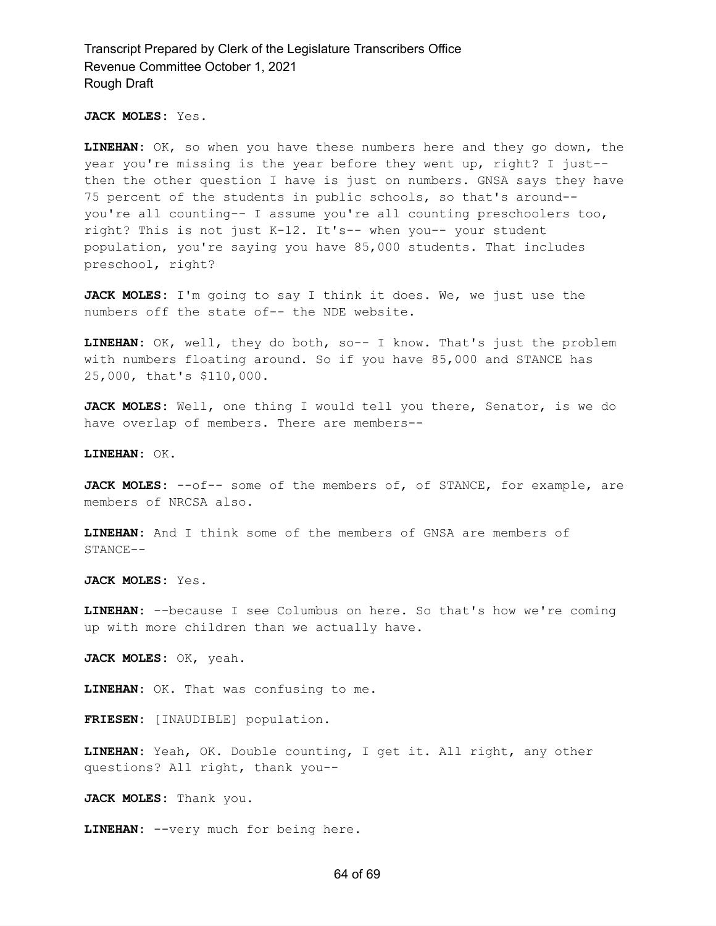**JACK MOLES:** Yes.

**LINEHAN:** OK, so when you have these numbers here and they go down, the year you're missing is the year before they went up, right? I just- then the other question I have is just on numbers. GNSA says they have 75 percent of the students in public schools, so that's around- you're all counting-- I assume you're all counting preschoolers too, right? This is not just K-12. It's-- when you-- your student population, you're saying you have 85,000 students. That includes preschool, right?

**JACK MOLES:** I'm going to say I think it does. We, we just use the numbers off the state of-- the NDE website.

**LINEHAN:** OK, well, they do both, so-- I know. That's just the problem with numbers floating around. So if you have 85,000 and STANCE has 25,000, that's \$110,000.

**JACK MOLES:** Well, one thing I would tell you there, Senator, is we do have overlap of members. There are members--

**LINEHAN:** OK.

**JACK MOLES:** --of-- some of the members of, of STANCE, for example, are members of NRCSA also.

**LINEHAN:** And I think some of the members of GNSA are members of STANCE--

**JACK MOLES:** Yes.

**LINEHAN:** --because I see Columbus on here. So that's how we're coming up with more children than we actually have.

**JACK MOLES:** OK, yeah.

**LINEHAN:** OK. That was confusing to me.

**FRIESEN:** [INAUDIBLE] population.

**LINEHAN:** Yeah, OK. Double counting, I get it. All right, any other questions? All right, thank you--

**JACK MOLES:** Thank you.

**LINEHAN:** --very much for being here.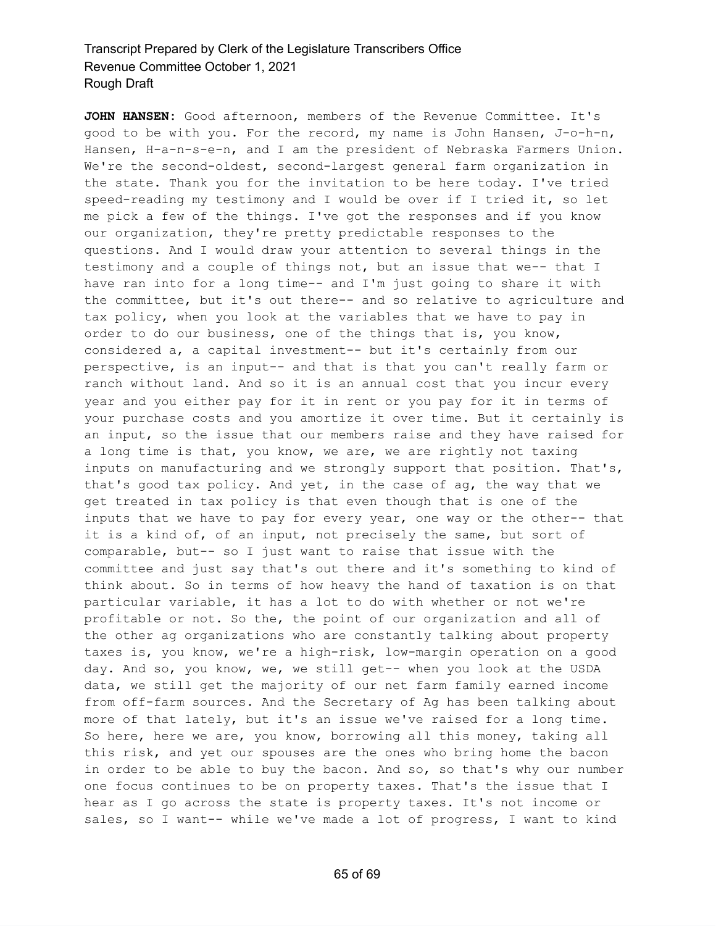**JOHN HANSEN:** Good afternoon, members of the Revenue Committee. It's good to be with you. For the record, my name is John Hansen, J-o-h-n, Hansen, H-a-n-s-e-n, and I am the president of Nebraska Farmers Union. We're the second-oldest, second-largest general farm organization in the state. Thank you for the invitation to be here today. I've tried speed-reading my testimony and I would be over if I tried it, so let me pick a few of the things. I've got the responses and if you know our organization, they're pretty predictable responses to the questions. And I would draw your attention to several things in the testimony and a couple of things not, but an issue that we-- that I have ran into for a long time-- and I'm just going to share it with the committee, but it's out there-- and so relative to agriculture and tax policy, when you look at the variables that we have to pay in order to do our business, one of the things that is, you know, considered a, a capital investment-- but it's certainly from our perspective, is an input-- and that is that you can't really farm or ranch without land. And so it is an annual cost that you incur every year and you either pay for it in rent or you pay for it in terms of your purchase costs and you amortize it over time. But it certainly is an input, so the issue that our members raise and they have raised for a long time is that, you know, we are, we are rightly not taxing inputs on manufacturing and we strongly support that position. That's, that's good tax policy. And yet, in the case of ag, the way that we get treated in tax policy is that even though that is one of the inputs that we have to pay for every year, one way or the other-- that it is a kind of, of an input, not precisely the same, but sort of comparable, but-- so I just want to raise that issue with the committee and just say that's out there and it's something to kind of think about. So in terms of how heavy the hand of taxation is on that particular variable, it has a lot to do with whether or not we're profitable or not. So the, the point of our organization and all of the other ag organizations who are constantly talking about property taxes is, you know, we're a high-risk, low-margin operation on a good day. And so, you know, we, we still get-- when you look at the USDA data, we still get the majority of our net farm family earned income from off-farm sources. And the Secretary of Ag has been talking about more of that lately, but it's an issue we've raised for a long time. So here, here we are, you know, borrowing all this money, taking all this risk, and yet our spouses are the ones who bring home the bacon in order to be able to buy the bacon. And so, so that's why our number one focus continues to be on property taxes. That's the issue that I hear as I go across the state is property taxes. It's not income or sales, so I want-- while we've made a lot of progress, I want to kind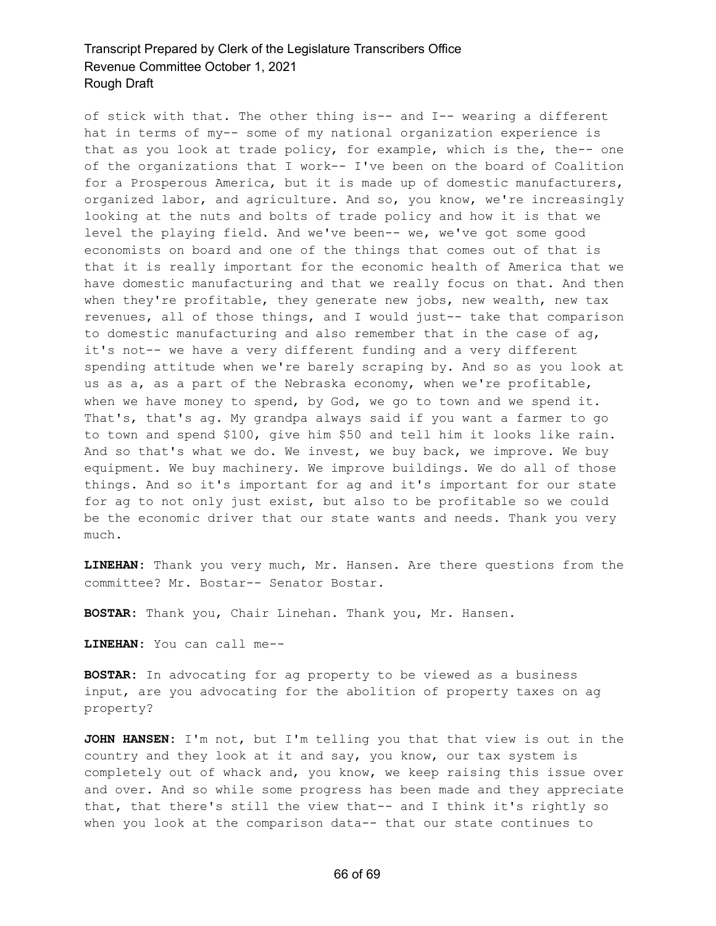of stick with that. The other thing is-- and I-- wearing a different hat in terms of my-- some of my national organization experience is that as you look at trade policy, for example, which is the, the-- one of the organizations that I work-- I've been on the board of Coalition for a Prosperous America, but it is made up of domestic manufacturers, organized labor, and agriculture. And so, you know, we're increasingly looking at the nuts and bolts of trade policy and how it is that we level the playing field. And we've been-- we, we've got some good economists on board and one of the things that comes out of that is that it is really important for the economic health of America that we have domestic manufacturing and that we really focus on that. And then when they're profitable, they generate new jobs, new wealth, new tax revenues, all of those things, and I would just-- take that comparison to domestic manufacturing and also remember that in the case of  $aq$ , it's not-- we have a very different funding and a very different spending attitude when we're barely scraping by. And so as you look at us as a, as a part of the Nebraska economy, when we're profitable, when we have money to spend, by God, we go to town and we spend it. That's, that's ag. My grandpa always said if you want a farmer to go to town and spend \$100, give him \$50 and tell him it looks like rain. And so that's what we do. We invest, we buy back, we improve. We buy equipment. We buy machinery. We improve buildings. We do all of those things. And so it's important for ag and it's important for our state for ag to not only just exist, but also to be profitable so we could be the economic driver that our state wants and needs. Thank you very much.

**LINEHAN:** Thank you very much, Mr. Hansen. Are there questions from the committee? Mr. Bostar-- Senator Bostar.

**BOSTAR:** Thank you, Chair Linehan. Thank you, Mr. Hansen.

**LINEHAN:** You can call me--

**BOSTAR:** In advocating for ag property to be viewed as a business input, are you advocating for the abolition of property taxes on ag property?

**JOHN HANSEN:** I'm not, but I'm telling you that that view is out in the country and they look at it and say, you know, our tax system is completely out of whack and, you know, we keep raising this issue over and over. And so while some progress has been made and they appreciate that, that there's still the view that-- and I think it's rightly so when you look at the comparison data-- that our state continues to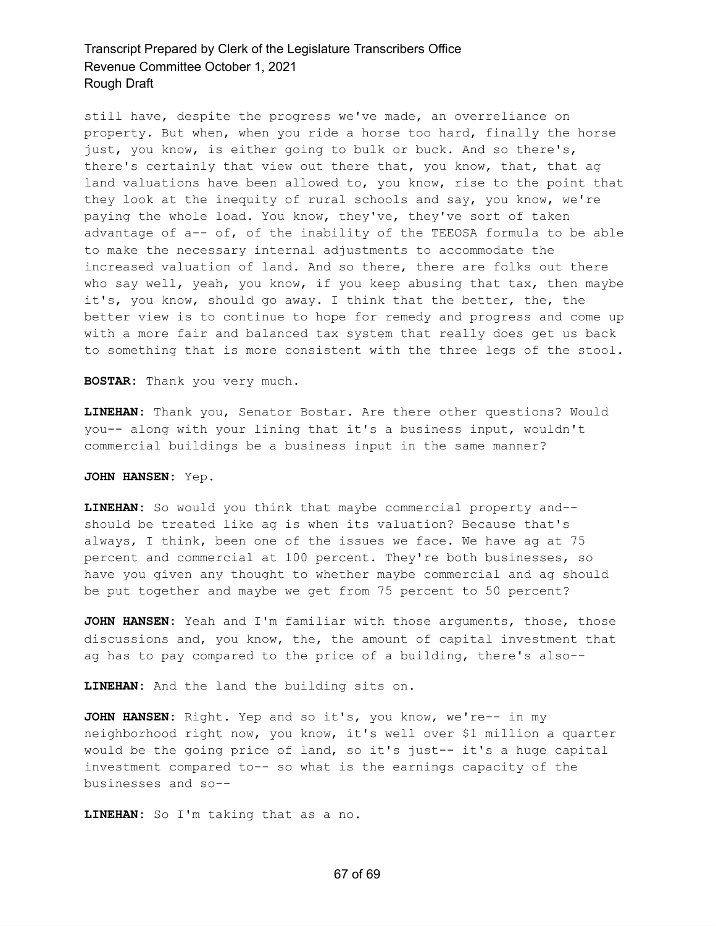still have, despite the progress we've made, an overreliance on property. But when, when you ride a horse too hard, finally the horse just, you know, is either going to bulk or buck. And so there's, there's certainly that view out there that, you know, that, that ag land valuations have been allowed to, you know, rise to the point that they look at the inequity of rural schools and say, you know, we're paying the whole load. You know, they've, they've sort of taken advantage of  $a--$  of, of the inability of the TEEOSA formula to be able to make the necessary internal adjustments to accommodate the increased valuation of land. And so there, there are folks out there who say well, yeah, you know, if you keep abusing that tax, then maybe it's, you know, should go away. I think that the better, the, the better view is to continue to hope for remedy and progress and come up with a more fair and balanced tax system that really does get us back to something that is more consistent with the three legs of the stool.

**BOSTAR:** Thank you very much.

**LINEHAN:** Thank you, Senator Bostar. Are there other questions? Would you-- along with your lining that it's a business input, wouldn't commercial buildings be a business input in the same manner?

**JOHN HANSEN:** Yep.

**LINEHAN:** So would you think that maybe commercial property and- should be treated like ag is when its valuation? Because that's always, I think, been one of the issues we face. We have ag at 75 percent and commercial at 100 percent. They're both businesses, so have you given any thought to whether maybe commercial and ag should be put together and maybe we get from 75 percent to 50 percent?

**JOHN HANSEN:** Yeah and I'm familiar with those arguments, those, those discussions and, you know, the, the amount of capital investment that ag has to pay compared to the price of a building, there's also--

**LINEHAN:** And the land the building sits on.

**JOHN HANSEN:** Right. Yep and so it's, you know, we're-- in my neighborhood right now, you know, it's well over \$1 million a quarter would be the going price of land, so it's just-- it's a huge capital investment compared to-- so what is the earnings capacity of the businesses and so--

**LINEHAN:** So I'm taking that as a no.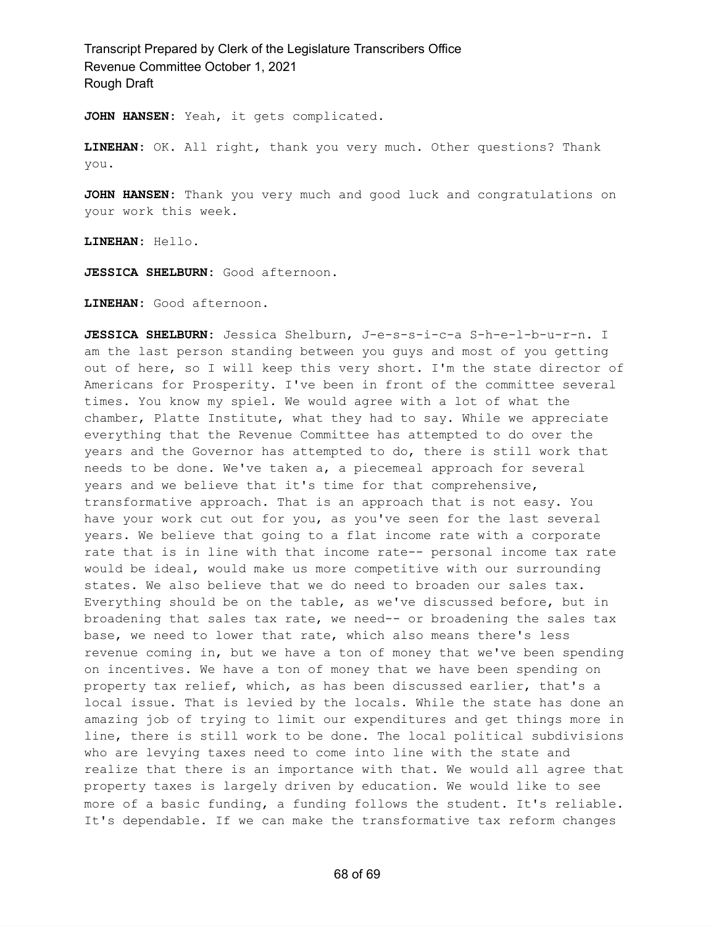**JOHN HANSEN:** Yeah, it gets complicated.

**LINEHAN:** OK. All right, thank you very much. Other questions? Thank you.

**JOHN HANSEN:** Thank you very much and good luck and congratulations on your work this week.

**LINEHAN:** Hello.

**JESSICA SHELBURN:** Good afternoon.

**LINEHAN:** Good afternoon.

**JESSICA SHELBURN:** Jessica Shelburn, J-e-s-s-i-c-a S-h-e-l-b-u-r-n. I am the last person standing between you guys and most of you getting out of here, so I will keep this very short. I'm the state director of Americans for Prosperity. I've been in front of the committee several times. You know my spiel. We would agree with a lot of what the chamber, Platte Institute, what they had to say. While we appreciate everything that the Revenue Committee has attempted to do over the years and the Governor has attempted to do, there is still work that needs to be done. We've taken a, a piecemeal approach for several years and we believe that it's time for that comprehensive, transformative approach. That is an approach that is not easy. You have your work cut out for you, as you've seen for the last several years. We believe that going to a flat income rate with a corporate rate that is in line with that income rate-- personal income tax rate would be ideal, would make us more competitive with our surrounding states. We also believe that we do need to broaden our sales tax. Everything should be on the table, as we've discussed before, but in broadening that sales tax rate, we need-- or broadening the sales tax base, we need to lower that rate, which also means there's less revenue coming in, but we have a ton of money that we've been spending on incentives. We have a ton of money that we have been spending on property tax relief, which, as has been discussed earlier, that's a local issue. That is levied by the locals. While the state has done an amazing job of trying to limit our expenditures and get things more in line, there is still work to be done. The local political subdivisions who are levying taxes need to come into line with the state and realize that there is an importance with that. We would all agree that property taxes is largely driven by education. We would like to see more of a basic funding, a funding follows the student. It's reliable. It's dependable. If we can make the transformative tax reform changes